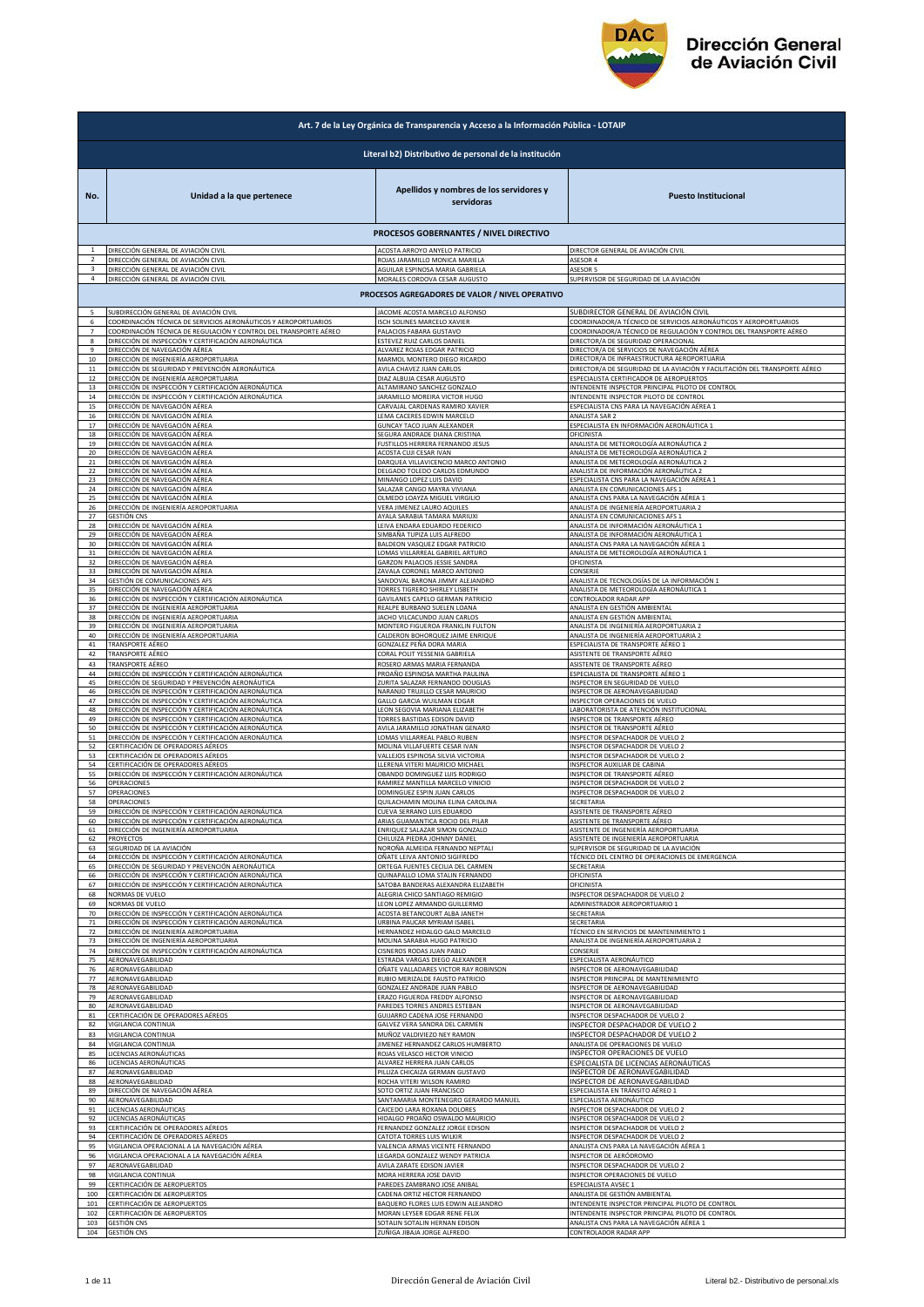

| Art. 7 de la Ley Orgánica de Transparencia y Acceso a la Información Pública - LOTAIP |                                                                                                            |                                                       |                                                                                    |  |
|---------------------------------------------------------------------------------------|------------------------------------------------------------------------------------------------------------|-------------------------------------------------------|------------------------------------------------------------------------------------|--|
|                                                                                       | Literal b2) Distributivo de personal de la institución                                                     |                                                       |                                                                                    |  |
| No.                                                                                   | Unidad a la que pertenece                                                                                  | Apellidos y nombres de los servidores y<br>servidoras | <b>Puesto Institucional</b>                                                        |  |
|                                                                                       |                                                                                                            | <b>PROCESOS GOBERNANTES / NIVEL DIRECTIVO</b>         |                                                                                    |  |
| $\overline{1}$                                                                        | DIRECCIÓN GENERAL DE AVIACIÓN CIVIL                                                                        | ACOSTA ARROYO ANYELO PATRICIO                         | DIRECTOR GENERAL DE AVIACIÓN CIVIL                                                 |  |
|                                                                                       | DIRECCIÓN GENERAL DE AVIACIÓN CIVIL                                                                        | ROJAS JARAMILLO MONICA MARIELA                        | ASESOR 4                                                                           |  |
|                                                                                       | DIRECCIÓN GENERAL DE AVIACIÓN CIVIL                                                                        | AGUILAR ESPINOSA MARIA GABRIELA                       | ASESOR 5                                                                           |  |
|                                                                                       | DIRECCIÓN GENERAL DE AVIACIÓN CIVIL                                                                        | MORALES CORDOVA CESAR AUGUSTO                         | SUPERVISOR DE SEGURIDAD DE LA AVIACIÓN                                             |  |
|                                                                                       |                                                                                                            | PROCESOS AGREGADORES DE VALOR / NIVEL OPERATIVO       |                                                                                    |  |
| 5                                                                                     | SUBDIRECCIÓN GENERAL DE AVIACIÓN CIVIL                                                                     | JACOME ACOSTA MARCELO ALFONSO                         | SUBDIRECTOR GENERAL DE AVIACIÓN CIVIL                                              |  |
| 6                                                                                     | COORDINACIÓN TÉCNICA DE SERVICIOS AERONÁUTICOS Y AEROPORTUARIOS                                            | ISCH SOLINES MARCELO XAVIER                           | COORDINADOR/A TÉCNICO DE SERVICIOS AERONÁUTICOS Y AEROPORTUARIOS                   |  |
| $\overline{7}$                                                                        | COORDINACIÓN TÉCNICA DE REGULACIÓN Y CONTROL DEL TRANSPORTE AÉREO                                          | PALACIOS FABARA GUSTAVO                               | COORDINADOR/A TÉCNICO DE REGULACIÓN Y CONTROL DEL TRANSPORTE AÉREO                 |  |
| 8                                                                                     | DIRECCIÓN DE INSPECCIÓN Y CERTIFICACIÓN AERONÁUTICA                                                        | ESTEVEZ RUIZ CARLOS DANIEL                            | DIRECTOR/A DE SEGURIDAD OPERACIONAL<br>DIRECTOR/A DE SERVICIOS DE NAVEGACIÓN AÉREA |  |
| 9                                                                                     | DIRECCIÓN DE NAVEGACIÓN AÉREA                                                                              | ALVAREZ ROJAS EDGAR PATRICIO                          | DIRECTOR/A DE INFRAESTRUCTURA AEROPORTUARIA                                        |  |
| 10                                                                                    | DIRECCIÓN DE INGENIERÍA AEROPORTUARIA                                                                      | MARMOL MONTERO DIEGO RICARDO                          |                                                                                    |  |
| 11                                                                                    | DIRECCIÓN DE SEGURIDAD Y PREVENCIÓN AERONÁUTICA                                                            | AVILA CHAVEZ JUAN CARLOS                              | DIRECTOR/A DE SEGURIDAD DE LA AVIACIÓN Y FACILITACIÓN DEL TRANSPORTE AÉREO         |  |
| 12                                                                                    | DIRECCIÓN DE INGENIERÍA AEROPORTUARIA                                                                      | DIAZ ALBUJA CESAR AUGUSTO                             | ESPECIALISTA CERTIFICADOR DE AEROPUERTOS                                           |  |
| 13                                                                                    | DIRECCIÓN DE INSPECCIÓN Y CERTIFICACIÓN AERONÁUTICA                                                        | ALTAMIRANO SANCHEZ GONZALO                            | INTENDENTE INSPECTOR PRINCIPAL PILOTO DE CONTROL                                   |  |
| 14                                                                                    | DIRECCIÓN DE INSPECCIÓN Y CERTIFICACIÓN AERONÁUTICA                                                        | JARAMILLO MOREIRA VICTOR HUGO                         | INTENDENTE INSPECTOR PILOTO DE CONTROL                                             |  |
| 15                                                                                    | DIRECCIÓN DE NAVEGACIÓN AÉREA                                                                              | CARVAJAL CARDENAS RAMIRO XAVIER                       | ESPECIALISTA CNS PARA LA NAVEGACIÓN AÉREA 1                                        |  |
| 16                                                                                    | DIRECCIÓN DE NAVEGACIÓN AÉREA                                                                              | LEMA CACERES EDWIN MARCELO                            | ANALISTA SAR 2                                                                     |  |
| 17                                                                                    | DIRECCIÓN DE NAVEGACIÓN AÉREA                                                                              | GUNCAY TACO JUAN ALEXANDER                            | ESPECIALISTA EN INFORMACIÓN AERONÁUTICA 1                                          |  |
| 18                                                                                    | DIRECCIÓN DE NAVEGACIÓN AÉREA                                                                              | SEGURA ANDRADE DIANA CRISTINA                         | OFICINISTA                                                                         |  |
| 19                                                                                    | DIRECCIÓN DE NAVEGACIÓN AÉREA                                                                              | FUSTILLOS HERRERA FERNANDO JESUS                      | ANALISTA DE METEOROLOGÍA AERONÁUTICA 2                                             |  |
| 20                                                                                    | DIRECCIÓN DE NAVEGACIÓN AÉREA                                                                              | ACOSTA CUJI CESAR IVAN                                | ANALISTA DE METEOROLOGÍA AERONÁUTICA 2                                             |  |
| 21                                                                                    | DIRECCIÓN DE NAVEGACIÓN AÉREA                                                                              | DARQUEA VILLAVICENCIO MARCO ANTONIO                   | ANALISTA DE METEOROLOGÍA AERONÁUTICA 2                                             |  |
| 22                                                                                    | DIRECCIÓN DE NAVEGACIÓN AÉREA                                                                              | DELGADO TOLEDO CARLOS EDMUNDO                         | ANALISTA DE INFORMACIÓN AERONÁUTICA 2                                              |  |
| 23                                                                                    | DIRECCIÓN DE NAVEGACIÓN AÉREA                                                                              | MINANGO LOPEZ LUIS DAVID                              | ESPECIALISTA CNS PARA LA NAVEGACIÓN AÉREA 1<br>ANALISTA EN COMUNICACIONES AFS 1    |  |
| 24                                                                                    | DIRECCIÓN DE NAVEGACIÓN AÉREA                                                                              | SALAZAR CANGO MAYRA VIVIANA                           | ANALISTA CNS PARA LA NAVEGACIÓN AÉREA 1                                            |  |
| 25                                                                                    | DIRECCIÓN DE NAVEGACIÓN AÉREA                                                                              | OLMEDO LOAYZA MIGUEL VIRGILIO                         |                                                                                    |  |
| 26                                                                                    | DIRECCIÓN DE INGENIERÍA AEROPORTUARIA                                                                      | VERA JIMENEZ LAURO AQUILES                            | ANALISTA DE INGENIERÍA AEROPORTUARIA 2                                             |  |
| 27                                                                                    | <b>GESTIÓN CNS</b>                                                                                         | AYALA SARABIA TAMARA MARIUXI                          | ANALISTA EN COMUNICACIONES AFS 1                                                   |  |
| 28                                                                                    | DIRECCIÓN DE NAVEGACIÓN AÉREA                                                                              | LEIVA ENDARA EDUARDO FEDERICO                         | <u>ANALISTA DE INFORMACIÓN AERONÁUTICA 1</u>                                       |  |
| 29                                                                                    | DIRECCIÓN DE NAVEGACIÓN AÉREA                                                                              | SIMBAÑA TUPIZA LUIS ALFREDO                           | ANALISTA DE INFORMACIÓN AERONÁUTICA 1                                              |  |
| 30                                                                                    | DIRECCIÓN DE NAVEGACIÓN AÉREA                                                                              | BALDEON VASQUEZ EDGAR PATRICIO                        | ANALISTA CNS PARA LA NAVEGACIÓN AÉREA 1                                            |  |
| 31                                                                                    | DIRECCIÓN DE NAVEGACIÓN AÉREA                                                                              | LOMAS VILLARREAL GABRIEL ARTURO                       | ANALISTA DE METEOROLOGÍA AERONÁUTICA :                                             |  |
| 32                                                                                    | DIRECCIÓN DE NAVEGACIÓN AÉREA                                                                              | GARZON PALACIOS JESSIE SANDRA                         | OFICINISTA                                                                         |  |
| 33                                                                                    | DIRECCIÓN DE NAVEGACIÓN AÉREA                                                                              | ZAVALA CORONEL MARCO ANTONIO                          | CONSERJE                                                                           |  |
| 34                                                                                    | GESTIÓN DE COMUNICACIONES AFS                                                                              | SANDOVAL BARONA JIMMY ALEJANDRO                       | ANALISTA DE TECNOLOGÍAS DE LA INFORMACIÓN 1                                        |  |
| 35                                                                                    | DIRECCIÓN DE NAVEGACIÓN AÉREA                                                                              | TORRES TIGRERO SHIRLEY LISBETH                        | ANALISTA DE METEOROLOGÍA AERONÁUTICA 1                                             |  |
| 36                                                                                    | DIRECCIÓN DE INSPECCIÓN Y CERTIFICACIÓN AERONÁUTICA                                                        | GAVILANES CAPELO GERMAN PATRICIO                      | CONTROLADOR RADAR APP                                                              |  |
| 37                                                                                    | DIRECCIÓN DE INGENIERÍA AEROPORTUARIA                                                                      | REALPE BURBANO SUELEN LOANA                           | ANALISTA EN GESTIÓN AMBIENTAL                                                      |  |
| 38                                                                                    | DIRECCIÓN DE INGENIERÍA AEROPORTUARIA                                                                      | JACHO VILCACUNDO JUAN CARLOS                          | ANALISTA EN GESTIÓN AMBIENTAL                                                      |  |
| 39                                                                                    | DIRECCIÓN DE INGENIERÍA AEROPORTUARIA                                                                      | MONTERO FIGUEROA FRANKLIN FULTON                      | ANALISTA DE INGENIERÍA AEROPORTUARIA 2                                             |  |
| 40                                                                                    | DIRECCIÓN DE INGENIERÍA AEROPORTUARIA                                                                      | CALDERON BOHORQUEZ JAIME ENRIQUE                      | ANALISTA DE INGENIERÍA AEROPORTUARIA 2                                             |  |
| 41                                                                                    | TRANSPORTE AÉREO                                                                                           | GONZALEZ PEÑA DORA MARIA                              | ESPECIALISTA DE TRANSPORTE AÉREO 1                                                 |  |
| 42                                                                                    | TRANSPORTE AÉREO                                                                                           | CORAL POLIT YESSENIA GABRIELA                         | ASISTENTE DE TRANSPORTE AÉREO                                                      |  |
| 43                                                                                    | TRANSPORTE AÉREO                                                                                           | ROSERO ARMAS MARIA FERNANDA                           | ASISTENTE DE TRANSPORTE AÉREO                                                      |  |
| 44                                                                                    | DIRECCIÓN DE INSPECCIÓN Y CERTIFICACIÓN AERONÁUTICA                                                        | PROAÑO ESPINOSA MARTHA PAULINA                        | ESPECIALISTA DE TRANSPORTE AÉREO 1                                                 |  |
| 45                                                                                    | DIRECCIÓN DE SEGURIDAD Y PREVENCIÓN AERONÁUTICA                                                            | ZURITA SALAZAR FERNANDO DOUGLAS                       | INSPECTOR EN SEGURIDAD DE VUELO                                                    |  |
| 46                                                                                    | DIRECCIÓN DE INSPECCIÓN Y CERTIFICACIÓN AERONÁUTICA                                                        | NARANJO TRUJILLO CESAR MAURICIO                       | INSPECTOR DE AERONAVEGABILIDAD                                                     |  |
| 47                                                                                    | DIRECCIÓN DE INSPECCIÓN Y CERTIFICACIÓN AERONÁUTICA                                                        | GALLO GARCIA WUILMAN EDGAR                            | INSPECTOR OPERACIONES DE VUELO                                                     |  |
| 48                                                                                    | DIRECCIÓN DE INSPECCIÓN Y CERTIFICACIÓN AERONÁUTICA                                                        | LEON SEGOVIA MARIANA ELIZABETH                        | LABORATORISTA DE ATENCIÓN INSTITUCIONAL                                            |  |
| 49                                                                                    | DIRECCIÓN DE INSPECCIÓN Y CERTIFICACIÓN AERONÁUTICA                                                        | TORRES BASTIDAS EDISON DAVID                          | INSPECTOR DE TRANSPORTE AÉREO                                                      |  |
| 50                                                                                    | DIRECCIÓN DE INSPECCIÓN Y CERTIFICACIÓN AERONÁUTICA                                                        | AVILA JARAMILLO JONATHAN GENARO                       | INSPECTOR DE TRANSPORTE AÉREO                                                      |  |
| 51                                                                                    | DIRECCIÓN DE INSPECCIÓN Y CERTIFICACIÓN AERONÁUTICA                                                        | LOMAS VILLARREAL PABLO RUBEN                          | INSPECTOR DESPACHADOR DE VUELO 2                                                   |  |
| 52                                                                                    | CERTIFICACIÓN DE OPERADORES AÉREOS                                                                         | MOLINA VILLAFUERTE CESAR IVAN                         | INSPECTOR DESPACHADOR DE VUELO 2                                                   |  |
| 53                                                                                    | CERTIFICACIÓN DE OPERADORES AÉREOS                                                                         | VALLEJOS ESPINOSA SILVIA VICTORIA                     | INSPECTOR DESPACHADOR DE VUELO 2                                                   |  |
| 54                                                                                    | CERTIFICACIÓN DE OPERADORES AÉREOS                                                                         | LLERENA VITERI MAURICIO MICHAEL                       | INSPECTOR AUXILIAR DE CABINA                                                       |  |
| 55                                                                                    | DIRECCIÓN DE INSPECCIÓN Y CERTIFICACIÓN AERONÁUTICA                                                        | OBANDO DOMINGUEZ LUIS RODRIGO                         | INSPECTOR DE TRANSPORTE AÉREO                                                      |  |
| 56                                                                                    | OPERACIONES                                                                                                | RAMIREZ MANTILLA MARCELO VINICIO                      | INSPECTOR DESPACHADOR DE VUELO 2                                                   |  |
| 57                                                                                    | OPERACIONES                                                                                                | DOMINGUEZ ESPIN JUAN CARLOS                           | INSPECTOR DESPACHADOR DE VUELO 2                                                   |  |
| 58                                                                                    | OPERACIONES                                                                                                | QUILACHAMIN MOLINA ELINA CAROLINA                     | SECRETARIA                                                                         |  |
|                                                                                       | DIRECCIÓN DE INSPECCIÓN Y CERTIFICACIÓN AERONÁUTICA<br>DIRECCIÓN DE INSPECCIÓN Y CERTIFICACIÓN AERONÁUTICA | CUEVA SERRANO LUIS EDUARDO                            | ASISTENTE DE TRANSPORTE AÉREO                                                      |  |
| 60                                                                                    | DIRECCIÓN DE INGENIERÍA AEROPORTUARIA                                                                      | ARIAS GUAMANTICA ROCIO DEL PILAR                      | ASISTENTE DE TRANSPORTE AÉREO                                                      |  |
| 61                                                                                    |                                                                                                            | ENRIQUEZ SALAZAR SIMON GONZALO                        | ASISTENTE DE INGENIERÍA AEROPORTUARIA                                              |  |
| 62                                                                                    | PROYECTOS                                                                                                  | CHILUIZA PIEDRA JOHNNY DANIEL                         | ASISTENTE DE INGENIERÍA AEROPORTUARIA                                              |  |
| 63                                                                                    | SEGURIDAD DE LA AVIACIÓN                                                                                   | NOROÑA ALMEIDA FERNANDO NEPTALI                       | SUPERVISOR DE SEGURIDAD DE LA AVIACIÓN                                             |  |
| 64                                                                                    | DIRECCIÓN DE INSPECCIÓN Y CERTIFICACIÓN AERONÁUTICA                                                        | OÑATE LEIVA ANTONIO SIGIFREDO                         | TÉCNICO DEL CENTRO DE OPERACIONES DE EMERGENCIA                                    |  |
| 65                                                                                    | DIRECCIÓN DE SEGURIDAD Y PREVENCIÓN AERONÁUTICA                                                            | ORTEGA FUENTES CECILIA DEL CARMEN                     | SECRETARIA                                                                         |  |
| 66                                                                                    | DIRECCIÓN DE INSPECCIÓN Y CERTIFICACIÓN AERONÁUTICA                                                        | QUINAPALLO LOMA STALIN FERNANDO                       | OFICINISTA                                                                         |  |
| 67                                                                                    | DIRECCIÓN DE INSPECCIÓN Y CERTIFICACIÓN AERONÁUTICA                                                        | SATOBA BANDERAS ALEXANDRA ELIZABETH                   | OFICINISTA                                                                         |  |
| 68                                                                                    | NORMAS DE VUELO                                                                                            | ALEGRIA CHICO SANTIAGO REMIGIO                        | INSPECTOR DESPACHADOR DE VUELO 2                                                   |  |
| 69                                                                                    | NORMAS DE VUELO                                                                                            | LEON LOPEZ ARMANDO GUILLERMO                          | ADMINISTRADOR AEROPORTUARIO 1                                                      |  |
| 70                                                                                    | DIRECCIÓN DE INSPECCIÓN Y CERTIFICACIÓN AERONÁUTICA                                                        | ACOSTA BETANCOURT ALBA JANETH                         | SECRETARIA                                                                         |  |
| 71                                                                                    | DIRECCIÓN DE INSPECCIÓN Y CERTIFICACIÓN AERONÁUTICA                                                        | URBINA PAUCAR MYRIAM ISABEL                           | SECRETARIA                                                                         |  |
| 72                                                                                    | DIRECCIÓN DE INGENIERÍA AEROPORTUARIA                                                                      | HERNANDEZ HIDALGO GALO MARCELO                        | TÉCNICO EN SERVICIOS DE MANTENIMIENTO 1                                            |  |
| 73                                                                                    | DIRECCIÓN DE INGENIERÍA AEROPORTUARIA                                                                      | MOLINA SARABIA HUGO PATRICIO                          | ANALISTA DE INGENIERÍA AEROPORTUARIA 2                                             |  |
| 74                                                                                    | DIRECCIÓN DE INSPECCIÓN Y CERTIFICACIÓN AERONÁUTICA                                                        | CISNEROS RODAS JUAN PABLO                             | CONSERJE                                                                           |  |
| 75                                                                                    | AERONAVEGABILIDAD                                                                                          | ESTRADA VARGAS DIEGO ALEXANDER                        | ESPECIALISTA AERONÁUTICO                                                           |  |
| 76                                                                                    | AERONAVEGABILIDAD                                                                                          | OÑATE VALLADARES VICTOR RAY ROBINSON                  | INSPECTOR DE AERONAVEGABILIDAD                                                     |  |
| 77                                                                                    | AERONAVEGABILIDAD                                                                                          | RUBIO MERIZALDE FAUSTO PATRICIO                       | INSPECTOR PRINCIPAL DE MANTENIMIENTO                                               |  |
| 78                                                                                    | AERONAVEGABILIDAD                                                                                          | GONZALEZ ANDRADE JUAN PABLO                           | INSPECTOR DE AERONAVEGABILIDAD                                                     |  |
| 79                                                                                    | AERONAVEGABILIDAD                                                                                          | ERAZO FIGUEROA FREDDY ALFONSO                         | INSPECTOR DE AERONAVEGABILIDAD                                                     |  |
| 80                                                                                    | AERONAVEGABILIDAD                                                                                          | PAREDES TORRES ANDRES ESTEBAN                         | INSPECTOR DE AERONAVEGABILIDAD                                                     |  |
| 81                                                                                    | CERTIFICACIÓN DE OPERADORES AÉREOS                                                                         | GUIJARRO CADENA JOSE FERNANDO                         | INSPECTOR DESPACHADOR DE VUELO 2                                                   |  |
| 82                                                                                    | VIGILANCIA CONTINUA                                                                                        | GALVEZ VERA SANDRA DEL CARMEN                         | INSPECTOR DESPACHADOR DE VUELO 2                                                   |  |
| 83                                                                                    | VIGILANCIA CONTINUA                                                                                        | MUÑOZ VALDIVIEZO NEY RAMON                            | INSPECTOR DESPACHADOR DE VUELO 2                                                   |  |
| 84                                                                                    | VIGILANCIA CONTINUA                                                                                        | JIMENEZ HERNANDEZ CARLOS HUMBERTO                     | ANALISTA DE OPERACIONES DE VUELO                                                   |  |
| 85                                                                                    | LICENCIAS AERONÁUTICAS                                                                                     | ROJAS VELASCO HECTOR VINICIO                          | INSPECTOR OPERACIONES DE VUELO                                                     |  |
| 86                                                                                    | LICENCIAS AERONÁUTICAS                                                                                     | ALVAREZ HERRERA JUAN CARLOS                           | ESPECIALISTA DE LICENCIAS AERONÁUTICAS                                             |  |
| 87                                                                                    | AERONAVEGABILIDAD                                                                                          | PILLIZA CHICAIZA GERMAN GUSTAVO                       | INSPECTOR DE AERONAVEGABILIDAD                                                     |  |
| 88                                                                                    | AERONAVEGABILIDAD                                                                                          | ROCHA VITERI WILSON RAMIRO                            | INSPECTOR DE AERONAVEGABILIDAD                                                     |  |
| 89                                                                                    | DIRECCIÓN DE NAVEGACIÓN AÉREA                                                                              | SOTO ORTIZ JUAN FRANCISCO                             | ESPECIALISTA EN TRÁNSITO AÉREO 1                                                   |  |
| 90                                                                                    | AERONAVEGABILIDAD                                                                                          | SANTAMARIA MONTENEGRO GERARDO MANUEL                  | ESPECIALISTA AERONÁUTICO                                                           |  |
| 91                                                                                    | LICENCIAS AERONÁUTICAS                                                                                     | CAICEDO LARA ROXANA DOLORES                           | INSPECTOR DESPACHADOR DE VUELO 2                                                   |  |
| 92                                                                                    | LICENCIAS AERONÁUTICAS                                                                                     | HIDALGO PROAÑO OSWALDO MAURICIO                       | INSPECTOR DESPACHADOR DE VUELO 2                                                   |  |
| 93                                                                                    | CERTIFICACIÓN DE OPERADORES AÉREOS                                                                         | FERNANDEZ GONZALEZ JORGE EDISON                       | INSPECTOR DESPACHADOR DE VUELO 2                                                   |  |
| 94                                                                                    | CERTIFICACIÓN DE OPERADORES AÉREOS                                                                         | CATOTA TORRES LUIS WILKIR                             | INSPECTOR DESPACHADOR DE VUELO 2                                                   |  |
| 95                                                                                    | VIGILANCIA OPERACIONAL A LA NAVEGACIÓN AÉREA                                                               | VALENCIA ARMAS VICENTE FERNANDO                       | ANALISTA CNS PARA LA NAVEGACIÓN AÉREA 1                                            |  |
| 96                                                                                    | VIGILANCIA OPERACIONAL A LA NAVEGACIÓN AÉREA                                                               | LEGARDA GONZALEZ WENDY PATRICIA                       | INSPECTOR DE AERÓDROMO                                                             |  |
| 97                                                                                    | AERONAVEGABILIDAD                                                                                          | AVILA ZARATE EDISON JAVIER                            | INSPECTOR DESPACHADOR DE VUELO 2                                                   |  |
| 98                                                                                    | VIGILANCIA CONTINUA                                                                                        | MORA HERRERA JOSE DAVID                               | INSPECTOR OPERACIONES DE VUELO                                                     |  |
| 99                                                                                    | CERTIFICACIÓN DE AEROPUERTOS                                                                               | PAREDES ZAMBRANO JOSE ANIBAL                          | ESPECIALISTA AVSEC 1                                                               |  |
| 100                                                                                   | CERTIFICACIÓN DE AEROPUERTOS                                                                               | CADENA ORTIZ HECTOR FERNANDO                          | ANALISTA DE GESTIÓN AMBIENTAL                                                      |  |
| 101                                                                                   | CERTIFICACIÓN DE AEROPUERTOS                                                                               | BAQUERO FLORES LUIS EDWIN ALEJANDRO                   | INTENDENTE INSPECTOR PRINCIPAL PILOTO DE CONTROL                                   |  |
| 102                                                                                   | CERTIFICACIÓN DE AEROPUERTOS                                                                               | MORAN LEYSER EDGAR RENE FELIX                         | INTENDENTE INSPECTOR PRINCIPAL PILOTO DE CONTROL                                   |  |
| 103                                                                                   | <b>GESTIÓN CNS</b>                                                                                         | SOTALIN SOTALIN HERNAN EDISON                         | ANALISTA CNS PARA LA NAVEGACIÓN AÉREA 1                                            |  |
| 104                                                                                   | <b>GESTIÓN CNS</b>                                                                                         | ZUÑIGA JIBAJA JORGE ALFREDO                           | CONTROLADOR RADAR APP                                                              |  |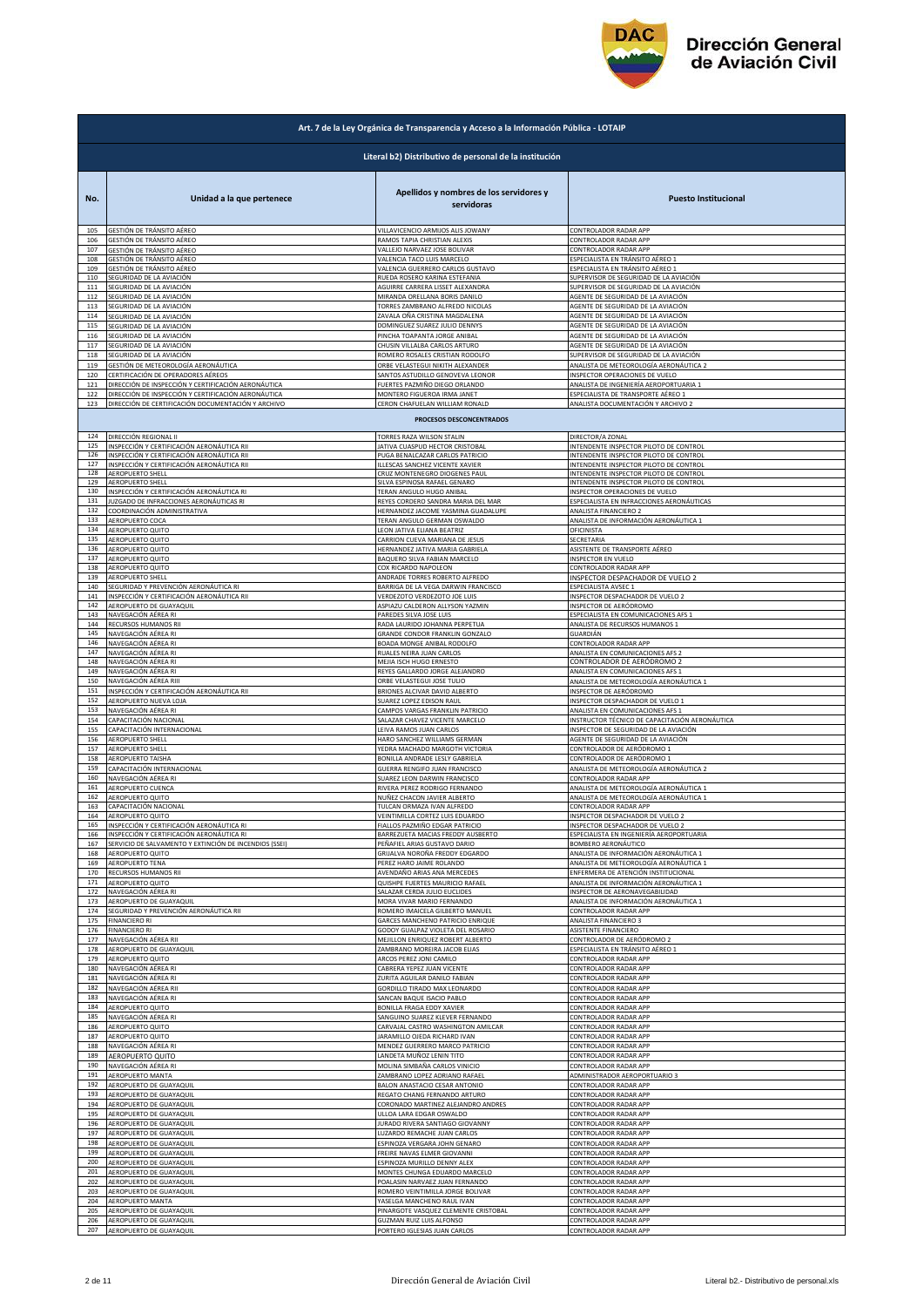

|            | Art. 7 de la Ley Orgánica de Transparencia y Acceso a la Información Pública - LOTAIP     |                                                                      |                                                                          |  |
|------------|-------------------------------------------------------------------------------------------|----------------------------------------------------------------------|--------------------------------------------------------------------------|--|
|            | Literal b2) Distributivo de personal de la institución                                    |                                                                      |                                                                          |  |
| No.        | Unidad a la que pertenece                                                                 | Apellidos y nombres de los servidores y<br>servidoras                | <b>Puesto Institucional</b>                                              |  |
| 105        | GESTIÓN DE TRÁNSITO AÉREO                                                                 | VILLAVICENCIO ARMIJOS ALIS JOWANY                                    | CONTROLADOR RADAR APP                                                    |  |
| 106        | GESTIÓN DE TRÁNSITO AÉREO                                                                 | RAMOS TAPIA CHRISTIAN ALEXIS                                         | CONTROLADOR RADAR APP                                                    |  |
| 107        | GESTIÓN DE TRÁNSITO AÉREO                                                                 | VALLEJO NARVAEZ JOSE BOLIVAR                                         | CONTROLADOR RADAR APP                                                    |  |
| 108        | GESTIÓN DE TRÁNSITO AÉREO                                                                 | VALENCIA TACO LUIS MARCELO                                           | ESPECIALISTA EN TRÁNSITO AÉREO 1                                         |  |
| 109        | GESTIÓN DE TRÁNSITO AÉREO                                                                 | VALENCIA GUERRERO CARLOS GUSTAVO                                     | ESPECIALISTA EN TRÁNSITO AÉREO 1                                         |  |
| 110        | SEGURIDAD DE LA AVIACIÓN                                                                  | RUEDA ROSERO KARINA ESTEFANIA                                        | SUPERVISOR DE SEGURIDAD DE LA AVIACIÓN                                   |  |
| 111        | SEGURIDAD DE LA AVIACIÓN                                                                  | AGUIRRE CARRERA LISSET ALEXANDRA                                     | SUPERVISOR DE SEGURIDAD DE LA AVIACIÓN                                   |  |
| 112        | SEGURIDAD DE LA AVIACIÓN                                                                  | MIRANDA ORELLANA BORIS DANILO                                        | AGENTE DE SEGURIDAD DE LA AVIACIÓN                                       |  |
| 113        | SEGURIDAD DE LA AVIACIÓN                                                                  | TORRES ZAMBRANO ALFREDO NICOLAS                                      | AGENTE DE SEGURIDAD DE LA AVIACIÓN                                       |  |
| 114        | SEGURIDAD DE LA AVIACIÓN                                                                  | ZAVALA OÑA CRISTINA MAGDALENA                                        | AGENTE DE SEGURIDAD DE LA AVIACIÓN                                       |  |
| 115        | SEGURIDAD DE LA AVIACIÓN                                                                  | DOMINGUEZ SUAREZ JULIO DENNYS                                        | AGENTE DE SEGURIDAD DE LA AVIACIÓN                                       |  |
| 116        | SEGURIDAD DE LA AVIACIÓN                                                                  | PINCHA TOAPANTA JORGE ANIBAL                                         | AGENTE DE SEGURIDAD DE LA AVIACIÓN                                       |  |
| 117        | SEGURIDAD DE LA AVIACIÓN                                                                  | CHUSIN VILLALBA CARLOS ARTURO                                        | AGENTE DE SEGURIDAD DE LA AVIACIÓN                                       |  |
| 118        | SEGURIDAD DE LA AVIACIÓN                                                                  | ROMERO ROSALES CRISTIAN RODOLFO                                      | SUPERVISOR DE SEGURIDAD DE LA AVIACIÓN                                   |  |
| 119        | GESTIÓN DE METEOROLOGÍA AERONÁUTICA                                                       | ORBE VELASTEGUI NIKITH ALEXANDER<br>SANTOS ASTUDILLO GENOVEVA LEONOR | ANALISTA DE METEOROLOGÍA AERONÁUTICA 2<br>INSPECTOR OPERACIONES DE VUELO |  |
| 120<br>121 | CERTIFICACIÓN DE OPERADORES AÉREOS<br>DIRECCIÓN DE INSPECCIÓN Y CERTIFICACIÓN AERONÁUTICA | FUERTES PAZMIÑO DIEGO ORLANDO                                        | ANALISTA DE INGENIERÍA AEROPORTUARIA 1                                   |  |
| 122        | DIRECCIÓN DE INSPECCIÓN Y CERTIFICACIÓN AERONÁUTICA                                       | MONTERO FIGUEROA IRMA JANET                                          | ESPECIALISTA DE TRANSPORTE AÉREO 1                                       |  |
| 123        | DIRECCIÓN DE CERTIFICACIÓN DOCUMENTACIÓN Y ARCHIVO                                        | CERON CHAFUELAN WILLIAM RONALD                                       | ANALISTA DOCUMENTACIÓN Y ARCHIVO 2                                       |  |
| 124        | DIRECCIÓN REGIONAL II                                                                     | PROCESOS DESCONCENTRADOS<br>TORRES RAZA WILSON STALIN                | DIRECTOR/A ZONAL                                                         |  |
| 125        | INSPECCIÓN Y CERTIFICACIÓN AERONÁUTICA RII                                                | JATIVA CUASPUD HECTOR CRISTOBAL                                      | INTENDENTE INSPECTOR PILOTO DE CONTROL                                   |  |
| 126        | INSPECCIÓN Y CERTIFICACIÓN AERONÁUTICA RI                                                 | PUGA BENALCAZAR CARLOS PATRICIO                                      | INTENDENTE INSPECTOR PILOTO DE CONTROL                                   |  |
| 127        | INSPECCIÓN Y CERTIFICACIÓN AERONÁUTICA RII                                                | LLESCAS SANCHEZ VICENTE XAVIER                                       | INTENDENTE INSPECTOR PILOTO DE CONTROL                                   |  |
| 128        | AEROPUERTO SHELL                                                                          | CRUZ MONTENEGRO DIOGENES PAUL                                        | INTENDENTE INSPECTOR PILOTO DE CONTROL                                   |  |
| 129        | AEROPUERTO SHELL                                                                          | SILVA ESPINOSA RAFAEL GENARO                                         | INTENDENTE INSPECTOR PILOTO DE CONTROL                                   |  |
| 130        | INSPECCIÓN Y CERTIFICACIÓN AERONÁUTICA RI                                                 | TERAN ANGULO HUGO ANIBAL                                             | INSPECTOR OPERACIONES DE VUELO                                           |  |
| 131<br>132 | JUZGADO DE INFRACCIONES AERONÁUTICAS RI<br>COORDINACIÓN ADMINISTRATIVA                    | REYES CORDERO SANDRA MARIA DEL MAR                                   | ESPECIALISTA EN INFRACCIONES AERONÁUTICAS                                |  |
| 133        | AEROPUERTO COCA                                                                           | HERNANDEZ JACOME YASMINA GUADALUPE<br>TERAN ANGULO GERMAN OSWALDO    | ANALISTA FINANCIERO 2<br>ANALISTA DE INFORMACIÓN AERONÁUTICA 1           |  |
| 134        | AEROPUERTO QUITO                                                                          | LEON JATIVA ELIANA BEATRIZ                                           | OFICINISTA                                                               |  |
| 135        | AEROPUERTO QUITO                                                                          | CARRION CUEVA MARIANA DE JESUS                                       | SECRETARIA                                                               |  |
| 136        | AEROPUERTO QUITO                                                                          | HERNANDEZ JATIVA MARIA GABRIELA                                      | ASISTENTE DE TRANSPORTE AÉREO                                            |  |
| 137        | AEROPUERTO QUITO                                                                          | BAQUERO SILVA FABIAN MARCELO                                         | INSPECTOR EN VUELO                                                       |  |
| 138        | AEROPUERTO QUITO                                                                          | COX RICARDO NAPOLEON                                                 | CONTROLADOR RADAR APP                                                    |  |
| 139        | AEROPUERTO SHELL                                                                          | ANDRADE TORRES ROBERTO ALFREDO                                       | INSPECTOR DESPACHADOR DE VUELO 2                                         |  |
| 140        | SEGURIDAD Y PREVENCIÓN AERONÁUTICA RI                                                     | BARRIGA DE LA VEGA DARWIN FRANCISCO                                  | ESPECIALISTA AVSEC 1                                                     |  |
| 141        | INSPECCIÓN Y CERTIFICACIÓN AERONÁUTICA RII                                                | VERDEZOTO VERDEZOTO JOE LUIS                                         | INSPECTOR DESPACHADOR DE VUELO 2                                         |  |
| 142        | AEROPUERTO DE GUAYAQUIL                                                                   | ASPIAZU CALDERON ALLYSON YAZMIN                                      | INSPECTOR DE AERÓDROMO                                                   |  |
| 143        | NAVEGACIÓN AÉREA RI                                                                       | PAREDES SILVA JOSE LUIS                                              | ESPECIALISTA EN COMUNICACIONES AFS 1                                     |  |
| 144        | RECURSOS HUMANOS RII                                                                      | RADA LAURIDO JOHANNA PERPETUA                                        | ANALISTA DE RECURSOS HUMANOS 1                                           |  |
| 145        | NAVEGACIÓN AÉREA RI                                                                       | GRANDE CONDOR FRANKLIN GONZALC                                       | GUARDIÁN                                                                 |  |
| 146        | NAVEGACIÓN AÉREA RI                                                                       | BOADA MONGE ANIBAL RODOLFO                                           | CONTROLADOR RADAR APP                                                    |  |
| 147        | NAVEGACIÓN AÉREA RI                                                                       | RUALES NEIRA JUAN CARLOS                                             | ANALISTA EN COMUNICACIONES AFS 2                                         |  |
| 148        | NAVEGACIÓN AÉREA RI                                                                       | MEJIA ISCH HUGO ERNESTO                                              | CONTROLADOR DE AERÓDROMO 2                                               |  |
| 149        | NAVEGACIÓN AÉREA RI                                                                       | REYES GALLARDO JORGE ALEJANDRO                                       | ANALISTA EN COMUNICACIONES AFS 1                                         |  |
| 150        | NAVEGACIÓN AÉREA RIII                                                                     | ORBE VELASTEGUI JOSE TULIO                                           | ANALISTA DE METEOROLOGÍA AERONÁUTICA 1                                   |  |
| 151        | INSPECCIÓN Y CERTIFICACIÓN AERONÁUTICA RII                                                | BRIONES ALCIVAR DAVID ALBERTO                                        | INSPECTOR DE AERÓDROMO                                                   |  |
| 152<br>153 | AEROPUERTO NUEVA LOJA                                                                     | SUAREZ LOPEZ EDISON RAUL                                             | INSPECTOR DESPACHADOR DE VUELO 1                                         |  |
| 154        | NAVEGACIÓN AÉREA RI                                                                       | CAMPOS VARGAS FRANKLIN PATRICIO                                      | ANALISTA EN COMUNICACIONES AFS 1                                         |  |
|            | CAPACITACIÓN NACIONAL                                                                     | SALAZAR CHAVEZ VICENTE MARCELO                                       | INSTRUCTOR TÉCNICO DE CAPACITACIÓN AERONÁUTICA                           |  |
| 155        | CAPACITACIÓN INTERNACIONAL                                                                | LEIVA RAMOS JUAN CARLOS                                              | INSPECTOR DE SEGURIDAD DE LA AVIACIÓN                                    |  |
| 156        | AEROPUERTO SHELI                                                                          | HARO SANCHEZ WILLIAMS GERMAN                                         | AGENTE DE SEGURIDAD DE LA AVIACIÓN                                       |  |
| 157        | AEROPUERTO SHELL                                                                          | YEDRA MACHADO MARGOTH VICTORIA                                       | CONTROLADOR DE AERÓDROMO 1                                               |  |
| 158        | AEROPUERTO TAISHA                                                                         | BONILLA ANDRADE LESLY GABRIELA                                       | CONTROLADOR DE AERÓDROMO 1                                               |  |
| 159        | CAPACITACIÓN INTERNACIONAL                                                                | GUERRA RENGIFO JUAN FRANCISCO                                        | ANALISTA DE METEOROLOGÍA AERONÁUTICA 2                                   |  |
| 160        | NAVEGACIÓN AÉREA RI                                                                       | SUAREZ LEON DARWIN FRANCISCO                                         | CONTROLADOR RADAR APP                                                    |  |
| 161        | AEROPUERTO CUENCA                                                                         | RIVERA PEREZ RODRIGO FERNANDO                                        | ANALISTA DE METEOROLOGÍA AERONÁUTICA 1                                   |  |
| 162        | AEROPUERTO QUITO                                                                          | NUÑEZ CHACON JAVIER ALBERTO                                          | ANALISTA DE METEOROLOGÍA AERONÁUTICA 1                                   |  |
| 163        | CAPACITACIÓN NACIONAL                                                                     | TULCAN ORMAZA IVAN ALFREDO                                           | CONTROLADOR RADAR APP                                                    |  |
| 164        | AEROPUERTO QUITO                                                                          | VEINTIMILLA CORTEZ LUIS EDUARDO                                      | INSPECTOR DESPACHADOR DE VUELO 2                                         |  |
| 165        | INSPECCIÓN Y CERTIFICACIÓN AERONÁUTICA RI                                                 | FIALLOS PAZMIÑO EDGAR PATRICIO                                       | INSPECTOR DESPACHADOR DE VUELO 2                                         |  |
| 166        | INSPECCIÓN Y CERTIFICACIÓN AERONÁUTICA RI                                                 | BARREZUETA MACIAS FREDDY AUSBERTO                                    | ESPECIALISTA EN INGENIERÍA AEROPORTUARIA                                 |  |
| 167        | SERVICIO DE SALVAMENTO Y EXTINCIÓN DE INCENDIOS (SSEI)                                    | PEÑAFIEL ARIAS GUSTAVO DARIO                                         | BOMBERO AERONÁUTICO                                                      |  |
| 168        | AEROPUERTO QUITO                                                                          | GRIJALVA NOROÑA FREDDY EDGARDO                                       | ANALISTA DE INFORMACIÓN AERONÁUTICA 1                                    |  |
| 169        | <b>AEROPUERTO TENA</b>                                                                    | PEREZ HARO JAIME ROLANDO                                             | ANALISTA DE METEOROLOGÍA AERONÁUTICA 1                                   |  |
| 170        | RECURSOS HUMANOS RII                                                                      | AVENDAÑO ARIAS ANA MERCEDES                                          | ENFERMERA DE ATENCIÓN INSTITUCIONAL                                      |  |
| 171        | AEROPUERTO QUITO                                                                          | QUISHPE FUERTES MAURICIO RAFAEL                                      | ANALISTA DE INFORMACIÓN AERONÁUTICA 1                                    |  |
| 172        | NAVEGACIÓN AÉREA RI                                                                       | SALAZAR CERDA JULIO EUCLIDES                                         | INSPECTOR DE AERONAVEGABILIDAD                                           |  |
| 173        | AEROPUERTO DE GUAYAQUIL                                                                   | MORA VIVAR MARIO FERNANDO                                            | ANALISTA DE INFORMACIÓN AERONÁUTICA 1                                    |  |
| 174        | SEGURIDAD Y PREVENCIÓN AERONÁUTICA RII                                                    | ROMERO IMAICELA GILBERTO MANUEL                                      | CONTROLADOR RADAR APP                                                    |  |
| 175        | <b>FINANCIERO RI</b>                                                                      | GARCES MANCHENO PATRICIO ENRIQUE                                     | ANALISTA FINANCIERO 3                                                    |  |
| 176        | <b>FINANCIERO RI</b>                                                                      | GODOY GUALPAZ VIOLETA DEL ROSARIO                                    | ASISTENTE FINANCIERO                                                     |  |
| 177        | NAVEGACIÓN AÉREA RII                                                                      | MEJILLON ENRIQUEZ ROBERT ALBERTO                                     | CONTROLADOR DE AERÓDROMO 2                                               |  |
| 178        | AEROPUERTO DE GUAYAQUIL                                                                   | ZAMBRANO MOREIRA JACOB ELIAS                                         | ESPECIALISTA EN TRÁNSITO AÉREO 1                                         |  |
| 179        | AEROPUERTO QUITO<br>NAVEGACIÓN AÉREA RI                                                   | ARCOS PEREZ JONI CAMILO<br>CABRERA YEPEZ JUAN VICENTE                | CONTROLADOR RADAR APP                                                    |  |
| 180<br>181 | NAVEGACIÓN AÉREA RI                                                                       | ZURITA AGUILAR DANILO FABIAN                                         | CONTROLADOR RADAR APP<br>CONTROLADOR RADAR APP                           |  |
| 182        | NAVEGACIÓN AÉREA RII                                                                      | GORDILLO TIRADO MAX LEONARDO                                         | CONTROLADOR RADAR APP                                                    |  |
| 183        | NAVEGACIÓN AÉREA RI                                                                       | SANCAN BAQUE ISACIO PABLO                                            | CONTROLADOR RADAR APP                                                    |  |
| 184        | AEROPUERTO QUITO                                                                          | BONILLA FRAGA EDDY XAVIER                                            | CONTROLADOR RADAR APP                                                    |  |
| 185        | NAVEGACIÓN AÉREA RI                                                                       | SANGUINO SUAREZ KLEVER FERNANDO                                      | CONTROLADOR RADAR APP                                                    |  |
| 186        | AEROPUERTO QUITO                                                                          | CARVAJAL CASTRO WASHINGTON AMILCAR                                   | CONTROLADOR RADAR APP                                                    |  |
| 187        | AEROPUERTO QUITO                                                                          | JARAMILLO OJEDA RICHARD IVAN                                         | CONTROLADOR RADAR APP                                                    |  |
| 188        | NAVEGACIÓN AÉREA RI                                                                       | MENDEZ GUERRERO MARCO PATRICIO                                       | CONTROLADOR RADAR APP                                                    |  |
| 189        | AEROPUERTO QUITO                                                                          | LANDETA MUÑOZ LENIN TITO                                             | CONTROLADOR RADAR APP                                                    |  |
| 190        | NAVEGACIÓN AÉREA RI                                                                       | MOLINA SIMBAÑA CARLOS VINICIO                                        | CONTROLADOR RADAR APP                                                    |  |
| 191        | AEROPUERTO MANTA                                                                          | ZAMBRANO LOPEZ ADRIANO RAFAEL                                        | ADMINISTRADOR AEROPORTUARIO 3                                            |  |
| 192        | AEROPUERTO DE GUAYAQUIL                                                                   | BALON ANASTACIO CESAR ANTONIO                                        | CONTROLADOR RADAR APP                                                    |  |
| 193        | AEROPUERTO DE GUAYAQUIL                                                                   | REGATO CHANG FERNANDO ARTURO                                         | CONTROLADOR RADAR APP                                                    |  |
| 194        | AEROPUERTO DE GUAYAQUIL                                                                   | CORONADO MARTINEZ ALEJANDRO ANDRES                                   | CONTROLADOR RADAR APP                                                    |  |
| 195        | AEROPUERTO DE GUAYAQUIL                                                                   | ULLOA LARA EDGAR OSWALDO                                             | CONTROLADOR RADAR APP                                                    |  |
| 196        | AEROPUERTO DE GUAYAQUIL                                                                   | <b>JURADO RIVERA SANTIAGO GIOVANNY</b>                               | CONTROLADOR RADAR APP                                                    |  |
| 197        | AEROPUERTO DE GUAYAQUIL                                                                   | LUZARDO REMACHE JUAN CARLOS                                          | CONTROLADOR RADAR APP                                                    |  |
| 198        | AEROPUERTO DE GUAYAQUIL                                                                   | ESPINOZA VERGARA JOHN GENARO                                         | CONTROLADOR RADAR APP                                                    |  |
| 199        | AEROPUERTO DE GUAYAQUIL                                                                   | FREIRE NAVAS ELMER GIOVANNI                                          | CONTROLADOR RADAR APP                                                    |  |
| 200        | AEROPUERTO DE GUAYAQUIL                                                                   | ESPINOZA MURILLO DENNY ALEX                                          | CONTROLADOR RADAR APP                                                    |  |
| 201        | AEROPUERTO DE GUAYAQUIL                                                                   | MONTES CHUNGA EDUARDO MARCELO                                        | CONTROLADOR RADAR APP                                                    |  |
| 202        | AEROPUERTO DE GUAYAQUIL                                                                   | POALASIN NARVAEZ JUAN FERNANDO                                       | CONTROLADOR RADAR APP                                                    |  |
| 203        | AEROPUERTO DE GUAYAQUIL                                                                   | ROMERO VEINTIMILLA JORGE BOLIVAR                                     | CONTROLADOR RADAR APP                                                    |  |
| 204        | AEROPUERTO MANTA                                                                          | YASELGA MANCHENO RAUL IVAN                                           | CONTROLADOR RADAR APP                                                    |  |
| 205        | AEROPUERTO DE GUAYAQUIL                                                                   | PINARGOTE VASQUEZ CLEMENTE CRISTOBAL                                 | CONTROLADOR RADAR APP                                                    |  |
| 206        | AEROPUERTO DE GUAYAQUIL                                                                   | <b>GUZMAN RUIZ LUIS ALFONSO</b>                                      | CONTROLADOR RADAR APP                                                    |  |
| 207        | AEROPUERTO DE GUAYAQUIL                                                                   | PORTERO IGLESIAS JUAN CARLOS                                         | CONTROLADOR RADAR APP                                                    |  |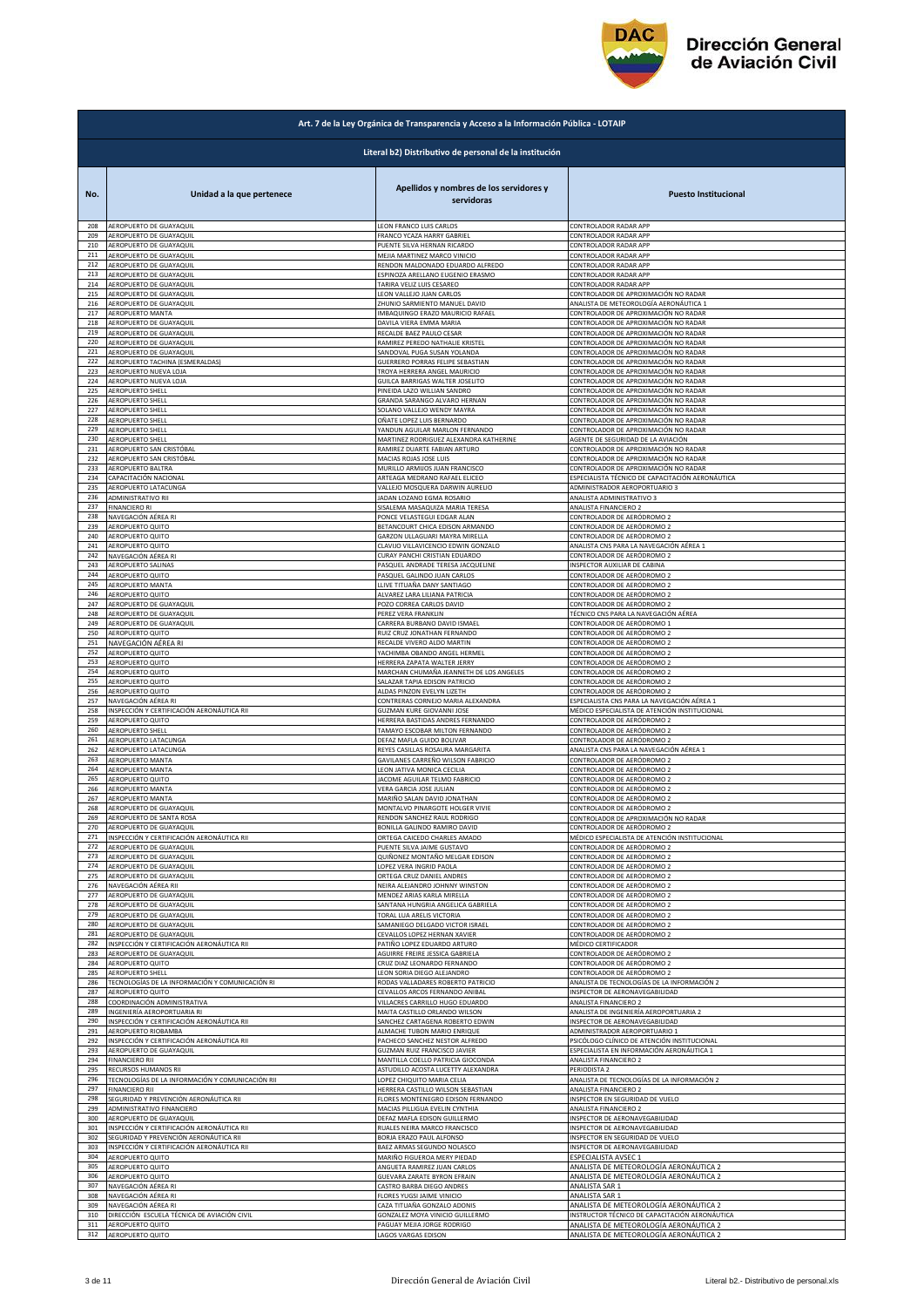

|            | Art. 7 de la Ley Orgánica de Transparencia y Acceso a la Información Pública - LOTAIP |                                                                |                                                     |  |
|------------|---------------------------------------------------------------------------------------|----------------------------------------------------------------|-----------------------------------------------------|--|
|            | Literal b2) Distributivo de personal de la institución                                |                                                                |                                                     |  |
|            |                                                                                       |                                                                |                                                     |  |
| No.        | Unidad a la que pertenece                                                             | Apellidos y nombres de los servidores y                        | <b>Puesto Institucional</b>                         |  |
|            |                                                                                       | servidoras                                                     |                                                     |  |
| 208        | AEROPUERTO DE GUAYAQUIL                                                               | LEON FRANCO LUIS CARLOS                                        | CONTROLADOR RADAR APP                               |  |
| 209        | AEROPUERTO DE GUAYAQUIL                                                               | FRANCO YCAZA HARRY GABRIEL                                     | CONTROLADOR RADAR APP                               |  |
| 210        | AEROPUERTO DE GUAYAQUIL                                                               | PUENTE SILVA HERNAN RICARDO                                    | CONTROLADOR RADAR APP                               |  |
| 211        | AEROPUERTO DE GUAYAQUIL                                                               | MEJIA MARTINEZ MARCO VINICIO                                   | <b>CONTROLADOR RADAR APP</b>                        |  |
| 212        | AEROPUERTO DE GUAYAQUIL                                                               | RENDON MALDONADO EDUARDO ALFREDO                               | <b>CONTROLADOR RADAR APP</b>                        |  |
| 213        | AEROPUERTO DE GUAYAQUIL                                                               | ESPINOZA ARELLANO EUGENIO ERASMO                               | CONTROLADOR RADAR APP                               |  |
| 214        | AEROPUERTO DE GUAYAQUIL                                                               | TARIRA VELIZ LUIS CESAREO                                      | CONTROLADOR RADAR APP                               |  |
| 215        | AEROPUERTO DE GUAYAQUIL                                                               | LEON VALLEJO JUAN CARLOS                                       | CONTROLADOR DE APROXIMACIÓN NO RADAR                |  |
| 216        | AEROPUERTO DE GUAYAQUIL                                                               | ZHUNIO SARMIENTO MANUEL DAVID                                  | ANALISTA DE METEOROLOGÍA AERONÁUTICA 1              |  |
| 217        | AEROPUERTO MANTA                                                                      | IMBAQUINGO ERAZO MAURICIO RAFAEL                               | CONTROLADOR DE APROXIMACIÓN NO RADAR                |  |
| 218        | AEROPUERTO DE GUAYAQUIL                                                               | DAVILA VIERA EMMA MARIA                                        | CONTROLADOR DE APROXIMACIÓN NO RADAR                |  |
| 219        | AEROPUERTO DE GUAYAQUIL                                                               | RECALDE BAEZ PAULO CESAR                                       | CONTROLADOR DE APROXIMACIÓN NO RADAR                |  |
| 220        | AEROPUERTO DE GUAYAQUIL                                                               | RAMIREZ PEREDO NATHALIE KRISTEL                                | CONTROLADOR DE APROXIMACIÓN NO RADAR                |  |
| 221        | AEROPUERTO DE GUAYAQUIL                                                               | SANDOVAL PUGA SUSAN YOLANDA                                    | CONTROLADOR DE APROXIMACIÓN NO RADAR                |  |
| 222        | AEROPUERTO TACHINA (ESMERALDAS)                                                       | GUERRERO PORRAS FELIPE SEBASTIAN                               | CONTROLADOR DE APROXIMACIÓN NO RADAR                |  |
| 223        | AEROPUERTO NUEVA LOJA                                                                 | TROYA HERRERA ANGEL MAURICIO                                   | ONTROLADOR DE APROXIMACIÓN NO RADAR                 |  |
| 224        | AEROPUERTO NUEVA LOJA                                                                 | GUILCA BARRIGAS WALTER JOSELITO                                | CONTROLADOR DE APROXIMACIÓN NO RADAR                |  |
| 225        | AEROPUERTO SHELL                                                                      | PINEIDA LAZO WILLIAN SANDRO                                    | CONTROLADOR DE APROXIMACIÓN NO RADAR                |  |
| 226        | AEROPUERTO SHELL                                                                      | GRANDA SARANGO ALVARO HERNAN                                   | CONTROLADOR DE APROXIMACIÓN NO RADAR                |  |
| 227        | AEROPUERTO SHELL                                                                      | SOLANO VALLEJO WENDY MAYRA                                     | CONTROLADOR DE APROXIMACIÓN NO RADAR                |  |
| 228        | AEROPUERTO SHELL                                                                      | OÑATE LOPEZ LUIS BERNARDO                                      | CONTROLADOR DE APROXIMACIÓN NO RADAR                |  |
| 229        | <b>AEROPUERTO SHELL</b>                                                               | YANDUN AGUILAR MARLON FERNANDO                                 | CONTROLADOR DE APROXIMACIÓN NO RADAR                |  |
| 230        | AEROPUERTO SHELL                                                                      | MARTINEZ RODRIGUEZ ALEXANDRA KATHERINE                         | AGENTE DE SEGURIDAD DE LA AVIACIÓN                  |  |
| 231        | AEROPUERTO SAN CRISTÓBAL                                                              | RAMIREZ DUARTE FABIAN ARTURO                                   | CONTROLADOR DE APROXIMACIÓN NO RADAR                |  |
| 232        | AEROPUERTO SAN CRISTÓBAL                                                              | MACIAS ROJAS JOSE LUIS                                         | CONTROLADOR DE APROXIMACIÓN NO RADAR                |  |
| 233        | AEROPUERTO BALTRA                                                                     | MURILLO ARMIJOS JUAN FRANCISCO                                 | CONTROLADOR DE APROXIMACIÓN NO RADAR                |  |
| 234        | CAPACITACIÓN NACIONAL                                                                 | ARTEAGA MEDRANO RAFAEL ELICEO                                  | ESPECIALISTA TÉCNICO DE CAPACITACIÓN AERONÁUTICA    |  |
| 235        | AEROPUERTO LATACUNGA                                                                  | VALLEJO MOSQUERA DARWIN AURELIO                                | ADMINISTRADOR AEROPORTUARIO 3                       |  |
| 236        | ADMINISTRATIVO RII                                                                    | JADAN LOZANO EGMA ROSARIO                                      | ANALISTA ADMINISTRATIVO 3                           |  |
| 237<br>238 | <b>FINANCIERO RI</b>                                                                  | SISALEMA MASAQUIZA MARIA TERESA                                | ANALISTA FINANCIERO 2<br>CONTROLADOR DE AERÓDROMO 2 |  |
| 239        | NAVEGACIÓN AÉREA RI<br>AEROPUERTO QUITO                                               | PONCE VELASTEGUI EDGAR ALAN<br>BETANCOURT CHICA EDISON ARMANDO | CONTROLADOR DE AERÓDROMO 2                          |  |
| 240        | AEROPUERTO QUITO                                                                      | GARZON ULLAGUARI MAYRA MIRELLA                                 | CONTROLADOR DE AERÓDROMO 2                          |  |
| 241        | AEROPUERTO QUITO                                                                      | CLAVIJO VILLAVICENCIO EDWIN GONZALO                            | ANALISTA CNS PARA LA NAVEGACIÓN AÉREA 1             |  |
| 242        | NAVEGACIÓN AÉREA RI                                                                   | CURAY PANCHI CRISTIAN EDUARDO                                  | CONTROLADOR DE AERÓDROMO 2                          |  |
| 243        | AEROPUERTO SALINAS                                                                    | PASQUEL ANDRADE TERESA JACQUELINE                              | <b>NSPECTOR AUXILIAR DE CABINA</b>                  |  |
| 244        | AEROPUERTO QUITO                                                                      | PASQUEL GALINDO JUAN CARLOS                                    | CONTROLADOR DE AERÓDROMO 2                          |  |
| 245        | AEROPUERTO MANTA                                                                      | LLIVE TITUAÑA DANY SANTIAGO                                    | CONTROLADOR DE AERÓDROMO 2                          |  |
| 246        | AEROPUERTO QUITO                                                                      | ALVAREZ LARA LILIANA PATRICIA                                  | CONTROLADOR DE AERÓDROMO 2                          |  |
| 247        | AEROPUERTO DE GUAYAQUIL                                                               | POZO CORREA CARLOS DAVID                                       | CONTROLADOR DE AERÓDROMO 2                          |  |
| 248        | AEROPUERTO DE GUAYAQUIL                                                               | PEREZ VERA FRANKLIN                                            | ÉCNICO CNS PARA LA NAVEGACIÓN AÉREA                 |  |
| 249        | AEROPUERTO DE GUAYAQUIL                                                               | CARRERA BURBANO DAVID ISMAEL                                   | CONTROLADOR DE AERÓDROMO 1                          |  |
| 250        | AEROPUERTO QUITO                                                                      | RUIZ CRUZ JONATHAN FERNANDO                                    | CONTROLADOR DE AERÓDROMO 2                          |  |
| 251        | NAVEGACIÓN AÉREA RI                                                                   | RECALDE VIVERO ALDO MARTIN                                     | CONTROLADOR DE AERÓDROMO 2                          |  |
| 252        | AEROPUERTO QUITO                                                                      | YACHIMBA OBANDO ANGEL HERMEL                                   | CONTROLADOR DE AERÓDROMO 2                          |  |
| 253        | AEROPUERTO QUITO                                                                      | HERRERA ZAPATA WALTER JERRY                                    | CONTROLADOR DE AERÓDROMO 2                          |  |
| 254        | AEROPUERTO QUITO                                                                      | MARCHAN CHUMAÑA JEANNETH DE LOS ANGELES                        | CONTROLADOR DE AERÓDROMO 2                          |  |
| 255        | AEROPUERTO QUITO                                                                      | SALAZAR TAPIA EDISON PATRICIO                                  | CONTROLADOR DE AERÓDROMO 2                          |  |
| 256        | AEROPUERTO QUITO                                                                      | ALDAS PINZON EVELYN LIZETH                                     | CONTROLADOR DE AERÓDROMO 2                          |  |
| 257        | NAVEGACIÓN AÉREA RI                                                                   | CONTRERAS CORNEJO MARIA ALEXANDRA                              | ESPECIALISTA CNS PARA LA NAVEGACIÓN AÉREA 1         |  |
| 258        | INSPECCIÓN Y CERTIFICACIÓN AERONÁUTICA RII                                            | GUZMAN KURE GIOVANNI JOSE                                      | MÉDICO ESPECIALISTA DE ATENCIÓN INSTITUCIONAL       |  |
| 259        | AEROPUERTO QUITO                                                                      | HERRERA BASTIDAS ANDRES FERNANDO                               | CONTROLADOR DE AERÓDROMO 2                          |  |
| 260        | <b>AEROPUERTO SHELL</b>                                                               | TAMAYO ESCOBAR MILTON FERNANDO                                 | CONTROLADOR DE AERÓDROMO 2                          |  |
| 261        | AEROPUERTO LATACUNGA                                                                  | DEFAZ MAFLA GUIDO BOLIVAR                                      | CONTROLADOR DE AERÓDROMO 2                          |  |
| 262        | AEROPUERTO LATACUNGA                                                                  | REYES CASILLAS ROSAURA MARGARITA                               | ANALISTA CNS PARA LA NAVEGACIÓN AÉREA 1             |  |
| 263        | AEROPUERTO MANTA                                                                      | GAVILANES CARREÑO WILSON FABRICIO                              | CONTROLADOR DE AERÓDROMO 2                          |  |
| 264        | AEROPUERTO MANTA                                                                      | LEON JATIVA MONICA CECILIA                                     | CONTROLADOR DE AERÓDROMO 2                          |  |
| 265        | AEROPUERTO QUITO                                                                      | <b>JACOME AGUILAR TELMO FABRICIO</b>                           | CONTROLADOR DE AERÓDROMO 2                          |  |
| 266        | <b>AEROPUERTO MANTA</b>                                                               | VERA GARCIA JOSE JULIAN                                        | CONTROLADOR DE AERÓDROMO 2                          |  |
| 267        | AEROPUERTO MANTA                                                                      | MARIÑO SALAN DAVID JONATHAN                                    | CONTROLADOR DE AERÓDROMO 2                          |  |
| 268        | <b>POPLIERTO DE GLIA</b>                                                              | MONTALVO PINARCOTE HOL                                         | ONTROLADOR DE AERÓI                                 |  |
| 269        | AEROPUERTO DE SANTA ROSA                                                              | RENDON SANCHEZ RAUL RODRIGO                                    | CONTROLADOR DE APROXIMACIÓN NO RADAR                |  |
| 270        | AEROPUERTO DE GUAYAQUIL                                                               | BONILLA GALINDO RAMIRO DAVID                                   | CONTROLADOR DE AERÓDROMO 2                          |  |
| 271        | INSPECCIÓN Y CERTIFICACIÓN AERONÁUTICA RII                                            | ORTEGA CAICEDO CHARLES AMADO                                   | MÉDICO ESPECIALISTA DE ATENCIÓN INSTITUCIONAL       |  |
| 272        | AEROPUERTO DE GUAYAQUIL                                                               | PUENTE SILVA JAIME GUSTAVO                                     | CONTROLADOR DE AERÓDROMO 2                          |  |
| 273        | AEROPUERTO DE GUAYAQUIL                                                               | QUIÑONEZ MONTAÑO MELGAR EDISON                                 | CONTROLADOR DE AERÓDROMO 2                          |  |
| 274        | AEROPUERTO DE GUAYAQUIL                                                               | LOPEZ VERA INGRID PAOLA                                        | CONTROLADOR DE AERÓDROMO 2                          |  |
| 275        | AEROPUERTO DE GUAYAQUIL                                                               | ORTEGA CRUZ DANIEL ANDRES                                      | CONTROLADOR DE AERÓDROMO 2                          |  |
| 276        | NAVEGACIÓN AÉREA RII                                                                  | NEIRA ALEJANDRO JOHNNY WINSTON                                 | CONTROLADOR DE AERÓDROMO 2                          |  |
| 277        | AEROPUERTO DE GUAYAQUIL                                                               | MENDEZ ARIAS KARLA MIRELLA                                     | CONTROLADOR DE AERÓDROMO 2                          |  |
| 278        | AEROPUERTO DE GUAYAQUIL                                                               | SANTANA HUNGRIA ANGELICA GABRIELA                              | CONTROLADOR DE AERÓDROMO 2                          |  |
| 279        | AEROPUERTO DE GUAYAQUIL                                                               | <b>TORAL LUA ARELIS VICTORIA</b>                               | CONTROLADOR DE AERÓDROMO 2                          |  |
| 280        | AEROPUERTO DE GUAYAQUIL                                                               | SAMANIEGO DELGADO VICTOR ISRAEL                                | CONTROLADOR DE AERÓDROMO 2                          |  |
| 281        | AEROPUERTO DE GUAYAQUIL                                                               | CEVALLOS LOPEZ HERNAN XAVIER                                   | CONTROLADOR DE AERÓDROMO 2                          |  |
| 282        | INSPECCIÓN Y CERTIFICACIÓN AERONÁUTICA RII                                            | PATIÑO LOPEZ EDUARDO ARTURO                                    | MÉDICO CERTIFICADOR                                 |  |
| 283        | AEROPUERTO DE GUAYAQUIL                                                               | AGUIRRE FREIRE JESSICA GABRIELA                                | CONTROLADOR DE AERÓDROMO 2                          |  |
| 284        | AEROPUERTO QUITO                                                                      | CRUZ DIAZ LEONARDO FERNANDO                                    | CONTROLADOR DE AERÓDROMO 2                          |  |
| 285        | AEROPUERTO SHELL                                                                      | LEON SORIA DIEGO ALEJANDRO                                     | CONTROLADOR DE AERÓDROMO 2                          |  |
| 286        | TECNOLOGÍAS DE LA INFORMACIÓN Y COMUNICACIÓN RI                                       | RODAS VALLADARES ROBERTO PATRICIO                              | ANALISTA DE TECNOLOGÍAS DE LA INFORMACIÓN 2         |  |
| 287        | AEROPUERTO QUITO                                                                      | CEVALLOS ARCOS FERNANDO ANIBAL                                 | INSPECTOR DE AERONAVEGABILIDAD                      |  |
| 288        | COORDINACIÓN ADMINISTRATIVA                                                           | VILLACRES CARRILLO HUGO EDUARDO                                | ANALISTA FINANCIERO 2                               |  |
| 289        | INGENIERÍA AEROPORTUARIA RI                                                           | MAITA CASTILLO ORLANDO WILSON                                  | ANALISTA DE INGENIERÍA AEROPORTUARIA 2              |  |
| 290        | INSPECCIÓN Y CERTIFICACIÓN AERONÁUTICA RII                                            | SANCHEZ CARTAGENA ROBERTO EDWIN                                | INSPECTOR DE AERONAVEGABILIDAD                      |  |
| 291        | AEROPUERTO RIOBAMBA                                                                   | ALMACHE TUBON MARIO ENRIQUE                                    | ADMINISTRADOR AEROPORTUARIO :                       |  |
| 292        | INSPECCIÓN Y CERTIFICACIÓN AERONÁUTICA RII                                            | PACHECO SANCHEZ NESTOR ALFREDO                                 | PSICÓLOGO CLÍNICO DE ATENCIÓN INSTITUCIONAL         |  |
| 293        | AEROPUERTO DE GUAYAQUIL                                                               | GUZMAN RUIZ FRANCISCO JAVIER                                   | ESPECIALISTA EN INFORMACIÓN AERONÁUTICA 1           |  |
| 294        | <b>FINANCIERO RII</b>                                                                 | MANTILLA COELLO PATRICIA GIOCONDA                              | ANALISTA FINANCIERO 2                               |  |
| 295        | RECURSOS HUMANOS RII                                                                  | ASTUDILLO ACOSTA LUCETTY ALEXANDRA                             | PERIODISTA <sub>2</sub>                             |  |
| 296        | TECNOLOGÍAS DE LA INFORMACIÓN Y COMUNICACIÓN RII                                      | LOPEZ CHIQUITO MARIA CELIA                                     | ANALISTA DE TECNOLOGÍAS DE LA INFORMACIÓN 2         |  |
| 297        | <b>FINANCIERO RII</b>                                                                 | HERRERA CASTILLO WILSON SEBASTIAN                              | ANALISTA FINANCIERO 2                               |  |
| 298        | SEGURIDAD Y PREVENCIÓN AERONÁUTICA RII                                                | FLORES MONTENEGRO EDISON FERNANDO                              | <b>NSPECTOR EN SEGURIDAD DE VUELO</b>               |  |
| 299        | ADMINISTRATIVO FINANCIERO                                                             | MACIAS PILLIGUA EVELIN CYNTHIA                                 | ANALISTA FINANCIERO 2                               |  |
| 300        | AEROPUERTO DE GUAYAQUIL                                                               | DEFAZ MAFLA EDISON GUILLERMO                                   | <b>NSPECTOR DE AERONAVEGABILIDAD</b>                |  |
| 301        | INSPECCIÓN Y CERTIFICACIÓN AERONÁUTICA RII                                            | RUALES NEIRA MARCO FRANCISCO                                   | INSPECTOR DE AERONAVEGABILIDAD                      |  |
| 302        | SEGURIDAD Y PREVENCIÓN AERONÁUTICA RII                                                | BORJA ERAZO PAUL ALFONSO                                       | <b>NSPECTOR EN SEGURIDAD DE VUELO</b>               |  |
| 303        | INSPECCIÓN Y CERTIFICACIÓN AERONÁUTICA RII                                            | BAEZ ARMAS SEGUNDO NOLASCO                                     | INSPECTOR DE AERONAVEGABILIDAD                      |  |
| 304        | AEROPUERTO QUITO                                                                      | MARIÑO FIGUEROA MERY PIEDAD                                    | ESPECIALISTA AVSEC 1                                |  |
| 305        | AEROPUERTO QUITO                                                                      | ANGUETA RAMIREZ JUAN CARLOS                                    | ANALISTA DE METEOROLOGÍA AERONÁUTICA 2              |  |
| 306        | AEROPUERTO QUITO                                                                      | GUEVARA ZARATE BYRON EFRAIN                                    | ANALISTA DE METEOROLOGÍA AERONÁUTICA 2              |  |
| 307        | NAVEGACIÓN AÉREA RI                                                                   | CASTRO BARBA DIEGO ANDRES                                      | ANALISTA SAR 1                                      |  |
| 308        | NAVEGACIÓN AÉREA RI                                                                   | FLORES YUGSI JAIME VINICIO                                     | ANALISTA SAR 1                                      |  |
| 309        | NAVEGACIÓN AÉREA RI                                                                   | CAZA TITUAÑA GONZALO ADONIS                                    | ANALISTA DE METEOROLOGÍA AERONÁUTICA 2              |  |
| 310        | DIRECCIÓN ESCUELA TÉCNICA DE AVIACIÓN CIVIL                                           | GONZALEZ MOYA VINICIO GUILLERMO                                | INSTRUCTOR TÉCNICO DE CAPACITACIÓN AERONÁUTICA      |  |
| 311        | AEROPUERTO QUITO                                                                      | PAGUAY MEJIA JORGE RODRIGO                                     | ANALISTA DE METEOROLOGÍA AERONÁUTICA 2              |  |
| 312        | AEROPUERTO QUITO                                                                      | <b>LAGOS VARGAS EDISON</b>                                     | ANALISTA DE METEOROLOGÍA AERONÁUTICA 2              |  |
|            |                                                                                       |                                                                |                                                     |  |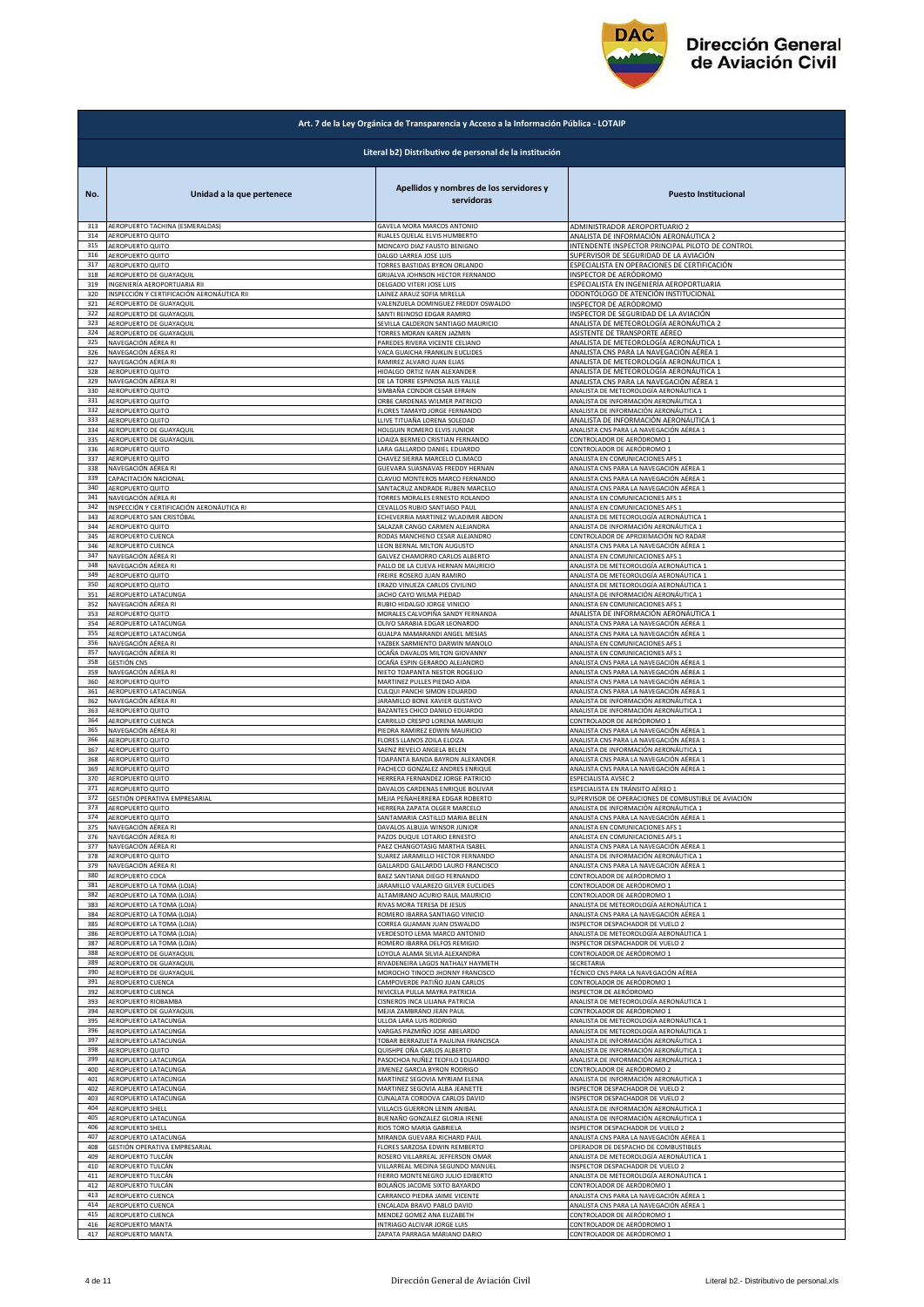

|            | Art. 7 de la Ley Orgánica de Transparencia y Acceso a la Información Pública - LOTAIP |                                                                     |                                                                                    |  |
|------------|---------------------------------------------------------------------------------------|---------------------------------------------------------------------|------------------------------------------------------------------------------------|--|
|            | Literal b2) Distributivo de personal de la institución                                |                                                                     |                                                                                    |  |
| No.        | Unidad a la que pertenece                                                             | Apellidos y nombres de los servidores y<br>servidoras               | <b>Puesto Institucional</b>                                                        |  |
| 313        | AEROPUERTO TACHINA (ESMERALDAS)                                                       | GAVELA MORA MARCOS ANTONIO                                          | ADMINISTRADOR AEROPORTUARIO 2                                                      |  |
| 314        | AEROPUERTO QUITO                                                                      | RUALES QUELAL ELVIS HUMBERTO                                        | ANALISTA DE INFORMACIÓN AERONÁUTICA 2                                              |  |
| 315        | AEROPUERTO QUITO                                                                      | MONCAYO DIAZ FAUSTO BENIGNO                                         | INTENDENTE INSPECTOR PRINCIPAL PILOTO DE CONTROL                                   |  |
| 316        | AEROPUERTO QUITO                                                                      | DALGO LARREA JOSE LUIS                                              | SUPERVISOR DE SEGURIDAD DE LA AVIACIÓN                                             |  |
| 317        | <b>AEROPUERTO QUITO</b>                                                               | TORRES BASTIDAS BYRON ORLANDO                                       | ESPECIALISTA EN OPERACIONES DE CERTIFICACIÓN                                       |  |
| 318        | AEROPUERTO DE GUAYAQUIL                                                               | GRIJALVA JOHNSON HECTOR FERNANDO                                    | INSPECTOR DE AERÓDROMO                                                             |  |
| 319        | INGENIERÍA AEROPORTUARIA RII                                                          | DELGADO VITERI JOSE LUIS                                            | ESPECIALISTA EN INGENIERÍA AEROPORTUARIA                                           |  |
| 320        | INSPECCIÓN Y CERTIFICACIÓN AERONÁUTICA RII                                            | LAINEZ ARAUZ SOFIA MIRELLA                                          | ODONTÓLOGO DE ATENCIÓN INSTITUCIONAL                                               |  |
| 321        | AEROPUERTO DE GUAYAQUIL                                                               | VALENZUELA DOMINGUEZ FREDDY OSWALDO                                 | INSPECTOR DE AERÓDROMO                                                             |  |
| 322        | AEROPUERTO DE GUAYAQUIL                                                               | SANTI REINOSO EDGAR RAMIRO                                          | INSPECTOR DE SEGURIDAD DE LA AVIACIÓN                                              |  |
| 323        | AEROPUERTO DE GUAYAQUIL                                                               | SEVILLA CALDERON SANTIAGO MAURICIO                                  | ANALISTA DE METEOROLOGÍA AERONÁUTICA 2                                             |  |
| 324        | AEROPUERTO DE GUAYAQUIL                                                               | TORRES MORAN KAREN JAZMIN                                           | ASISTENTE DE TRANSPORTE AÉREO                                                      |  |
| 325        | NAVEGACIÓN AÉREA RI                                                                   | PAREDES RIVERA VICENTE CELIANO                                      | ANALISTA DE METEOROLOGÍA AERONÁUTICA 1                                             |  |
| 326        | NAVEGACIÓN AÉREA RI                                                                   | VACA GUAICHA FRANKLIN EUCLIDES                                      | ANALISTA CNS PARA LA NAVEGACIÓN AÉREA 1                                            |  |
| 327        | NAVEGACIÓN AÉREA RI                                                                   | RAMIREZ ALVARO JUAN ELIAS                                           | ANALISTA DE METEOROLOGÍA AERONÁUTICA 1                                             |  |
| 328        | AEROPUERTO QUITO                                                                      | HIDALGO ORTIZ IVAN ALEXANDER                                        | ANALISTA DE METEOROLOGÍA AERONÁUTICA 1                                             |  |
| 329        | NAVEGACIÓN AÉREA RI                                                                   | DE LA TORRE ESPINOSA ALIS YALILE                                    | ANALISTA CNS PARA LA NAVEGACIÓN AÉREA 1                                            |  |
| 330        | AEROPUERTO QUITO                                                                      | SIMBAÑA CONDOR CESAR EFRAIN                                         | ANALISTA DE METEOROLOGÍA AERONÁUTICA 1                                             |  |
| 331        | AEROPUERTO QUITO                                                                      | ORBE CARDENAS WILMER PATRICIO                                       | ANALISTA DE INFORMACIÓN AERONÁUTICA 1                                              |  |
| 332        | AEROPUERTO QUITO                                                                      | FLORES TAMAYO JORGE FERNANDO                                        | ANALISTA DE INFORMACIÓN AERONÁUTICA 1                                              |  |
| 333        | AEROPUERTO QUITO                                                                      | LLIVE TITUAÑA LORENA SOLEDAD                                        | ANALISTA DE INFORMACIÓN AERONÁUTICA 1                                              |  |
| 334        | AEROPUERTO DE GUAYAQUIL                                                               | HOLGUIN ROMERO ELVIS JUNIOR                                         | ANALISTA CNS PARA LA NAVEGACIÓN AÉREA 1                                            |  |
| 335        | AEROPUERTO DE GUAYAQUIL                                                               | LOAIZA BERMEO CRISTIAN FERNANDO                                     | CONTROLADOR DE AERÓDROMO 1                                                         |  |
| 336        | AEROPUERTO QUITO                                                                      | LARA GALLARDO DANIEL EDUARDO                                        | CONTROLADOR DE AERÓDROMO 1                                                         |  |
| 337        | AEROPUERTO QUITO                                                                      | CHAVEZ SIERRA MARCELO CLIMACO                                       | ANALISTA EN COMUNICACIONES AFS 1                                                   |  |
| 338        | NAVEGACIÓN AÉREA RI                                                                   | GUEVARA SUASNAVAS FREDDY HERNAN                                     | ANALISTA CNS PARA LA NAVEGACIÓN AÉREA 1                                            |  |
| 339        | CAPACITACIÓN NACIONAL                                                                 | CLAVIJO MONTEROS MARCO FERNANDO                                     | ANALISTA CNS PARA LA NAVEGACIÓN AÉREA 1                                            |  |
| 340        | <b>AEROPUERTO QUITO</b>                                                               | SANTACRUZ ANDRADE RUBEN MARCELO                                     | ANALISTA CNS PARA LA NAVEGACIÓN AÉREA 1                                            |  |
| 341        | NAVEGACIÓN AÉREA RI                                                                   | TORRES MORALES ERNESTO ROLANDO                                      | ANALISTA EN COMUNICACIONES AFS 1                                                   |  |
| 342        | NSPECCIÓN Y CERTIFICACIÓN AERONÁUTICA RI                                              | CEVALLOS RUBIO SANTIAGO PAUL                                        | ANALISTA EN COMUNICACIONES AFS 1                                                   |  |
| 343        | AEROPUERTO SAN CRISTÓBAL                                                              | ECHEVERRIA MARTINEZ WLADIMIR ABDON                                  | ANALISTA DE METEOROLOGÍA AERONÁUTICA 1                                             |  |
| 344        | AEROPUERTO QUITO                                                                      | SALAZAR CANGO CARMEN ALEJANDRA                                      | ANALISTA DE INFORMACIÓN AERONÁUTICA 1                                              |  |
| 345<br>346 | AEROPUERTO CUENCA                                                                     | RODAS MANCHENO CESAR ALEJANDRO                                      | CONTROLADOR DE APROXIMACIÓN NO RADAR                                               |  |
| 347        | AEROPUERTO CUENCA                                                                     | LEON BERNAL MILTON AUGUSTO                                          | ANALISTA CNS PARA LA NAVEGACIÓN AÉREA 1                                            |  |
|            | NAVEGACIÓN AÉREA RI                                                                   | GALVEZ CHAMORRO CARLOS ALBERTO                                      | ANALISTA EN COMUNICACIONES AFS 1                                                   |  |
| 348        | NAVEGACIÓN AÉREA RI                                                                   | PALLO DE LA CUEVA HERNAN MAURICIO                                   | ANALISTA DE METEOROLOGÍA AERONÁUTICA 1                                             |  |
| 349        | AEROPUERTO QUITO                                                                      | FREIRE ROSERO JUAN RAMIRO                                           | ANALISTA DE METEOROLOGÍA AERONÁUTICA 1                                             |  |
| 350        | AEROPUERTO QUITO                                                                      | ERAZO VINUEZA CARLOS CIVILINO                                       | ANALISTA DE METEOROLOGÍA AERONÁUTICA 1                                             |  |
| 351        | AEROPUERTO LATACUNGA                                                                  | JACHO CAYO WILMA PIEDAD                                             | ANALISTA DE INFORMACIÓN AERONÁUTICA 1                                              |  |
| 352        | NAVEGACIÓN AÉREA RI                                                                   | RUBIO HIDALGO JORGE VINICIO                                         | ANALISTA EN COMUNICACIONES AFS 1                                                   |  |
| 353        | AEROPUERTO QUITO                                                                      | MORALES CALVOPIÑA SANDY FERNANDA                                    |                                                                                    |  |
| 354        | AEROPUERTO LATACUNGA                                                                  | OLIVO SARABIA EDGAR LEONARDO                                        | ANALISTA DE INFORMACIÓN AERONÁUTICA 1<br>ANALISTA CNS PARA LA NAVEGACIÓN AÉREA 1   |  |
| 355        | AEROPUERTO LATACUNGA                                                                  | GUALPA MAMARANDI ANGEL MESIAS                                       | ANALISTA CNS PARA LA NAVEGACIÓN AÉREA 1                                            |  |
| 356        | NAVEGACIÓN AÉREA RI                                                                   | YAZBEK SARMIENTO DARWIN MANOLO                                      | ANALISTA EN COMUNICACIONES AFS 1                                                   |  |
| 357        | NAVEGACIÓN AÉREA RI                                                                   | OCAÑA DAVALOS MILTON GIOVANNY                                       | ANALISTA EN COMUNICACIONES AFS 1                                                   |  |
| 358        | GESTIÓN CNS                                                                           | OCAÑA ESPIN GERARDO ALEJANDRO                                       | ANALISTA CNS PARA LA NAVEGACIÓN AÉREA 1                                            |  |
| 359        | NAVEGACIÓN AÉREA RI                                                                   | NIETO TOAPANTA NESTOR ROGELIO                                       | ANALISTA CNS PARA LA NAVEGACIÓN AÉREA 1                                            |  |
| 360        | AEROPUERTO QUITO                                                                      | MARTINEZ PULLES PIEDAD AIDA                                         | ANALISTA CNS PARA LA NAVEGACIÓN AÉREA 1                                            |  |
| 361        | AEROPUERTO LATACUNGA                                                                  | CULQUI PANCHI SIMON EDUARDO                                         | ANALISTA CNS PARA LA NAVEGACIÓN AÉREA 1                                            |  |
| 362        | NAVEGACIÓN AÉREA RI                                                                   | JARAMILLO BONE XAVIER GUSTAVO                                       | ANALISTA DE INFORMACIÓN AERONÁUTICA 1                                              |  |
| 363        | AEROPUERTO QUITO                                                                      | BAZANTES CHICO DANILO EDUARDO                                       | ANALISTA DE INFORMACIÓN AERONÁUTICA 1                                              |  |
| 364        | AEROPUERTO CUENCA                                                                     | CARRILLO CRESPO LORENA MARIUXI                                      | CONTROLADOR DE AERÓDROMO 1                                                         |  |
| 365        | NAVEGACIÓN AÉREA RI                                                                   | PIEDRA RAMIREZ EDWIN MAURICIO                                       | ANALISTA CNS PARA LA NAVEGACIÓN AÉREA 1                                            |  |
| 366        | AEROPUERTO QUITO                                                                      | FLORES LLANOS ZOILA ELOIZA                                          | ANALISTA CNS PARA LA NAVEGACIÓN AÉREA 1                                            |  |
| 367        | <b>AEROPUERTO QUITO</b>                                                               | SAENZ REVELO ANGELA BELEN                                           | ANALISTA DE INFORMACIÓN AERONÁUTICA 1                                              |  |
| 368<br>369 | AEROPUERTO QUITO                                                                      | TOAPANTA BANDA BAYRON ALEXANDER                                     | ANALISTA CNS PARA LA NAVEGACIÓN AÉREA 1<br>ANALISTA CNS PARA LA NAVEGACIÓN AÉREA 1 |  |
| 370        | AEROPUERTO QUITO<br>AEROPUERTO QUITO                                                  | PACHECO GONZALEZ ANDRES ENRIQUE<br>HERRERA FERNANDEZ JORGE PATRICIO | ESPECIALISTA AVSEC 2                                                               |  |
| 371        | AEROPUERTO QUITO                                                                      | DAVALOS CARDENAS ENRIQUE BOLIVAR                                    | ESPECIALISTA EN TRÁNSITO AÉREO 1                                                   |  |
| 372        | GESTIÓN OPERATIVA EMPRESARIAL                                                         | MEJIA PEÑAHERRERA EDGAR ROBERTO                                     | SUPERVISOR DE OPERACIONES DE COMBUSTIBLE DE AVIACIÓN                               |  |
| 374        | <b>AFROPLIERTO OLIITO</b>                                                             | HERRERA ZAPATA OLGER MARCELO                                        | MALISTA DE INFORMACIÓN AFRONÁLITICA 1                                              |  |
|            | AEROPUERTO QUITO                                                                      | SANTAMARIA CASTILLO MARIA BELEN                                     | ANALISTA CNS PARA LA NAVEGACIÓN AÉREA 1                                            |  |
| 375        | NAVEGACIÓN AÉREA RI                                                                   | DAVALOS ALBUJA WINSOR JUNIOR                                        | ANALISTA EN COMUNICACIONES AFS 1                                                   |  |
| 376        | NAVEGACIÓN AÉREA RI                                                                   | PAZOS DUQUE LOTARIO ERNESTO                                         | ANALISTA EN COMUNICACIONES AFS 1                                                   |  |
| 377        | VAVEGACIÓN AÉREA RI                                                                   | PAEZ CHANGOTASIG MARTHA ISABEL                                      | ANALISTA CNS PARA LA NAVEGACIÓN AÉREA 1                                            |  |
| 378        | AEROPUERTO QUITO                                                                      | SUAREZ JARAMILLO HECTOR FERNANDO                                    | ANALISTA DE INFORMACIÓN AERONÁUTICA 1                                              |  |
| 379        | NAVEGACIÓN AÉREA RI                                                                   | GALLARDO GALLARDO LAURO FRANCISCO                                   | ANALISTA CNS PARA LA NAVEGACIÓN AÉREA 1                                            |  |
| 380        | AEROPUERTO COCA                                                                       | BAEZ SANTIANA DIEGO FERNANDO                                        | CONTROLADOR DE AERÓDROMO 1                                                         |  |
| 381        | AEROPUERTO LA TOMA (LOJA)                                                             | JARAMILLO VALAREZO GILVER EUCLIDES                                  | CONTROLADOR DE AERÓDROMO 1                                                         |  |
| 382        | AEROPUERTO LA TOMA (LOJA)                                                             | ALTAMIRANO ACURIO RAUL MAURICIO                                     | CONTROLADOR DE AERÓDROMO 1                                                         |  |
| 383        | AEROPUERTO LA TOMA (LOJA)                                                             | RIVAS MORA TERESA DE JESUS                                          | ANALISTA DE METEOROLOGÍA AERONÁUTICA 1                                             |  |
| 384        | AEROPUERTO LA TOMA (LOJA)                                                             | ROMERO IBARRA SANTIAGO VINICIO                                      | ANALISTA CNS PARA LA NAVEGACIÓN AÉREA 1                                            |  |
| 385        |                                                                                       | CORREA GUAMAN JUAN OSWALDO                                          | <b>INSPECTOR DESPACHADOR DE VUELO 2</b>                                            |  |
| 386        | AEROPUERTO LA TOMA (LOJA)<br>AEROPUERTO LA TOMA (LOJA)                                | VERDESOTO LEMA MARCO ANTONIO                                        | ANALISTA DE METEOROLOGÍA AERONÁUTICA 1                                             |  |
| 387        | AEROPUERTO LA TOMA (LOJA)                                                             | ROMERO IBARRA DELFOS REMIGIO                                        | <b>NSPECTOR DESPACHADOR DE VUELO 2</b>                                             |  |
| 388        | AEROPUERTO DE GUAYAQUIL                                                               | LOYOLA ALAMA SILVIA ALEXANDRA                                       | CONTROLADOR DE AERÓDROMO 1                                                         |  |
| 389        | AEROPUERTO DE GUAYAQUIL                                                               | RIVADENEIRA LAGOS NATHALY HAYMETH                                   | SECRETARIA                                                                         |  |
| 390        | <b>AEROPUERTO DE GUAYAQUIL</b>                                                        | MOROCHO TINOCO JHONNY FRANCISCO                                     | TÉCNICO CNS PARA LA NAVEGACIÓN AÉREA                                               |  |
| 391        | <b>AEROPUERTO CUENCA</b>                                                              | CAMPOVERDE PATIÑO JUAN CARLOS                                       | CONTROLADOR DE AERÓDROMO 1                                                         |  |
| 392        | AEROPUERTO CUENCA                                                                     | NIVICELA PULLA MAYRA PATRICIA                                       | <b>NSPECTOR DE AERÓDROMO</b>                                                       |  |
| 393        | AEROPUERTO RIOBAMBA                                                                   | CISNEROS INCA LILIANA PATRICIA                                      | ANALISTA DE METEOROLOGÍA AERONÁUTICA 1                                             |  |
| 394        | AEROPUERTO DE GUAYAQUIL                                                               | MEJIA ZAMBRANO JEAN PAUL                                            | CONTROLADOR DE AERÓDROMO 1                                                         |  |
| 395        | AEROPUERTO LATACUNGA                                                                  | ULLOA LARA LUIS RODRIGO                                             | ANALISTA DE METEOROLOGÍA AERONÁUTICA 1                                             |  |
| 396        | AEROPUERTO LATACUNGA                                                                  | VARGAS PAZMIÑO JOSE ABELARDO                                        | ANALISTA DE METEOROLOGÍA AERONÁUTICA 1                                             |  |
| 397        | AEROPUERTO LATACUNGA                                                                  | TOBAR BERRAZUETA PAULINA FRANCISCA                                  | ANALISTA DE INFORMACIÓN AERONÁUTICA 1                                              |  |
| 398        | AEROPUERTO QUITO                                                                      | QUISHPE OÑA CARLOS ALBERTO                                          | ANALISTA DE INFORMACIÓN AERONÁUTICA 1                                              |  |
| 399        | AEROPUERTO LATACUNGA                                                                  | PASOCHOA NUÑEZ TEOFILO EDUARDO                                      | ANALISTA DE INFORMACIÓN AERONÁUTICA 1                                              |  |
| 400        | AEROPUERTO LATACUNGA                                                                  | JIMENEZ GARCIA BYRON RODRIGO                                        | CONTROLADOR DE AERÓDROMO 2                                                         |  |
| 401        | AEROPUERTO LATACUNGA                                                                  | MARTINEZ SEGOVIA MYRIAM ELENA                                       | ANALISTA DE INFORMACIÓN AERONÁUTICA 1                                              |  |
| 402        | AEROPUERTO LATACUNGA                                                                  | MARTINEZ SEGOVIA ALBA JEANETTE                                      | NSPECTOR DESPACHADOR DE VUELO 2                                                    |  |
| 403        | AEROPUERTO LATACUNGA                                                                  | CUNALATA CORDOVA CARLOS DAVID                                       | NSPECTOR DESPACHADOR DE VUELO 2                                                    |  |
| 404        | AEROPUERTO SHELL                                                                      | VILLACIS GUERRON LENIN ANIBAL                                       | ANALISTA DE INFORMACIÓN AERONÁUTICA 1                                              |  |
| 405        | AEROPUERTO LATACUNGA                                                                  | BUENAÑO GONZALEZ GLORIA IRENE                                       | ANALISTA DE INFORMACIÓN AERONÁUTICA 1                                              |  |
| 406        | AEROPUERTO SHELL                                                                      | RIOS TORO MARIA GABRIELA                                            | NSPECTOR DESPACHADOR DE VUELO 2                                                    |  |
| 407<br>408 | AEROPUERTO LATACUNGA                                                                  | MIRANDA GUEVARA RICHARD PAUL                                        | ANALISTA CNS PARA LA NAVEGACIÓN AÉREA 1                                            |  |
| 409        | GESTIÓN OPERATIVA EMPRESARIAL                                                         | FLORES SARZOSA EDWIN REMBERTO                                       | OPERADOR DE DESPACHO DE COMBUSTIBLES                                               |  |
|            | AEROPUERTO TULCÁN                                                                     | ROSERO VILLARREAL JEFFERSON OMAR                                    | ANALISTA DE METEOROLOGÍA AERONÁUTICA 1                                             |  |
| 410        | AEROPUERTO TULCÁN                                                                     | VILLARREAL MEDINA SEGUNDO MANUEL                                    | NSPECTOR DESPACHADOR DE VUELO 2                                                    |  |
| 411        | AEROPUERTO TULCÁN                                                                     | FIERRO MONTENEGRO JULIO EDIBERTO                                    | ANALISTA DE METEOROLOGÍA AERONÁUTICA 1                                             |  |
| 412        | AEROPUERTO TULCÁN                                                                     | BOLAÑOS JACOME SIXTO BAYARDO                                        | CONTROLADOR DE AERÓDROMO 1                                                         |  |
| 413        | AEROPUERTO CUENCA                                                                     | CARRANCO PIEDRA JAIME VICENTE                                       | ANALISTA CNS PARA LA NAVEGACIÓN AÉREA 1                                            |  |
| 414        | <b>AEROPUERTO CUENCA</b>                                                              | ENCALADA BRAVO PABLO DAVID                                          | ANALISTA CNS PARA LA NAVEGACIÓN AÉREA 1                                            |  |
| 415        | <b>AEROPUERTO CUENCA</b>                                                              | MENDEZ GOMEZ ANA ELIZABETH                                          | CONTROLADOR DE AERÓDROMO 1                                                         |  |
| 416        | <b>LEROPUERTO MANTA</b>                                                               | INTRIAGO ALCIVAR JORGE LUIS                                         | CONTROLADOR DE AERÓDROMO 1                                                         |  |
| 417        | AEROPUERTO MANTA                                                                      | ZAPATA PARRAGA MARIANO DARIO                                        | CONTROLADOR DE AERÓDROMO 1                                                         |  |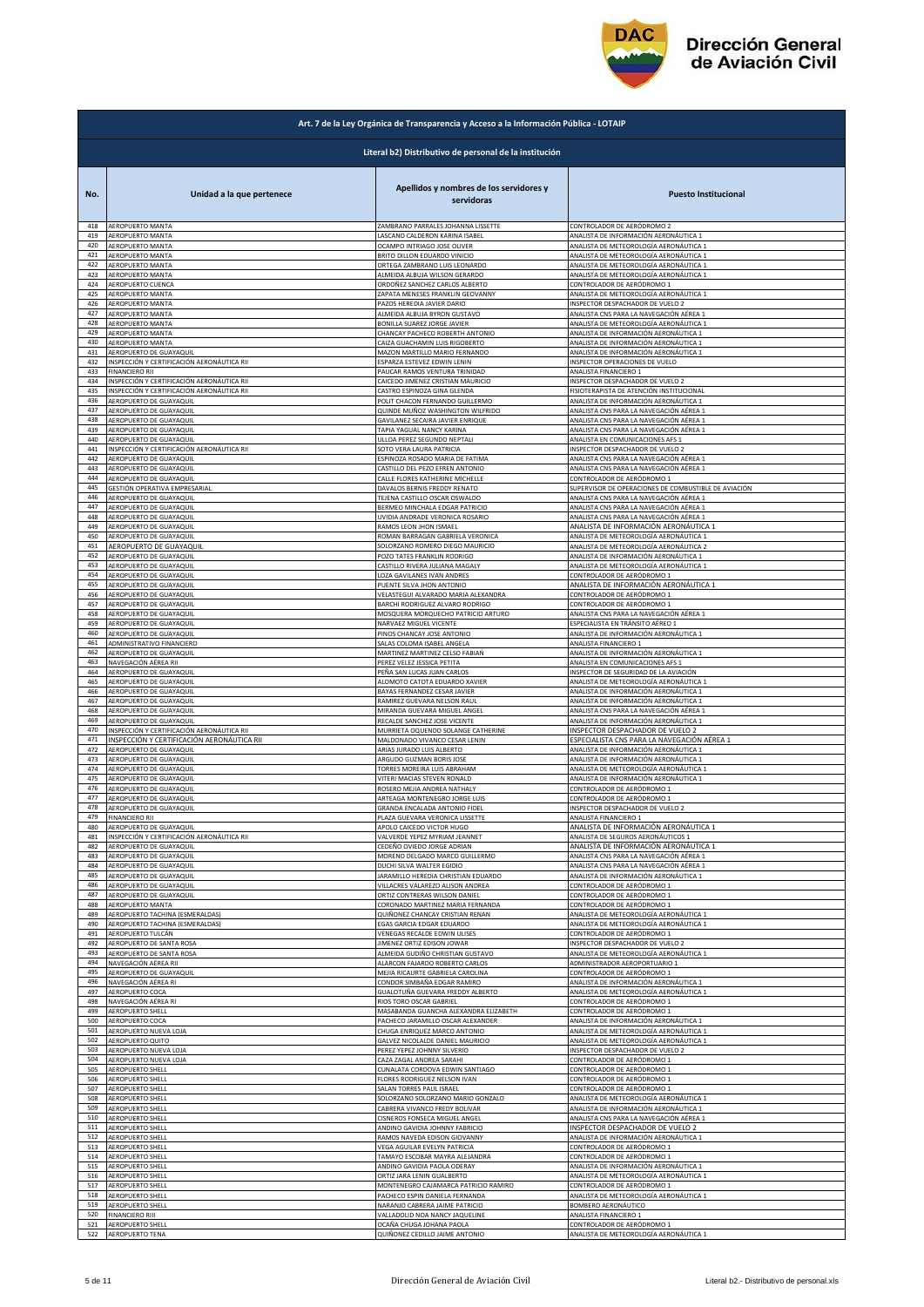

|            | Art. 7 de la Ley Orgánica de Transparencia y Acceso a la Información Pública - LOTAIP |                                                              |                                                                |  |
|------------|---------------------------------------------------------------------------------------|--------------------------------------------------------------|----------------------------------------------------------------|--|
|            | Literal b2) Distributivo de personal de la institución                                |                                                              |                                                                |  |
| No.        | Unidad a la que pertenece                                                             | Apellidos y nombres de los servidores y<br>servidoras        | <b>Puesto Institucional</b>                                    |  |
| 418        | <b>AEROPUERTO MANTA</b>                                                               | ZAMBRANO PARRALES JOHANNA LISSETTE                           | CONTROLADOR DE AERÓDROMO 2                                     |  |
| 419        | AEROPUERTO MANTA                                                                      | LASCANO CALDERON KARINA ISABEL                               | ANALISTA DE INFORMACIÓN AERONÁUTICA 1                          |  |
| 420        | AEROPUERTO MANTA                                                                      | OCAMPO INTRIAGO JOSE OLIVER                                  | ANALISTA DE METEOROLOGÍA AERONÁUTICA 1                         |  |
| 421        | AEROPUERTO MANTA                                                                      | BRITO DILLON EDUARDO VINICIO                                 | ANALISTA DE METEOROLOGÍA AERONÁUTICA 1                         |  |
| 422        | AEROPUERTO MANTA                                                                      | ORTEGA ZAMBRANO LUIS LEONARDO                                | ANALISTA DE METEOROLOGÍA AERONÁUTICA 1                         |  |
| 423        | AEROPUERTO MANTA                                                                      | ALMEIDA ALBUJA WILSON GERARDO                                | ANALISTA DE METEOROLOGÍA AERONÁUTICA 1                         |  |
| 424        | AEROPUERTO CUENCA                                                                     | ORDOÑEZ SANCHEZ CARLOS ALBERTO                               | CONTROLADOR DE AERÓDROMO 1                                     |  |
| 425        | AEROPUERTO MANTA                                                                      | ZAPATA MENESES FRANKLIN GEOVANNY                             | ANALISTA DE METEOROLOGÍA AERONÁUTICA 1                         |  |
| 426        | AEROPUERTO MANTA                                                                      | PAZOS HEREDIA JAVIER DARIO                                   | INSPECTOR DESPACHADOR DE VUELO 2                               |  |
| 427        | AEROPUERTO MANTA                                                                      | ALMEIDA ALBUJA BYRON GUSTAVO                                 | ANALISTA CNS PARA LA NAVEGACIÓN AÉREA 1                        |  |
| 428        | AEROPUERTO MANTA                                                                      | BONILLA SUAREZ JORGE JAVIER                                  | ANALISTA DE METEOROLOGÍA AERONÁUTICA 1                         |  |
| 429        | AEROPUERTO MANTA                                                                      | CHANCAY PACHECO ROBERTH ANTONIO                              | ANALISTA DE INFORMACIÓN AERONÁUTICA 1                          |  |
| 430        | AEROPUERTO MANTA                                                                      | CAIZA GUACHAMIN LUIS RIGOBERTO                               | ANALISTA DE INFORMACIÓN AERONÁUTICA 1                          |  |
| 431        | AEROPUERTO DE GUAYAQUIL                                                               | MAZON MARTILLO MARIO FERNANDO                                | ANALISTA DE INFORMACIÓN AERONÁUTICA 1                          |  |
| 432        | INSPECCIÓN Y CERTIFICACIÓN AERONÁUTICA RII                                            | ESPARZA ESTEVEZ EDWIN LENIN                                  | INSPECTOR OPERACIONES DE VUELO                                 |  |
| 433        | <b>FINANCIERO RII</b>                                                                 | PAUCAR RAMOS VENTURA TRINIDAD                                | ANALISTA FINANCIERO 1                                          |  |
| 434        | INSPECCIÓN Y CERTIFICACIÓN AERONÁUTICA RII                                            | CAICEDO JIMENEZ CRISTIAN MAURICIO                            | INSPECTOR DESPACHADOR DE VUELO 2                               |  |
| 435        | INSPECCIÓN Y CERTIFICACIÓN AERONÁUTICA RII                                            | CASTRO ESPINOZA GINA GLENDA                                  | FISIOTERAPISTA DE ATENCIÓN INSTITUCIONAL                       |  |
| 436        | AEROPUERTO DE GUAYAQUIL                                                               | POLIT CHACON FERNANDO GUILLERMO                              | ANALISTA DE INFORMACIÓN AERONÁUTICA 1                          |  |
| 437        | AEROPUERTO DE GUAYAQUIL                                                               | QUINDE MUÑOZ WASHINGTON WILFRIDO                             | ANALISTA CNS PARA LA NAVEGACIÓN AÉREA 1                        |  |
| 438        | AEROPUERTO DE GUAYAQUIL                                                               | GAVILANEZ SECAIRA JAVIER ENRIQUE                             | ANALISTA CNS PARA LA NAVEGACIÓN AÉREA 1                        |  |
| 439        | AEROPUERTO DE GUAYAQUIL                                                               | TAPIA YAGUAL NANCY KARINA                                    | ANALISTA CNS PARA LA NAVEGACIÓN AÉREA 1                        |  |
| 440        | AEROPUERTO DE GUAYAQUIL                                                               | ULLOA PEREZ SEGUNDO NEPTALI                                  | ANALISTA EN COMUNICACIONES AFS 1                               |  |
| 441        | INSPECCIÓN Y CERTIFICACIÓN AERONÁUTICA RII                                            | SOTO VERA LAURA PATRICIA                                     | INSPECTOR DESPACHADOR DE VUELO 2                               |  |
| 442        | AEROPUERTO DE GUAYAQUIL                                                               | ESPINOZA ROSADO MARIA DE FATIMA                              | ANALISTA CNS PARA LA NAVEGACIÓN AÉREA 1                        |  |
| 443        | AEROPUERTO DE GUAYAQUIL                                                               | CASTILLO DEL PEZO EFREN ANTONIO                              | ANALISTA CNS PARA LA NAVEGACIÓN AÉREA 1                        |  |
| 444        | AEROPUERTO DE GUAYAQUIL                                                               | CALLE FLORES KATHERINE MICHELLE                              | CONTROLADOR DE AERÓDROMO 1                                     |  |
| 445        | GESTIÓN OPERATIVA EMPRESARIAL                                                         | DAVALOS BERNIS FREDDY RENATO                                 | SUPERVISOR DE OPERACIONES DE COMBUSTIBLE DE AVIACIÓN           |  |
| 446        | AEROPUERTO DE GUAYAQUIL                                                               | TEJENA CASTILLO OSCAR OSWALDO                                | ANALISTA CNS PARA LA NAVEGACIÓN AÉREA 1                        |  |
| 447        | AEROPUERTO DE GUAYAQUIL                                                               | BERMEO MINCHALA EDGAR PATRICIO                               | ANALISTA CNS PARA LA NAVEGACIÓN AÉREA 1                        |  |
| 448        | AEROPUERTO DE GUAYAQUIL                                                               | UVIDIA ANDRADE VERONICA ROSARIO                              | ANALISTA CNS PARA LA NAVEGACIÓN AÉREA 1                        |  |
| 449        | AEROPUERTO DE GUAYAQUIL                                                               | RAMOS LEON JHON ISMAEL                                       | ANALISTA DE INFORMACIÓN AERONÁUTICA 1                          |  |
| 450        | AEROPUERTO DE GUAYAQUIL                                                               | ROMAN BARRAGAN GABRIELA VERONICA                             | ANALISTA DE METEOROLOGÍA AERONÁUTICA 1                         |  |
| 451        | AEROPUERTO DE GUAYAQUI                                                                | SOLORZANO ROMERO DIEGO MAURICIO                              | ANALISTA DE METEOROLOGÍA AERONÁUTICA 2                         |  |
| 452        | AEROPUERTO DE GUAYAQUIL                                                               | POZO TATES FRANKLIN RODRIGO                                  | ANALISTA DE INFORMACIÓN AERONÁUTICA 1                          |  |
| 453        | AEROPUERTO DE GUAYAQUIL                                                               | CASTILLO RIVERA JULIANA MAGALY                               | ANALISTA DE METEOROLOGÍA AERONÁUTICA 1                         |  |
| 454        | AEROPUERTO DE GUAYAQUIL                                                               | LOZA GAVILANES IVAN ANDRES                                   | CONTROLADOR DE AERÓDROMO 1                                     |  |
| 455        | AEROPUERTO DE GUAYAQUIL                                                               | PUENTE SILVA JHON ANTONIO                                    | ANALISTA DE INFORMACIÓN AERONÁUTICA 1                          |  |
| 456        | AEROPUERTO DE GUAYAQUIL                                                               | VELASTEGUI ALVARADO MARIA ALEXANDRA                          | CONTROLADOR DE AERÓDROMO 1                                     |  |
| 457        | AEROPUERTO DE GUAYAQUIL                                                               | BARCHI RODRIGUEZ ALVARO RODRIGO                              | CONTROLADOR DE AERÓDROMO 1                                     |  |
| 458        | AEROPUERTO DE GUAYAQUIL                                                               | MOSQUERA MORQUECHO PATRICIO ARTURO                           | ANALISTA CNS PARA LA NAVEGACIÓN AÉREA 1                        |  |
| 459        | AEROPUERTO DE GUAYAQUIL                                                               | NARVAEZ MIGUEL VICENTE                                       | ESPECIALISTA EN TRÁNSITO AÉREO 1                               |  |
| 460        | AEROPUERTO DE GUAYAQUIL                                                               | PINOS CHANCAY JOSE ANTONIO                                   | ANALISTA DE INFORMACIÓN AERONÁUTICA 1                          |  |
| 461        | ADMINISTRATIVO FINANCIERO                                                             | SALAS COLOMA ISABEL ANGELA                                   | ANALISTA FINANCIERO 1                                          |  |
| 462        | AEROPUERTO DE GUAYAQUIL                                                               | MARTINEZ MARTINEZ CELSO FABIAN                               | ANALISTA DE INFORMACIÓN AERONÁUTICA 1                          |  |
| 463        | NAVEGACIÓN AÉREA RII                                                                  | PEREZ VELEZ JESSICA PETITA                                   | ANALISTA EN COMUNICACIONES AFS 1                               |  |
| 464        | AEROPUERTO DE GUAYAQUIL                                                               | PEÑA SAN LUCAS JUAN CARLOS                                   | INSPECTOR DE SEGURIDAD DE LA AVIACIÓN                          |  |
| 465        | AEROPUERTO DE GUAYAQUIL                                                               | ALOMOTO CATOTA EDUARDO XAVIER                                | ANALISTA DE METEOROLOGÍA AERONÁUTICA 1                         |  |
| 466        | AEROPUERTO DE GUAYAQUIL                                                               | BAYAS FERNANDEZ CESAR JAVIER                                 | ANALISTA DE INFORMACIÓN AERONÁUTICA 1                          |  |
| 467        | AEROPUERTO DE GUAYAQUIL                                                               | RAMIREZ GUEVARA NELSON RAUL                                  | ANALISTA DE INFORMACIÓN AERONÁUTICA 1                          |  |
| 468        | AEROPUERTO DE GUAYAQUIL                                                               | MIRANDA GUEVARA MIGUEL ANGEL                                 | ANALISTA CNS PARA LA NAVEGACIÓN AÉREA 1                        |  |
| 469        | AEROPUERTO DE GUAYAQUIL                                                               | RECALDE SANCHEZ JOSE VICENTE                                 | ANALISTA DE INFORMACIÓN AERONÁUTICA 1                          |  |
| 470        | INSPECCIÓN Y CERTIFICACIÓN AERONÁUTICA RII                                            | MURRIETA OQUENDO SOLANGE CATHERINE                           | INSPECTOR DESPACHADOR DE VUELO 2                               |  |
| 471        | INSPECCIÓN Y CERTIFICACIÓN AERONÁUTICA RII                                            | MALDONADO VIVANCO CESAR LENIN                                | ESPECIALISTA CNS PARA LA NAVEGACIÓN AÉREA 1                    |  |
| 472        | AEROPUERTO DE GUAYAQUIL                                                               | ARIAS JURADO LUIS ALBERTO                                    | ANALISTA DE INFORMACIÓN AERONÁUTICA 1                          |  |
| 473        | AEROPUERTO DE GUAYAQUIL                                                               | ARGUDO GUZMAN BORIS JOSE                                     | ANALISTA DE INFORMACIÓN AERONÁUTICA 1                          |  |
| 474        | AEROPUERTO DE GUAYAQUIL                                                               | TORRES MOREIRA LUIS ABRAHAM                                  | ANALISTA DE METEOROLOGÍA AERONÁUTICA 1                         |  |
| 475        | AEROPUERTO DE GUAYAQUIL                                                               | VITERI MACIAS STEVEN RONALD                                  | ANALISTA DE INFORMACIÓN AERONÁUTICA 1                          |  |
| 476        | AEROPUERTO DE GUAYAQUIL                                                               | ROSERO MEJIA ANDREA NATHALY                                  | CONTROLADOR DE AERÓDROMO 1                                     |  |
| 477        | AEROPUERTO DE GUAYAQUIL                                                               | ARTEAGA MONTENEGRO JORGE LUIS                                | CONTROLADOR DE AERÓDROMO 1                                     |  |
| 479        | AERORLIERTO DE GUAVAOUL<br><b>FINANCIERO RII</b>                                      | GRANDA ENCALADA ANTONIO FIDEI                                | NSPECTOR DESPACHADOR DE VILIEI                                 |  |
| 480        | AEROPUERTO DE GUAYAQUIL                                                               | PLAZA GUEVARA VERONICA LISSETTE<br>APOLO CAICEDO VICTOR HUGO | ANALISTA FINANCIERO 1<br>ANALISTA DE INFORMACIÓN AERONÁUTICA 1 |  |
| 481        | INSPECCIÓN Y CERTIFICACIÓN AERONÁUTICA RII                                            | VALVERDE YEPEZ MYRIAM JEANNET                                | ANALISTA DE SEGUROS AERONÁUTICOS 1                             |  |
| 482        | AEROPUERTO DE GUAYAQUIL                                                               | CEDEÑO OVIEDO JORGE ADRIAN                                   | ANALISTA DE INFORMACIÓN AERONÁUTICA 1                          |  |
| 483        | AEROPUERTO DE GUAYAQUIL                                                               | MORENO DELGADO MARCO GUILLERMO                               | ANALISTA CNS PARA LA NAVEGACIÓN AÉREA 1                        |  |
| 484        | AEROPUERTO DE GUAYAQUIL                                                               | DUCHI SILVA WALTER EGIDIO                                    | ANALISTA CNS PARA LA NAVEGACIÓN AÉREA 1                        |  |
| 485        | AEROPUERTO DE GUAYAQUIL                                                               | ARAMILLO HEREDIA CHRISTIAN EDUARDO                           | ANALISTA DE INFORMACIÓN AERONÁUTICA 1                          |  |
| 486        | AEROPUERTO DE GUAYAQUIL                                                               | VILLACRES VALAREZO ALISON ANDREA                             | CONTROLADOR DE AERÓDROMO 1                                     |  |
| 487        | AEROPUERTO DE GUAYAQUIL                                                               | ORTIZ CONTRERAS WILSON DANIEL                                | CONTROLADOR DE AERÓDROMO 1                                     |  |
| 488        | AEROPUERTO MANTA                                                                      | CORONADO MARTINEZ MARIA FERNANDA                             | CONTROLADOR DE AERÓDROMO 1                                     |  |
| 489        | AEROPUERTO TACHINA (ESMERALDAS)                                                       | QUIÑONEZ CHANCAY CRISTIAN RENAN                              | ANALISTA DE METEOROLOGÍA AERONÁUTICA 1                         |  |
| 490        | AEROPUERTO TACHINA (ESMERALDAS)                                                       | EGAS GARCIA EDGAR EDUARDO                                    | ANALISTA DE METEOROLOGÍA AERONÁUTICA 1                         |  |
| 491        | AEROPUERTO TULCÁN                                                                     | VENEGAS RECALDE EDWIN ULISES                                 | CONTROLADOR DE AERÓDROMO 1                                     |  |
| 492        | AEROPUERTO DE SANTA ROSA                                                              | JIMENEZ ORTIZ EDISON JOWAR                                   | INSPECTOR DESPACHADOR DE VUELO 2                               |  |
| 493        | AEROPUERTO DE SANTA ROSA                                                              | ALMEIDA GUDIÑO CHRISTIAN GUSTAVO                             | ANALISTA DE METEOROLOGÍA AERONÁUTICA 1                         |  |
| 494        | NAVEGACIÓN AÉREA RII                                                                  | ALARCON FAJARDO ROBERTO CARLOS                               | ADMINISTRADOR AEROPORTUARIO 1                                  |  |
| 495        | AEROPUERTO DE GUAYAQUIL                                                               | MEJIA RICAURTE GABRIELA CAROLINA                             | CONTROLADOR DE AERÓDROMO 1                                     |  |
| 496        | NAVEGACIÓN AÉREA RI                                                                   | CONDOR SIMBAÑA EDGAR RAMIRO                                  | ANALISTA DE INFORMACIÓN AERONÁUTICA 1                          |  |
| 497        | AEROPUERTO COCA                                                                       | GUALOTUÑA GUEVARA FREDDY ALBERTO                             | ANALISTA DE METEOROLOGÍA AERONÁUTICA 1                         |  |
| 498        | NAVEGACIÓN AÉREA RI                                                                   | RIOS TORO OSCAR GABRIEL                                      | CONTROLADOR DE AERÓDROMO 1                                     |  |
| 499        | <b>AEROPUERTO SHELL</b>                                                               | MASABANDA GUANCHA ALEXANDRA ELIZABETH                        | CONTROLADOR DE AERÓDROMO 1                                     |  |
| 500        | AEROPUERTO COCA                                                                       | PACHECO JARAMILLO OSCAR ALEXANDER                            | ANALISTA DE INFORMACIÓN AERONÁUTICA 1                          |  |
| 501        | AEROPUERTO NUEVA LOJA                                                                 | CHUGA ENRIQUEZ MARCO ANTONIO                                 | ANALISTA DE METEOROLOGÍA AERONÁUTICA 1                         |  |
| 502        | AEROPUERTO QUITO                                                                      | GALVEZ NICOLALDE DANIEL MAURICIO                             | ANALISTA DE METEOROLOGÍA AERONÁUTICA 1                         |  |
| 503<br>504 | AEROPUERTO NUEVA LOJA                                                                 | PEREZ YEPEZ JOHNNY SILVERIO                                  | INSPECTOR DESPACHADOR DE VUELO 2<br>CONTROLADOR DE AERÓDROMO 1 |  |
| 505        | AEROPUERTO NUEVA LOJA<br>AEROPUERTO SHELL                                             | CAZA ZAGAL ANDREA SARAHI<br>CUNALATA CORDOVA EDWIN SANTIAGO  | CONTROLADOR DE AERÓDROMO 1                                     |  |
| 506        | AEROPUERTO SHELL                                                                      | FLORES RODRIGUEZ NELSON IVAN                                 | CONTROLADOR DE AERÓDROMO 1                                     |  |
| 507        | AEROPUERTO SHELL                                                                      | <b>SALAN TORRES PAUL ISRAEL</b>                              | CONTROLADOR DE AERÓDROMO 1                                     |  |
| 508        | AEROPUERTO SHELL                                                                      | SOLORZANO SOLORZANO MARIO GONZALO                            | ANALISTA DE METEOROLOGÍA AERONÁUTICA 1                         |  |
| 509        | AEROPUERTO SHELL                                                                      | CABRERA VIVANCO FREDY BOLIVAR                                | ANALISTA DE INFORMACIÓN AERONÁUTICA 1                          |  |
| 510<br>511 | AEROPUERTO SHELL                                                                      | CISNEROS FONSECA MIGUEL ANGEL                                | ANALISTA CNS PARA LA NAVEGACIÓN AÉREA 1                        |  |
| 512        | AEROPUERTO SHELL                                                                      | ANDINO GAVIDIA JOHNNY FABRICIO                               | INSPECTOR DESPACHADOR DE VUELO 2                               |  |
|            | AEROPUERTO SHELL                                                                      | RAMOS NAVEDA EDISON GIOVANNY                                 | ANALISTA DE INFORMACIÓN AERONÁUTICA 1                          |  |
| 513        | AEROPUERTO SHELL                                                                      | VEGA AGUILAR EVELYN PATRICIA                                 | CONTROLADOR DE AERÓDROMO 1                                     |  |
| 514        | AEROPUERTO SHELL                                                                      | <b>TAMAYO ESCOBAR MAYRA ALEJANDRA</b>                        | CONTROLADOR DE AERÓDROMO 1                                     |  |
| 515        | AEROPUERTO SHELL                                                                      | ANDINO GAVIDIA PAOLA ODERAY                                  | ANALISTA DE INFORMACIÓN AERONÁUTICA 1                          |  |
| 516        | AEROPUERTO SHELL                                                                      | ORTIZ JARA LENIN GUALBERTO                                   | ANALISTA DE METEOROLOGÍA AERONÁUTICA 1                         |  |
| 517        | AEROPUERTO SHELL                                                                      | MONTENEGRO CAJAMARCA PATRICIO RAMIRO                         | CONTROLADOR DE AERÓDROMO 1                                     |  |
| 518        | AEROPUERTO SHELL                                                                      | PACHECO ESPIN DANIELA FERNANDA                               | ANALISTA DE METEOROLOGÍA AERONÁUTICA 1                         |  |
| 519        | <b>AEROPUERTO SHELL</b>                                                               | VARANJO CABRERA JAIME PATRICIO                               | BOMBERO AERONÁUTICO                                            |  |
| 520        | FINANCIERO RIII                                                                       | VALLADOLID NOA NANCY JAQUELINE                               | ANALISTA FINANCIERO 1                                          |  |
| 521        | AEROPUERTO SHELL                                                                      | OCAÑA CHUGA JOHANA PAOLA                                     | CONTROLADOR DE AERÓDROMO 1                                     |  |
| 522        | AEROPUERTO TENA                                                                       | QUIÑONEZ CEDILLO JAIME ANTONIO                               | ANALISTA DE METEOROLOGÍA AERONÁUTICA 1                         |  |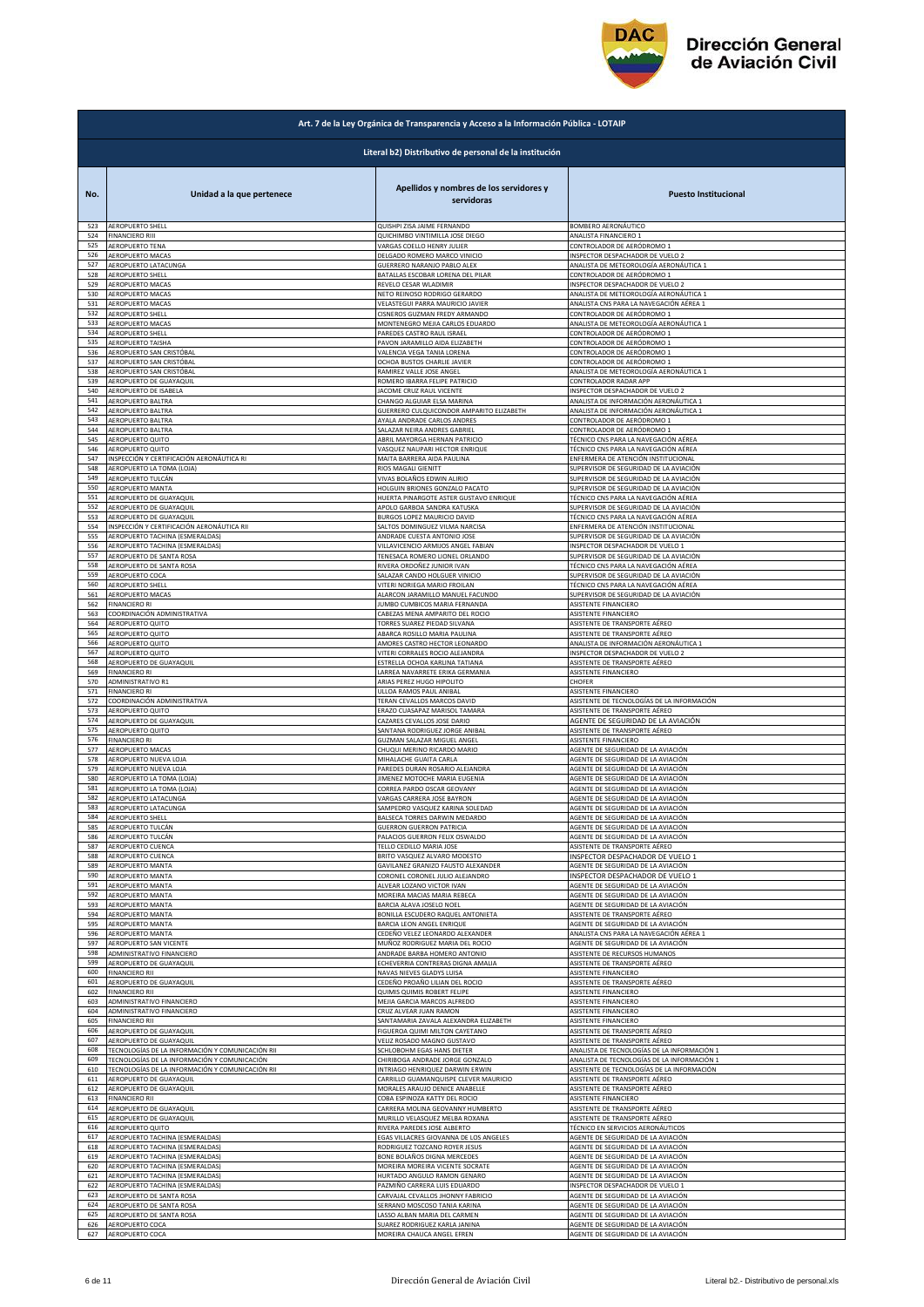

|            | Art. 7 de la Ley Orgánica de Transparencia y Acceso a la Información Pública - LOTAIP |                                                             |                                                                          |  |
|------------|---------------------------------------------------------------------------------------|-------------------------------------------------------------|--------------------------------------------------------------------------|--|
|            | Literal b2) Distributivo de personal de la institución                                |                                                             |                                                                          |  |
| No.        | Unidad a la que pertenece                                                             | Apellidos y nombres de los servidores y<br>servidoras       | <b>Puesto Institucional</b>                                              |  |
| 523        | AEROPUERTO SHELL                                                                      | QUISHPI ZISA JAIME FERNANDO                                 | BOMBERO AERONÁUTICO                                                      |  |
| 524        | <b>FINANCIERO RIII</b>                                                                | QUICHIMBO VINTIMILLA JOSE DIEGO                             | ANALISTA FINANCIERO 1                                                    |  |
| 525        | AEROPUERTO TENA                                                                       | VARGAS COELLO HENRY JULIER                                  | CONTROLADOR DE AERÓDROMO 1                                               |  |
| 526        | AEROPUERTO MACAS                                                                      | DELGADO ROMERO MARCO VINICIO                                | INSPECTOR DESPACHADOR DE VUELO 2                                         |  |
| 527        | AEROPUERTO LATACUNGA                                                                  | GUERRERO NARANJO PABLO ALEX                                 | ANALISTA DE METEOROLOGÍA AERONÁUTICA 1                                   |  |
| 528        | <b>AEROPUERTO SHELL</b>                                                               | BATALLAS ESCOBAR LORENA DEL PILAR                           | CONTROLADOR DE AERÓDROMO 1                                               |  |
| 529        | AEROPUERTO MACAS                                                                      | REVELO CESAR WLADIMIR                                       | INSPECTOR DESPACHADOR DE VUELO 2                                         |  |
| 530        | AEROPUERTO MACAS                                                                      | NETO REINOSO RODRIGO GERARDO                                | ANALISTA DE METEOROLOGÍA AERONÁUTICA 1                                   |  |
| 531        | AEROPUERTO MACAS                                                                      | VELASTEGUI PARRA MAURICIO JAVIER                            | ANALISTA CNS PARA LA NAVEGACIÓN AÉREA 1                                  |  |
| 532        | AEROPUERTO SHELL                                                                      | CISNEROS GUZMAN FREDY ARMANDO                               | CONTROLADOR DE AERÓDROMO 1                                               |  |
| 533        | AEROPUERTO MACAS                                                                      | MONTENEGRO MEJIA CARLOS EDUARDO                             | ANALISTA DE METEOROLOGÍA AERONÁUTICA 1                                   |  |
| 534        | AEROPUERTO SHELL                                                                      | PAREDES CASTRO RAUL ISRAEL                                  | CONTROLADOR DE AERÓDROMO 1                                               |  |
| 535        | AEROPUERTO TAISHA                                                                     | PAVON JARAMILLO AIDA ELIZABETH                              | CONTROLADOR DE AERÓDROMO 1                                               |  |
| 536        | AEROPUERTO SAN CRISTÓBAL                                                              | VALENCIA VEGA TANIA LORENA                                  | CONTROLADOR DE AERÓDROMO 1                                               |  |
| 537        | AEROPUERTO SAN CRISTÓBAL                                                              | OCHOA BUSTOS CHARLIE JAVIER                                 | CONTROLADOR DE AERÓDROMO 1                                               |  |
| 538        | AEROPUERTO SAN CRISTÓBAL                                                              | RAMIREZ VALLE JOSE ANGEL                                    | ANALISTA DE METEOROLOGÍA AERONÁUTICA 1                                   |  |
| 539        | AEROPUERTO DE GUAYAQUIL                                                               | ROMERO IBARRA FELIPE PATRICIO                               | CONTROLADOR RADAR APP                                                    |  |
| 540        | AEROPUERTO DE ISABELA                                                                 | JACOME CRUZ RAUL VICENTE                                    | INSPECTOR DESPACHADOR DE VUELO 2                                         |  |
| 541        | AEROPUERTO BALTRA                                                                     | CHANGO ALGUIAR ELSA MARINA                                  | ANALISTA DE INFORMACIÓN AERONÁUTICA 1                                    |  |
| 542        | AEROPUERTO BALTRA                                                                     | GUERRERO CULQUICONDOR AMPARITO ELIZABETH                    | ANALISTA DE INFORMACIÓN AERONÁUTICA 1                                    |  |
| 543        | AEROPUERTO BALTRA                                                                     | AYALA ANDRADE CARLOS ANDRES                                 | CONTROLADOR DE AERÓDROMO 1                                               |  |
| 544        | AEROPUERTO BALTRA                                                                     | SALAZAR NEIRA ANDRES GABRIEL                                | CONTROLADOR DE AERÓDROMO 1                                               |  |
| 545        | AEROPUERTO QUITO                                                                      | ABRIL MAYORGA HERNAN PATRICIO                               | TÉCNICO CNS PARA LA NAVEGACIÓN AÉREA                                     |  |
| 546        | AEROPUERTO QUITO                                                                      | VASQUEZ NAUPARI HECTOR ENRIQUE                              | TÉCNICO CNS PARA LA NAVEGACIÓN AÉREA                                     |  |
| 547        | INSPECCIÓN Y CERTIFICACIÓN AERONÁUTICA RI                                             | MAITA BARRERA AIDA PAULINA                                  | ENFERMERA DE ATENCIÓN INSTITUCIONAL                                      |  |
| 548        | AEROPUERTO LA TOMA (LOJA)                                                             | RIOS MAGALI GIENITT<br>VIVAS BOLAÑOS EDWIN ALIRIO           | SUPERVISOR DE SEGURIDAD DE LA AVIACIÓN                                   |  |
| 549        | AEROPUERTO TULCÁN                                                                     | HOLGUIN BRIONES GONZALO PACATO                              | SUPERVISOR DE SEGURIDAD DE LA AVIACIÓN                                   |  |
| 550        | AEROPUERTO MANTA                                                                      |                                                             | SUPERVISOR DE SEGURIDAD DE LA AVIACIÓN                                   |  |
| 551        | AEROPUERTO DE GUAYAQUIL                                                               | HUERTA PINARGOTE ASTER GUSTAVO ENRIQUE                      | TÉCNICO CNS PARA LA NAVEGACIÓN AÉREA                                     |  |
| 552        | AEROPUERTO DE GUAYAQUIL                                                               | APOLO GARBOA SANDRA KATUSKA                                 | SUPERVISOR DE SEGURIDAD DE LA AVIACIÓN                                   |  |
| 553        | AEROPUERTO DE GUAYAQUIL                                                               | BURGOS LOPEZ MAURICIO DAVID                                 | TÉCNICO CNS PARA LA NAVEGACIÓN AÉREA                                     |  |
| 554        | INSPECCIÓN Y CERTIFICACIÓN AERONÁUTICA RII                                            | SALTOS DOMINGUEZ VILMA NARCISA                              | ENFERMERA DE ATENCIÓN INSTITUCIONAL                                      |  |
| 555        | AEROPUERTO TACHINA (ESMERALDAS)                                                       | ANDRADE CUESTA ANTONIO JOSE                                 | SUPERVISOR DE SEGURIDAD DE LA AVIACIÓN                                   |  |
| 556        | AEROPUERTO TACHINA (ESMERALDAS)                                                       | VILLAVICENCIO ARMIJOS ANGEL FABIAN                          | INSPECTOR DESPACHADOR DE VUELO 1                                         |  |
| 557        | AEROPUERTO DE SANTA ROSA                                                              | TENESACA ROMERO LIONEL ORLANDO                              | SUPERVISOR DE SEGURIDAD DE LA AVIACIÓN                                   |  |
| 558        | AEROPUERTO DE SANTA ROSA                                                              | RIVERA ORDOÑEZ JUNIOR IVAN                                  | TÉCNICO CNS PARA LA NAVEGACIÓN AÉREA                                     |  |
| 559        | AEROPUERTO COCA                                                                       | SALAZAR CANDO HOLGUER VINICIO                               | SUPERVISOR DE SEGURIDAD DE LA AVIACIÓN                                   |  |
| 560        | AEROPUERTO SHELL                                                                      | VITERI NORIEGA MARIO FROILAN                                | TÉCNICO CNS PARA LA NAVEGACIÓN AÉREA                                     |  |
| 561        | AEROPUERTO MACAS                                                                      | ALARCON JARAMILLO MANUEL FACUNDO                            | SUPERVISOR DE SEGURIDAD DE LA AVIACIÓN                                   |  |
| 562        | <b>FINANCIERO RI</b>                                                                  | JUMBO CUMBICOS MARIA FERNANDA                               | ASISTENTE FINANCIERO                                                     |  |
| 563        | COORDINACIÓN ADMINISTRATIVA                                                           | CABEZAS MENA AMPARITO DEL ROCIO                             | ASISTENTE FINANCIERO                                                     |  |
| 564        | AEROPUERTO QUITO                                                                      | TORRES SUAREZ PIEDAD SILVANA                                | ASISTENTE DE TRANSPORTE AÉREO                                            |  |
| 565        | AEROPUERTO QUITO                                                                      | ABARCA ROSILLO MARIA PAULINA                                | ASISTENTE DE TRANSPORTE AÉREO                                            |  |
| 566        | AEROPUERTO QUITO                                                                      | AMORES CASTRO HECTOR LEONARDO                               | ANALISTA DE INFORMACIÓN AERONÁUTICA 1                                    |  |
| 567        | <b>AEROPUERTO QUITO</b>                                                               | VITERI CORRALES ROCIO ALEJANDRA                             | INSPECTOR DESPACHADOR DE VUELO 2                                         |  |
| 568        | AEROPUERTO DE GUAYAQUIL                                                               | ESTRELLA OCHOA KARLINA TATIANA                              | ASISTENTE DE TRANSPORTE AÉREO                                            |  |
| 569        | <b>FINANCIERO RI</b>                                                                  | LARREA NAVARRETE ERIKA GERMANIA                             | ASISTENTE FINANCIERO                                                     |  |
| 570        | ADMINISTRATIVO R1                                                                     | ARIAS PEREZ HUGO HIPOLITO                                   | CHOFER                                                                   |  |
| 571        | <b>FINANCIERO RI</b>                                                                  | ULLOA RAMOS PAUL ANIBAL                                     | ASISTENTE FINANCIERO                                                     |  |
| 572        | COORDINACIÓN ADMINISTRATIVA                                                           | TERAN CEVALLOS MARCOS DAVID                                 | ASISTENTE DE TECNOLOGÍAS DE LA INFORMACIÓN                               |  |
| 573        | AEROPUERTO QUITO                                                                      | ERAZO CUASAPAZ MARISOL TAMARA                               | ASISTENTE DE TRANSPORTE AÉREO                                            |  |
| 574        | AEROPUERTO DE GUAYAQUIL                                                               | CAZARES CEVALLOS JOSE DARIO                                 | AGENTE DE SEGURIDAD DE LA AVIACIÓN                                       |  |
| 575        | AEROPUERTO QUITO                                                                      | SANTANA RODRIGUEZ JORGE ANIBAL                              | ASISTENTE DE TRANSPORTE AÉREO                                            |  |
| 576        | <b>FINANCIERO RI</b>                                                                  | GUZMAN SALAZAR MIGUEL ANGEL                                 | ASISTENTE FINANCIERO                                                     |  |
| 577        | AEROPUERTO MACAS                                                                      | CHUQUI MERINO RICARDO MARIO                                 | AGENTE DE SEGURIDAD DE LA AVIACIÓN                                       |  |
| 578        | AEROPUERTO NUEVA LOJA                                                                 | MIHALACHE GUAITA CARLA                                      | AGENTE DE SEGURIDAD DE LA AVIACIÓN                                       |  |
| 579        | AEROPUERTO NUEVA LOJA                                                                 | PAREDES DURAN ROSARIO ALEJANDRA                             | AGENTE DE SEGURIDAD DE LA AVIACIÓN                                       |  |
| 580<br>581 | AEROPUERTO LA TOMA (LOJA)                                                             | JIMENEZ MOTOCHE MARIA EUGENIA<br>CORREA PARDO OSCAR GEOVANY | AGENTE DE SEGURIDAD DE LA AVIACIÓN                                       |  |
| 582        | AEROPUERTO LA TOMA (LOJA)<br>AEROPUERTO LATACUNGA                                     | VARGAS CARRERA JOSE BAYRON                                  | AGENTE DE SEGURIDAD DE LA AVIACIÓN<br>AGENTE DE SEGURIDAD DE LA AVIACIÓN |  |
| 583        | AEROPUERTO LATACUNGA                                                                  | SAMPEDRO VASQUEZ KARINA SOLI                                | AGENTE DE SEGURIDAD DE LA AVIACIÓN                                       |  |
| 584        | AEROPUERTO SHELL                                                                      | BALSECA TORRES DARWIN MEDARDO                               | AGENTE DE SEGURIDAD DE LA AVIACIÓN                                       |  |
| 585        | AEROPUERTO TULCÁN                                                                     | GUERRON GUERRON PATRICIA                                    | AGENTE DE SEGURIDAD DE LA AVIACIÓN                                       |  |
| 586        | AEROPUERTO TULCÁN                                                                     | PALACIOS GUERRON FELIX OSWALDO                              | AGENTE DE SEGURIDAD DE LA AVIACIÓN                                       |  |
| 587        | AEROPUERTO CUENCA                                                                     | TELLO CEDILLO MARIA JOSE                                    | ASISTENTE DE TRANSPORTE AÉREO                                            |  |
| 588        | AEROPUERTO CUENCA                                                                     | BRITO VASQUEZ ALVARO MODESTO                                | INSPECTOR DESPACHADOR DE VUELO 1                                         |  |
| 589        | AEROPUERTO MANTA                                                                      | GAVILANEZ GRANIZO FAUSTO ALEXANDER                          | AGENTE DE SEGURIDAD DE LA AVIACIÓN                                       |  |
| 590        | AEROPUERTO MANTA                                                                      | CORONEL CORONEL JULIO ALEJANDRO                             | INSPECTOR DESPACHADOR DE VUELO 1                                         |  |
| 591        | AEROPUERTO MANTA                                                                      | ALVEAR LOZANO VICTOR IVAN                                   | AGENTE DE SEGURIDAD DE LA AVIACIÓN                                       |  |
| 592        | AEROPUERTO MANTA                                                                      | MOREIRA MACIAS MARIA REBECA                                 | AGENTE DE SEGURIDAD DE LA AVIACIÓN                                       |  |
| 593        | AEROPUERTO MANTA                                                                      | BARCIA ALAVA JOSELO NOEL                                    | AGENTE DE SEGURIDAD DE LA AVIACIÓN                                       |  |
| 594        | AEROPUERTO MANTA                                                                      | BONILLA ESCUDERO RAQUEL ANTONIETA                           | ASISTENTE DE TRANSPORTE AÉREO                                            |  |
| 595        | AEROPUERTO MANTA                                                                      | BARCIA LEON ANGEL ENRIQUE                                   | AGENTE DE SEGURIDAD DE LA AVIACIÓN                                       |  |
| 596        | AEROPUERTO MANTA                                                                      | CEDEÑO VELEZ LEONARDO ALEXANDER                             | ANALISTA CNS PARA LA NAVEGACIÓN AÉREA 1                                  |  |
| 597        | AEROPUERTO SAN VICENTE                                                                | MUÑOZ RODRIGUEZ MARIA DEL ROCIO                             | AGENTE DE SEGURIDAD DE LA AVIACIÓN                                       |  |
| 598        | ADMINISTRATIVO FINANCIERO                                                             | ANDRADE BARBA HOMERO ANTONIO                                | ASISTENTE DE RECURSOS HUMANOS                                            |  |
| 599        | AEROPUERTO DE GUAYAQUIL                                                               | ECHEVERRIA CONTRERAS DIGNA AMALIA                           | ASISTENTE DE TRANSPORTE AÉREO                                            |  |
| 600        | <b>FINANCIERO RII</b>                                                                 | NAVAS NIEVES GLADYS LUISA                                   | ASISTENTE FINANCIERO                                                     |  |
| 601        | AEROPUERTO DE GUAYAQUIL                                                               | CEDEÑO PROAÑO LILIAN DEL ROCIO                              | ASISTENTE DE TRANSPORTE AÉREO                                            |  |
| 602        | <b>FINANCIERO RII</b>                                                                 | QUIMIS QUIMIS ROBERT FELIPE                                 | ASISTENTE FINANCIERO                                                     |  |
| 603        | ADMINISTRATIVO FINANCIERO                                                             | MEJIA GARCIA MARCOS ALFREDO                                 | ASISTENTE FINANCIERO                                                     |  |
| 604        | ADMINISTRATIVO FINANCIERO                                                             | CRUZ ALVEAR JUAN RAMON                                      | ASISTENTE FINANCIERO                                                     |  |
| 605        | <b>FINANCIERO RII</b>                                                                 | SANTAMARIA ZAVALA ALEXANDRA ELIZABETH                       | ASISTENTE FINANCIERO                                                     |  |
| 606        | AEROPUERTO DE GUAYAQUIL                                                               | FIGUEROA QUIMI MILTON CAYETANO                              | ASISTENTE DE TRANSPORTE AÉREO                                            |  |
| 607        | AEROPUERTO DE GUAYAQUIL                                                               | VELIZ ROSADO MAGNO GUSTAVO                                  | ASISTENTE DE TRANSPORTE AÉREO                                            |  |
| 608        | TECNOLOGÍAS DE LA INFORMACIÓN Y COMUNICACIÓN RII                                      | SCHLOBOHM EGAS HANS DIETER                                  | ANALISTA DE TECNOLOGÍAS DE LA INFORMACIÓN 1                              |  |
| 609        | TECNOLOGÍAS DE LA INFORMACIÓN Y COMUNICACIÓN                                          | CHIRIBOGA ANDRADE JORGE GONZALO                             | ANALISTA DE TECNOLOGÍAS DE LA INFORMACIÓN 1                              |  |
| 610        | FECNOLOGÍAS DE LA INFORMACIÓN Y COMUNICACIÓN RII                                      | NTRIAGO HENRIQUEZ DARWIN ERWIN                              | ASISTENTE DE TECNOLOGÍAS DE LA INFORMACIÓN                               |  |
| 611        | AEROPUERTO DE GUAYAQUIL                                                               | CARRILLO GUAMANQUISPE CLEVER MAURICIO                       | ASISTENTE DE TRANSPORTE AÉREO                                            |  |
| 612        | AEROPUERTO DE GUAYAQUIL                                                               | MORALES ARAUJO DENICE ANABELLE                              | ASISTENTE DE TRANSPORTE AÉREO                                            |  |
| 613        | <b>FINANCIERO RII</b>                                                                 | COBA ESPINOZA KATTY DEL ROCIO                               | ASISTENTE FINANCIERO                                                     |  |
| 614        | AEROPUERTO DE GUAYAQUIL                                                               | CARRERA MOLINA GEOVANNY HUMBERTO                            | ASISTENTE DE TRANSPORTE AÉREO                                            |  |
| 615        | AEROPUERTO DE GUAYAQUIL                                                               | MURILLO VELASQUEZ MELBA ROXANA                              | ASISTENTE DE TRANSPORTE AÉREO                                            |  |
| 616        | AEROPUERTO QUITO                                                                      | RIVERA PAREDES JOSE ALBERTO                                 | TÉCNICO EN SERVICIOS AERONÁUTICOS                                        |  |
| 617        | AEROPUERTO TACHINA (ESMERALDAS)                                                       | EGAS VILLACRES GIOVANNA DE LOS ANGELES                      | AGENTE DE SEGURIDAD DE LA AVIACIÓN                                       |  |
| 618        | AEROPUERTO TACHINA (ESMERALDAS)                                                       | RODRIGUEZ TOZCANO ROYER JESUS                               | AGENTE DE SEGURIDAD DE LA AVIACIÓN                                       |  |
| 619        | AEROPUERTO TACHINA (ESMERALDAS)                                                       | BONE BOLAÑOS DIGNA MERCEDES                                 | AGENTE DE SEGURIDAD DE LA AVIACIÓN                                       |  |
| 620        | AEROPUERTO TACHINA (ESMERALDAS)                                                       | MOREIRA MOREIRA VICENTE SOCRATE                             | AGENTE DE SEGURIDAD DE LA AVIACIÓN                                       |  |
| 621        | AEROPUERTO TACHINA (ESMERALDAS)                                                       | HURTADO ANGULO RAMON GENARC                                 | AGENTE DE SEGURIDAD DE LA AVIACIÓN                                       |  |
| 622        | AEROPUERTO TACHINA (ESMERALDAS)                                                       | PAZMIÑO CARRERA LUIS EDUARDO                                | INSPECTOR DESPACHADOR DE VUELO 1                                         |  |
| 623        | AEROPUERTO DE SANTA ROSA                                                              | CARVAJAL CEVALLOS JHONNY FABRICIO                           | AGENTE DE SEGURIDAD DE LA AVIACIÓN                                       |  |
| 624        | AEROPUERTO DE SANTA ROSA                                                              | SERRANO MOSCOSO TANIA KARINA                                | AGENTE DE SEGURIDAD DE LA AVIACIÓN                                       |  |
| 625        | AEROPUERTO DE SANTA ROSA                                                              | LASSO ALBAN MARIA DEL CARMEN                                | AGENTE DE SEGURIDAD DE LA AVIACIÓN                                       |  |
| 626        | AEROPUERTO COCA                                                                       | SUAREZ RODRIGUEZ KARLA JANINA                               | AGENTE DE SEGURIDAD DE LA AVIACIÓN                                       |  |
| 627        | AEROPUERTO COCA                                                                       | MOREIRA CHAUCA ANGEL EFREN                                  | AGENTE DE SEGURIDAD DE LA AVIACIÓN                                       |  |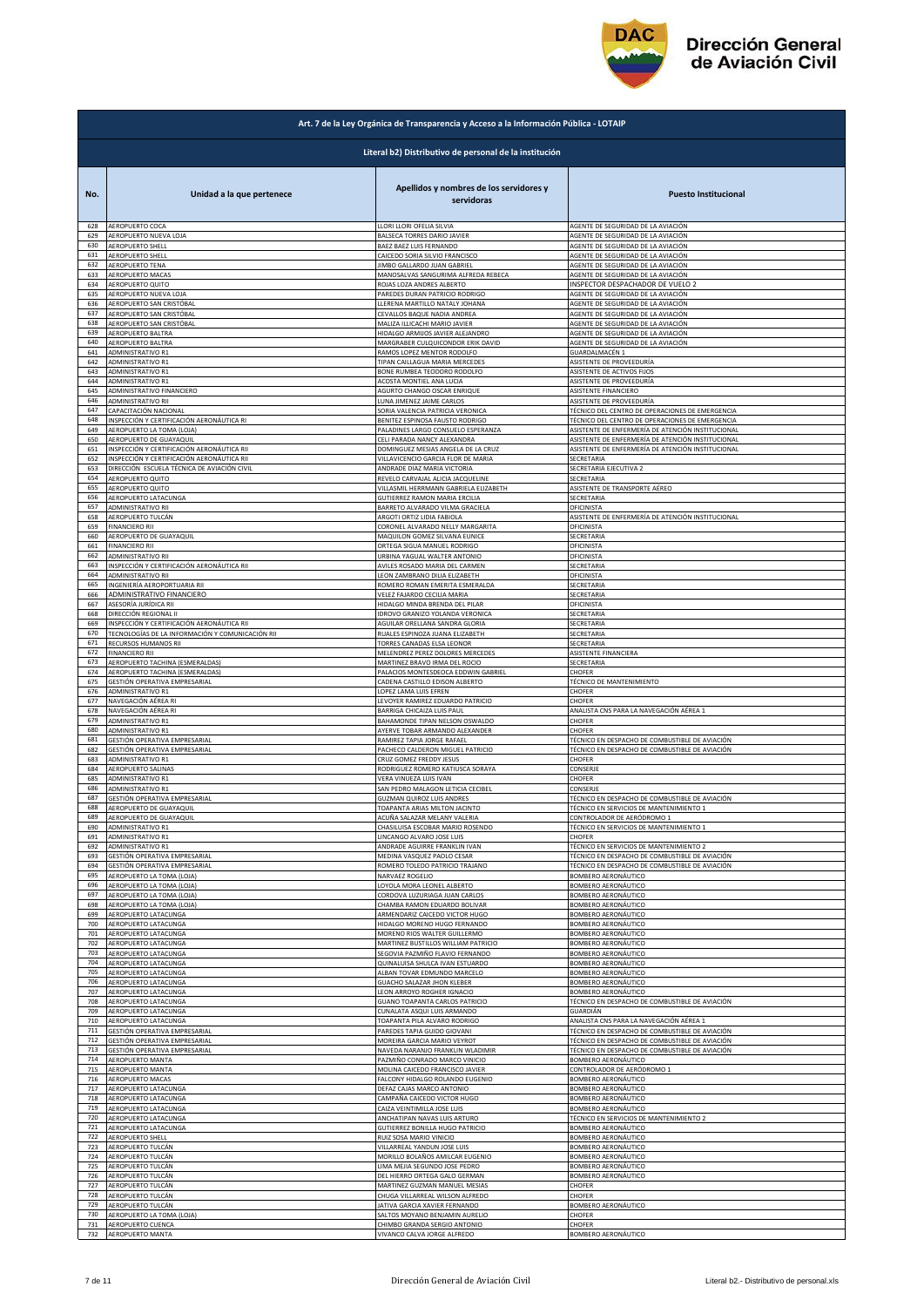

|            | Art. 7 de la Ley Orgánica de Transparencia y Acceso a la Información Pública - LOTAIP |                                                       |                                                   |  |
|------------|---------------------------------------------------------------------------------------|-------------------------------------------------------|---------------------------------------------------|--|
|            | Literal b2) Distributivo de personal de la institución                                |                                                       |                                                   |  |
| No.        | Unidad a la que pertenece                                                             | Apellidos y nombres de los servidores y<br>servidoras | <b>Puesto Institucional</b>                       |  |
| 628        | AEROPUERTO COCA                                                                       | LLORI LLORI OFELIA SILVIA                             | AGENTE DE SEGURIDAD DE LA AVIACIÓN                |  |
| 629        | AEROPUERTO NUEVA LOJA                                                                 | BALSECA TORRES DARIO JAVIER                           | AGENTE DE SEGURIDAD DE LA AVIACIÓN                |  |
| 630        | AEROPUERTO SHELL                                                                      | BAEZ BAEZ LUIS FERNANDO                               | AGENTE DE SEGURIDAD DE LA AVIACIÓN                |  |
| 631        | AEROPUERTO SHELL                                                                      | CAICEDO SORIA SILVIO FRANCISCO                        | AGENTE DE SEGURIDAD DE LA AVIACIÓN                |  |
| 632        | AEROPUERTO TENA                                                                       | JIMBO GALLARDO JUAN GABRIEL                           | AGENTE DE SEGURIDAD DE LA AVIACIÓN                |  |
| 633        | AEROPUERTO MACAS                                                                      | MANOSALVAS SANGURIMA ALFREDA REBECA                   | AGENTE DE SEGURIDAD DE LA AVIACIÓN                |  |
| 634        | AEROPUERTO QUITO                                                                      | ROJAS LOZA ANDRES ALBERTO                             | INSPECTOR DESPACHADOR DE VUELO 2                  |  |
| 635        | AEROPUERTO NUEVA LOJA                                                                 | PAREDES DURAN PATRICIO RODRIGO                        | AGENTE DE SEGURIDAD DE LA AVIACIÓN                |  |
| 636        | AEROPUERTO SAN CRISTÓBAL                                                              | LLERENA MARTILLO NATALY JOHANA                        | AGENTE DE SEGURIDAD DE LA AVIACIÓN                |  |
| 637        | AEROPUERTO SAN CRISTÓBAL                                                              | CEVALLOS BAQUE NADIA ANDREA                           | AGENTE DE SEGURIDAD DE LA AVIACIÓN                |  |
| 638        | AEROPUERTO SAN CRISTÓBAL                                                              | MALIZA ILLICACHI MARIO JAVIER                         | AGENTE DE SEGURIDAD DE LA AVIACIÓN                |  |
| 639        | AEROPUERTO BALTRA                                                                     | HIDALGO ARMIJOS JAVIER ALEJANDRO                      | AGENTE DE SEGURIDAD DE LA AVIACIÓN                |  |
| 640        | AEROPUERTO BALTRA                                                                     | MARGRABER CULQUICONDOR ERIK DAVID                     | AGENTE DE SEGURIDAD DE LA AVIACIÓN                |  |
| 641        | ADMINISTRATIVO R1                                                                     | RAMOS LOPEZ MENTOR RODOLFO                            | GUARDALMACÉN 1                                    |  |
| 642        | <b>ADMINISTRATIVO R1</b>                                                              | TIPAN CAILLAGUA MARIA MERCEDES                        | ASISTENTE DE PROVEEDURÍA                          |  |
| 643        | ADMINISTRATIVO R1                                                                     | BONE RUMBEA TEODORO RODOLFO                           | ASISTENTE DE ACTIVOS FIJOS                        |  |
| 644        | ADMINISTRATIVO R1                                                                     | ACOSTA MONTIEL ANA LUCIA                              | ASISTENTE DE PROVEEDURÍA                          |  |
| 645        | ADMINISTRATIVO FINANCIERO                                                             | AGURTO CHANGO OSCAR ENRIQUE                           | ASISTENTE FINANCIERO                              |  |
| 646        | ADMINISTRATIVO RII                                                                    | LUNA JIMENEZ JAIME CARLOS                             | ASISTENTE DE PROVEEDURÍA                          |  |
| 647        | CAPACITACIÓN NACIONAL                                                                 | SORIA VALENCIA PATRICIA VERONICA                      | TÉCNICO DEL CENTRO DE OPERACIONES DE EMERGENCIA   |  |
| 648        | INSPECCIÓN Y CERTIFICACIÓN AERONÁUTICA RI                                             | BENITEZ ESPINOSA FAUSTO RODRIGO                       | TÉCNICO DEL CENTRO DE OPERACIONES DE EMERGENCIA   |  |
| 649        | AEROPUERTO LA TOMA (LOJA)                                                             | PALADINES LARGO CONSUELO ESPERANZA                    | ASISTENTE DE ENFERMERÍA DE ATENCIÓN INSTITUCIONAL |  |
| 650        | AEROPUERTO DE GUAYAQUIL                                                               | CELI PARADA NANCY ALEXANDRA                           | ASISTENTE DE ENFERMERÍA DE ATENCIÓN INSTITUCIONAL |  |
| 651        | INSPECCIÓN Y CERTIFICACIÓN AERONÁUTICA RII                                            | DOMINGUEZ MESIAS ANGELA DE LA CRUZ                    | ASISTENTE DE ENFERMERÍA DE ATENCIÓN INSTITUCIONAL |  |
| 652        | INSPECCIÓN Y CERTIFICACIÓN AERONÁUTICA RII                                            | VILLAVICENCIO GARCIA FLOR DE MARIA                    | SECRETARIA                                        |  |
| 653        | DIRECCIÓN ESCUELA TÉCNICA DE AVIACIÓN CIVIL                                           | ANDRADE DIAZ MARIA VICTORIA                           | SECRETARIA EJECUTIVA 2                            |  |
| 654        | AEROPUERTO QUITO                                                                      | REVELO CARVAJAL ALICIA JACQUELINE                     | SECRETARIA                                        |  |
| 655        | AEROPUERTO QUITO                                                                      | VILLASMIL HERRMANN GABRIELA ELIZABETH                 | ASISTENTE DE TRANSPORTE AÉREO                     |  |
| 656        | AEROPUERTO LATACUNGA                                                                  | <b>GUTIERREZ RAMON MARIA ERCILIA</b>                  | SECRETARIA                                        |  |
| 657        | ADMINISTRATIVO RII                                                                    | BARRETO ALVARADO VILMA GRACIELA                       | OFICINISTA                                        |  |
| 658        | AEROPUERTO TULCÁN                                                                     | ARGOTI ORTIZ LIDIA FABIOLA                            | ASISTENTE DE ENFERMERÍA DE ATENCIÓN INSTITUCIONAL |  |
| 659        | <b>FINANCIERO RII</b>                                                                 | CORONEL ALVARADO NELLY MARGARITA                      | OFICINISTA                                        |  |
| 660        | AEROPUERTO DE GUAYAQUIL                                                               | MAQUILON GOMEZ SILVANA EUNICE                         | SECRETARIA                                        |  |
| 661        | <b>FINANCIERO RII</b>                                                                 | ORTEGA SIGUA MANUEL RODRIGO                           | OFICINISTA                                        |  |
| 662        | ADMINISTRATIVO RII                                                                    | URBINA YAGUAL WALTER ANTONIO                          | OFICINISTA                                        |  |
| 663        | INSPECCIÓN Y CERTIFICACIÓN AERONÁUTICA RII                                            | AVILES ROSADO MARIA DEL CARMEN                        | SECRETARIA                                        |  |
| 664        | ADMINISTRATIVO RII                                                                    | LEON ZAMBRANO DILIA ELIZABETH                         | OFICINISTA                                        |  |
| 665        | INGENIERÍA AEROPORTUARIA RII                                                          | ROMERO ROMAN EMERITA ESMERALDA                        | SECRETARIA                                        |  |
| 666        | ADMINISTRATIVO FINANCIERO                                                             | VELEZ FAJARDO CECILIA MARIA                           | SECRETARIA                                        |  |
| 667        | ASESORÍA JURÍDICA RII                                                                 | HIDALGO MINDA BRENDA DEL PILAR                        | OFICINISTA                                        |  |
| 668        | DIRECCIÓN REGIONAL II                                                                 | IDROVO GRANIZO YOLANDA VERONICA                       | ECRETARIA                                         |  |
| 669        | INSPECCIÓN Y CERTIFICACIÓN AERONÁUTICA RII                                            | AGUILAR ORELLANA SANDRA GLORIA                        | SECRETARIA                                        |  |
| 670        | TECNOLOGÍAS DE LA INFORMACIÓN Y COMUNICACIÓN RII                                      | RUALES ESPINOZA JUANA ELIZABETH                       | SECRETARIA                                        |  |
| 671        | RECURSOS HUMANOS RII                                                                  | TORRES CANADAS ELSA LEONOR                            | SECRETARIA                                        |  |
| 672        | <b>FINANCIERO RII</b>                                                                 | MELENDREZ PEREZ DOLORES MERCEDES                      | ASISTENTE FINANCIERA                              |  |
| 673        | AEROPUERTO TACHINA (ESMERALDAS)                                                       | MARTINEZ BRAVO IRMA DEL ROCIO                         | SECRETARIA                                        |  |
| 674        | AEROPUERTO TACHINA (ESMERALDAS)                                                       | PALACIOS MONTESDEOCA EDDWIN GABRIEL                   | CHOFER                                            |  |
| 675        | GESTIÓN OPERATIVA EMPRESARIAL                                                         | CADENA CASTILLO EDISON ALBERTO                        | TÉCNICO DE MANTENIMIENTO                          |  |
| 676        | ADMINISTRATIVO R1                                                                     | LOPEZ LAMA LUIS EFREN                                 | CHOFER                                            |  |
| 677        | NAVEGACIÓN AÉREA RI                                                                   | LEVOYER RAMIREZ EDUARDO PATRICIO                      | CHOFER                                            |  |
| 678        | NAVEGACIÓN AÉREA RI                                                                   | BARRIGA CHICAIZA LUIS PAUL                            | ANALISTA CNS PARA LA NAVEGACIÓN AÉREA 1           |  |
| 679        | ADMINISTRATIVO R1                                                                     | BAHAMONDE TIPAN NELSON OSWALDO                        | CHOFER                                            |  |
| 680        | ADMINISTRATIVO R1                                                                     | AYERVE TOBAR ARMANDO ALEXANDER                        | CHOFER                                            |  |
| 681        | GESTIÓN OPERATIVA EMPRESARIAL                                                         | RAMIREZ TAPIA JORGE RAFAEL                            | FÉCNICO EN DESPACHO DE COMBUSTIBLE DE AVIACIÓN    |  |
| 682        | GESTIÓN OPERATIVA EMPRESARIAL                                                         | PACHECO CALDERON MIGUEL PATRICIO                      | TÉCNICO EN DESPACHO DE COMBUSTIBLE DE AVIACIÓN    |  |
| 683        | ADMINISTRATIVO R1                                                                     | CRUZ GOMEZ FREDDY JESUS                               | CHOFER                                            |  |
| 684        | AEROPUERTO SALINAS                                                                    | RODRIGUEZ ROMERO KATIUSCA SORAYA                      | CONSERJE                                          |  |
| 685        | ADMINISTRATIVO R1                                                                     | VERA VINUEZA LUIS IVAN                                | CHOFER                                            |  |
| 686        | ADMINISTRATIVO R1                                                                     | SAN PEDRO MALAGON LETICIA CECIBEL                     | CONSERJE                                          |  |
| 687        | GESTIÓN OPERATIVA EMPRESARIAL                                                         | <b>GUZMAN QUIROZ LUIS ANDRES</b>                      | TÉCNICO EN DESPACHO DE COMBUSTIBLE DE AVIACIÓN    |  |
| 688        | AEROPUERTO DE GUAYAQU                                                                 | TOAPANTA ARIAS MILTON JACINTO                         | TÉCNICO EN SERVICIOS DE MANTENIMIENTO             |  |
| 689        | AEROPUERTO DE GUAYAQUIL                                                               | ACUÑA SALAZAR MELANY VALERIA                          | CONTROLADOR DE AERÓDROMO 1                        |  |
| 690        | ADMINISTRATIVO R1                                                                     | CHASILUISA ESCOBAR MARIO ROSENDO                      | <b>FÉCNICO EN SERVICIOS DE MANTENIMIENTO 1</b>    |  |
| 691        | ADMINISTRATIVO R1                                                                     | LINCANGO ALVARO JOSE LUIS                             | CHOFER                                            |  |
| 692        | ADMINISTRATIVO R1                                                                     | ANDRADE AGUIRRE FRANKLIN IVAN                         | <b>FÉCNICO EN SERVICIOS DE MANTENIMIENTO 2</b>    |  |
| 693        | GESTIÓN OPERATIVA EMPRESARIAL                                                         | MEDINA VASQUEZ PAOLO CESAR                            | FÉCNICO EN DESPACHO DE COMBUSTIBLE DE AVIACIÓN    |  |
| 694        | GESTIÓN OPERATIVA EMPRESARIAL                                                         | ROMERO TOLEDO PATRICIO TRAJANO                        | TÉCNICO EN DESPACHO DE COMBUSTIBLE DE AVIACIÓN    |  |
| 695        | AEROPUERTO LA TOMA (LOJA)                                                             | NARVAEZ ROGELIO                                       | BOMBERO AERONÁUTICO                               |  |
| 696        | AEROPUERTO LA TOMA (LOJA)                                                             | LOYOLA MORA LEONEL ALBERTO                            | BOMBERO AERONÁUTICO                               |  |
| 697        | AEROPUERTO LA TOMA (LOJA)                                                             | CORDOVA LUZURIAGA JUAN CARLOS                         | BOMBERO AERONÁUTICO                               |  |
| 698        | AEROPUERTO LA TOMA (LOJA)                                                             | CHAMBA RAMON EDUARDO BOLIVAR                          | BOMBERO AERONÁUTICO                               |  |
| 699        | AEROPUERTO LATACUNGA                                                                  | ARMENDARIZ CAICEDO VICTOR HUGO                        | BOMBERO AERONÁUTICO                               |  |
| 700        | AEROPUERTO LATACUNGA                                                                  | HIDALGO MORENO HUGO FERNANDO                          | BOMBERO AERONÁUTICO                               |  |
| 701        | AEROPUERTO LATACUNGA                                                                  | MORENO RIOS WALTER GUILLERMO                          | BOMBERO AERONÁUTICO                               |  |
| 702        | AEROPUERTO LATACUNGA                                                                  | MARTINEZ BUSTILLOS WILLIAM PATRICIO                   | BOMBERO AERONÁUTICO                               |  |
| 703        | AEROPUERTO LATACUNGA                                                                  | SEGOVIA PAZMIÑO FLAVIO FERNANDO                       | BOMBERO AERONÁUTICO                               |  |
| 704        | AEROPUERTO LATACUNGA                                                                  | QUINALUISA SHULCA IVAN ESTUARDO                       | BOMBERO AERONÁUTICO                               |  |
| 705        | AEROPUERTO LATACUNGA                                                                  | ALBAN TOVAR EDMUNDO MARCELO                           | BOMBERO AERONÁUTICO                               |  |
| 706        | AEROPUERTO LATACUNGA                                                                  | GUACHO SALAZAR JHON KLEBER                            | BOMBERO AERONÁUTICO                               |  |
| 707<br>708 | AEROPUERTO LATACUNGA                                                                  | LEON ARROYO ROGHER IGNACIO                            | BOMBERO AERONÁUTICO                               |  |
| 709        | AEROPUERTO LATACUNGA                                                                  | GUANO TOAPANTA CARLOS PATRICIO                        | TÉCNICO EN DESPACHO DE COMBUSTIBLE DE AVIACIÓN    |  |
|            | AEROPUERTO LATACUNGA                                                                  | CUNALATA ASQUI LUIS ARMANDO                           | GUARDIÁN                                          |  |
| 710        | AEROPUERTO LATACUNGA                                                                  | TOAPANTA PILA ALVARO RODRIGO                          | ANALISTA CNS PARA LA NAVEGACIÓN AÉREA 1           |  |
| 711        | GESTIÓN OPERATIVA EMPRESARIAL                                                         | PAREDES TAPIA GUIDO GIOVANI                           | FÉCNICO EN DESPACHO DE COMBUSTIBLE DE AVIACIÓN    |  |
| 712        | GESTIÓN OPERATIVA EMPRESARIAL                                                         | MOREIRA GARCIA MARIO VEYROT                           | TÉCNICO EN DESPACHO DE COMBUSTIBLE DE AVIACIÓN    |  |
| 713        | GESTIÓN OPERATIVA EMPRESARIAL                                                         | NAVEDA NARANJO FRANKLIN WLADIMIR                      | TÉCNICO EN DESPACHO DE COMBUSTIBLE DE AVIACIÓN    |  |
| 714        | AEROPUERTO MANTA                                                                      | PAZMIÑO CONRADO MARCO VINICIO                         | <b>3OMBERO AERONÁUTICO</b>                        |  |
| 715        | AEROPUERTO MANTA                                                                      | MOLINA CAICEDO FRANCISCO JAVIER                       | CONTROLADOR DE AERÓDROMO 1                        |  |
| 716        | AEROPUERTO MACAS                                                                      | FALCONY HIDALGO ROLANDO EUGENIO                       | BOMBERO AERONÁUTICO                               |  |
| 717<br>718 | AEROPUERTO LATACUNGA                                                                  | DEFAZ CAJAS MARCO ANTONIO                             | BOMBERO AERONÁUTICO                               |  |
| 719        | AEROPUERTO LATACUNGA                                                                  | CAMPAÑA CAICEDO VICTOR HUGO                           | BOMBERO AERONÁUTICO                               |  |
|            | AEROPUERTO LATACUNGA                                                                  | CAIZA VEINTIMILLA JOSE LUIS                           | BOMBERO AERONÁUTICO                               |  |
| 720        | AEROPUERTO LATACUNGA                                                                  | ANCHATIPAN NAVAS LUIS ARTURO                          | TÉCNICO EN SERVICIOS DE MANTENIMIENTO 2           |  |
| 721        | AEROPUERTO LATACUNGA                                                                  | GUTIERREZ BONILLA HUGO PATRICIO                       | BOMBERO AERONÁUTICO                               |  |
| 722        | AEROPUERTO SHELL                                                                      | RUIZ SOSA MARIO VINICIO                               | BOMBERO AERONÁUTICO                               |  |
| 723        | AEROPUERTO TULCÁN                                                                     | VILLARREAL YANDUN JOSE LUIS                           | BOMBERO AERONÁUTICO                               |  |
| 724        | AEROPUERTO TULCÁN                                                                     | MORILLO BOLAÑOS AMILCAR EUGENIO                       | BOMBERO AERONÁUTICO                               |  |
| 725        | AEROPUERTO TULCÁN                                                                     | LIMA MEJIA SEGUNDO JOSE PEDRO                         | BOMBERO AERONÁUTICO                               |  |
| 726        | AEROPUERTO TULCÁN                                                                     | DEL HIERRO ORTEGA GALO GERMAN                         | BOMBERO AERONÁUTICO                               |  |
| 727        | AEROPUERTO TULCÁN                                                                     | MARTINEZ GUZMAN MANUEL MESIAS                         | CHOFER                                            |  |
| 728        | AEROPUERTO TULCÁN                                                                     | CHUGA VILLARREAL WILSON ALFREDO                       | CHOFER                                            |  |
| 729        | AEROPUERTO TULCÁN                                                                     | JATIVA GARCIA XAVIER FERNANDO                         | BOMBERO AERONÁUTICO                               |  |
| 730        | AEROPUERTO LA TOMA (LOJA)                                                             | SALTOS MOYANO BENJAMIN AURELIO                        | CHOFER                                            |  |
| 731        | AEROPUERTO CUENCA                                                                     | CHIMBO GRANDA SERGIO ANTONIO                          | CHOFER                                            |  |
| 732        | AEROPUERTO MANTA                                                                      | VIVANCO CALVA JORGE ALFREDO                           | BOMBERO AERONÁUTICO                               |  |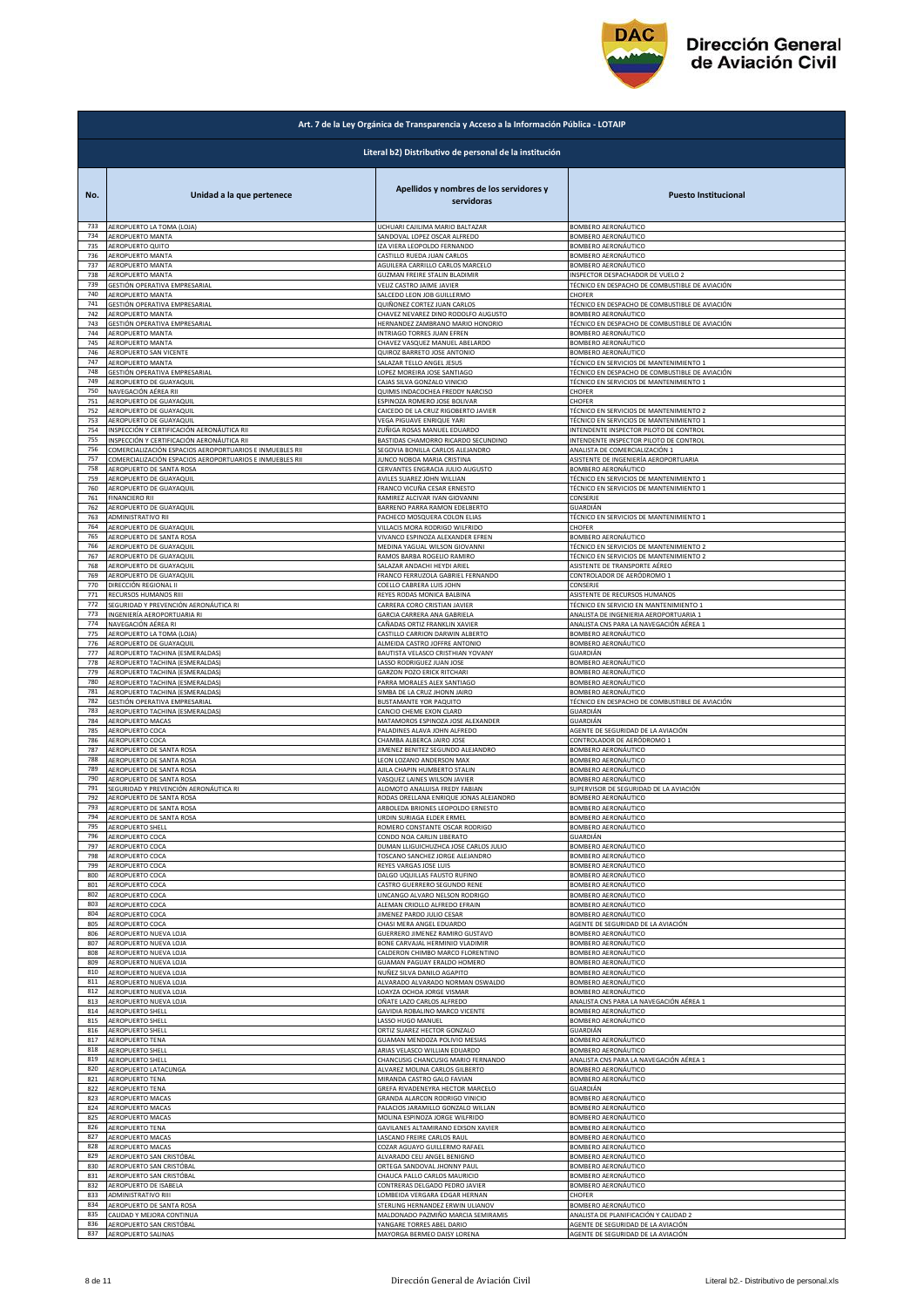

|            | Art. 7 de la Ley Orgánica de Transparencia y Acceso a la Información Pública - LOTAIP |                                                                    |                                                          |  |
|------------|---------------------------------------------------------------------------------------|--------------------------------------------------------------------|----------------------------------------------------------|--|
|            | Literal b2) Distributivo de personal de la institución                                |                                                                    |                                                          |  |
| No.        | Unidad a la que pertenece                                                             | Apellidos y nombres de los servidores y<br>servidoras              | <b>Puesto Institucional</b>                              |  |
| 733        | AEROPUERTO LA TOMA (LOJA)                                                             | JCHUARI CAJILIMA MARIO BALTAZAR                                    | BOMBERO AERONÁUTICO                                      |  |
| 734        | AEROPUERTO MANTA                                                                      | SANDOVAL LOPEZ OSCAR ALFREDO                                       | BOMBERO AERONÁUTICO                                      |  |
| 735        | AEROPUERTO QUITO                                                                      | <b>ZA VIERA LEOPOLDO FERNANDO</b>                                  | BOMBERO AERONÁUTICO                                      |  |
| 736        | AEROPUERTO MANTA                                                                      | CASTILLO RUEDA JUAN CARLOS                                         | BOMBERO AERONÁUTICO                                      |  |
| 737        | AEROPUERTO MANTA                                                                      | AGUILERA CARRILLO CARLOS MARCELO                                   | BOMBERO AERONÁUTICO                                      |  |
| 738        | AEROPUERTO MANTA                                                                      | GUZMAN FREIRE STALIN BLADIMIR                                      | INSPECTOR DESPACHADOR DE VUELO 2                         |  |
| 739        | GESTIÓN OPERATIVA EMPRESARIAL                                                         | VELIZ CASTRO JAIME JAVIER                                          | TÉCNICO EN DESPACHO DE COMBUSTIBLE DE AVIACIÓN           |  |
| 740        | AEROPUERTO MANTA<br>GESTIÓN OPERATIVA EMPRESARIAL                                     | SALCEDO LEON JOB GUILLERMO                                         | CHOFER<br>TÉCNICO EN DESPACHO DE COMBUSTIBLE DE AVIACIÓN |  |
| 741<br>742 | AEROPUERTO MANTA                                                                      | QUIÑONEZ CORTEZ JUAN CARLOS<br>CHAVEZ NEVAREZ DINO RODOLFO AUGUSTO | BOMBERO AERONÁUTICO                                      |  |
| 743        | GESTIÓN OPERATIVA EMPRESARIAL                                                         | HERNANDEZ ZAMBRANO MARIO HONORIO                                   | TÉCNICO EN DESPACHO DE COMBUSTIBLE DE AVIACIÓN           |  |
| 744        | AEROPUERTO MANTA                                                                      | INTRIAGO TORRES JUAN EFREN                                         | BOMBERO AERONÁUTICO                                      |  |
| 745        | AEROPUERTO MANTA                                                                      | CHAVEZ VASQUEZ MANUEL ABELARDO                                     | BOMBERO AERONÁUTICO                                      |  |
| 746        | AEROPUERTO SAN VICENTE                                                                | QUIROZ BARRETO JOSE ANTONIO                                        | BOMBERO AERONÁUTICO                                      |  |
| 747        | AEROPUERTO MANTA                                                                      | SALAZAR TELLO ANGEL JESUS                                          | TÉCNICO EN SERVICIOS DE MANTENIMIENTO 1                  |  |
| 748        | GESTIÓN OPERATIVA EMPRESARIAL                                                         | LOPEZ MOREIRA JOSE SANTIAGO                                        | TÉCNICO EN DESPACHO DE COMBUSTIBLE DE AVIACIÓN           |  |
| 749        | AEROPUERTO DE GUAYAQUIL                                                               | CAJAS SILVA GONZALO VINICIO                                        | TÉCNICO EN SERVICIOS DE MANTENIMIENTO 1                  |  |
| 750        | NAVEGACIÓN AÉREA RII                                                                  | QUIMIS INDACOCHEA FREDDY NARCISO                                   | CHOFER                                                   |  |
| 751        | AEROPUERTO DE GUAYAQUIL                                                               | ESPINOZA ROMERO JOSE BOLIVAR                                       | CHOFER                                                   |  |
| 752        | AEROPUERTO DE GUAYAQUIL                                                               | CAICEDO DE LA CRUZ RIGOBERTO JAVIER                                | TÉCNICO EN SERVICIOS DE MANTENIMIENTO 2                  |  |
| 753        | AEROPUERTO DE GUAYAQUIL                                                               | VEGA PIGUAVE ENRIQUE YARI                                          | TÉCNICO EN SERVICIOS DE MANTENIMIENTO 1                  |  |
| 754        | INSPECCIÓN Y CERTIFICACIÓN AERONÁUTICA RII                                            | ZUÑIGA ROSAS MANUEL EDUARDO                                        | INTENDENTE INSPECTOR PILOTO DE CONTROL                   |  |
| 755        | INSPECCIÓN Y CERTIFICACIÓN AERONÁUTICA RII                                            | BASTIDAS CHAMORRO RICARDO SECUNDINO                                | INTENDENTE INSPECTOR PILOTO DE CONTROL                   |  |
| 756        | COMERCIALIZACIÓN ESPACIOS AEROPORTUARIOS E INMUEBLES RII                              | SEGOVIA BONILLA CARLOS ALEJANDRO                                   | ANALISTA DE COMERCIALIZACIÓN 1                           |  |
| 757        | COMERCIALIZACIÓN ESPACIOS AEROPORTUARIOS E INMUEBLES RII                              | JUNCO NOBOA MARIA CRISTINA                                         | ASISTENTE DE INGENIERÍA AEROPORTUARIA                    |  |
| 758        | AEROPUERTO DE SANTA ROSA                                                              | CERVANTES ENGRACIA JULIO AUGUSTO                                   | BOMBERO AERONÁUTICO                                      |  |
| 759        | AEROPUERTO DE GUAYAQUIL                                                               | AVILES SUAREZ JOHN WILLIAN                                         | TÉCNICO EN SERVICIOS DE MANTENIMIENTO 1                  |  |
| 760        | AEROPUERTO DE GUAYAQUIL                                                               | FRANCO VICUÑA CESAR ERNESTO                                        | TÉCNICO EN SERVICIOS DE MANTENIMIENTO 1                  |  |
| 761        | <b>FINANCIERO RII</b>                                                                 | RAMIREZ ALCIVAR IVAN GIOVANNI                                      | CONSERJE                                                 |  |
| 762        | AEROPUERTO DE GUAYAQUIL                                                               | BARRENO PARRA RAMON EDELBERTO                                      | GUARDIÁN                                                 |  |
| 763        | ADMINISTRATIVO RII                                                                    | PACHECO MOSQUERA COLON ELIAS                                       | TÉCNICO EN SERVICIOS DE MANTENIMIENTO 1                  |  |
| 764        | AEROPUERTO DE GUAYAQUIL                                                               | VILLACIS MORA RODRIGO WILFRIDO                                     | CHOFER                                                   |  |
| 765        | AEROPUERTO DE SANTA ROSA                                                              | VIVANCO ESPINOZA ALEXANDER EFREN                                   | BOMBERO AERONÁUTICO                                      |  |
| 766        | AEROPUERTO DE GUAYAQUIL                                                               | MEDINA YAGUAL WILSON GIOVANNI                                      | TÉCNICO EN SERVICIOS DE MANTENIMIENTO 2                  |  |
| 767        | AEROPUERTO DE GUAYAQUIL                                                               | RAMOS BARBA ROGELIO RAMIRO                                         | TÉCNICO EN SERVICIOS DE MANTENIMIENTO 2                  |  |
| 768        | AEROPUERTO DE GUAYAQUIL                                                               | SALAZAR ANDACHI HEYDI ARIEL                                        | ASISTENTE DE TRANSPORTE AÉREO                            |  |
| 769        | AEROPUERTO DE GUAYAQUIL                                                               | FRANCO FERRUZOLA GABRIEL FERNANDO                                  |                                                          |  |
| 770        | DIRECCIÓN REGIONAL II                                                                 | COELLO CABRERA LUIS JOHN                                           | CONTROLADOR DE AERÓDROMO 1<br>CONSERJE                   |  |
| 771        | RECURSOS HUMANOS RIII                                                                 | REYES RODAS MONICA BALBINA                                         | ASISTENTE DE RECURSOS HUMANOS                            |  |
| 772        | SEGURIDAD Y PREVENCIÓN AERONÁUTICA RI                                                 | CARRERA CORO CRISTIAN JAVIER                                       | TÉCNICO EN SERVICIO EN MANTENIMIENTO 1                   |  |
| 773        | INGENIERÍA AEROPORTUARIA RI                                                           | GARCIA CARRERA ANA GABRIELA                                        | ANALISTA DE INGENIERIA AEROPORTUARIA 1                   |  |
| 774        | NAVEGACIÓN AÉREA RI                                                                   | CAÑADAS ORTIZ FRANKLIN XAVIER                                      | ANALISTA CNS PARA LA NAVEGACIÓN AÉREA 1                  |  |
| 775<br>776 | AEROPUERTO LA TOMA (LOJA)                                                             | CASTILLO CARRION DARWIN ALBERTO                                    | BOMBERO AERONÁUTICO                                      |  |
| 777        | AEROPUERTO DE GUAYAQUIL                                                               | ALMEIDA CASTRO JOFFRE ANTONIO                                      | BOMBERO AERONÁUTICO                                      |  |
|            | AEROPUERTO TACHINA (ESMERALDAS)                                                       | BAUTISTA VELASCO CRISTHIAN YOVANY                                  | GUARDIÁN                                                 |  |
| 778        | AEROPUERTO TACHINA (ESMERALDAS)                                                       | LASSO RODRIGUEZ JUAN JOSE                                          | BOMBERO AERONÁUTICO                                      |  |
| 779        | AEROPUERTO TACHINA (ESMERALDAS)                                                       | GARZON POZO ERICK RITCHARI                                         | BOMBERO AERONÁUTICO                                      |  |
| 780        | AEROPUERTO TACHINA (ESMERALDAS)                                                       | PARRA MORALES ALEX SANTIAGO                                        | BOMBERO AERONÁUTICO                                      |  |
| 781        | AEROPUERTO TACHINA (ESMERALDAS)                                                       | SIMBA DE LA CRUZ JHONN JAIRO                                       | BOMBERO AERONÁUTICO                                      |  |
| 782        | GESTIÓN OPERATIVA EMPRESARIAL                                                         | BUSTAMANTE YOR PAQUITO                                             | TÉCNICO EN DESPACHO DE COMBUSTIBLE DE AVIACIÓN           |  |
| 783        | AEROPUERTO TACHINA (ESMERALDAS)                                                       | CANCIO CHEME EXON CLARD                                            | GUARDIÁN                                                 |  |
| 784        | AEROPUERTO MACAS                                                                      | MATAMOROS ESPINOZA JOSE ALEXANDER                                  | GUARDIÁN                                                 |  |
| 785        | AEROPUERTO COCA                                                                       | PALADINES ALAVA JOHN ALFREDO                                       | AGENTE DE SEGURIDAD DE LA AVIACIÓN                       |  |
| 786        | AEROPUERTO COCA                                                                       | CHAMBA ALBERCA JAIRO JOSE                                          | CONTROLADOR DE AERÓDROMO 1                               |  |
| 787        | AEROPUERTO DE SANTA ROSA                                                              | IIMENEZ BENITEZ SEGUNDO ALEJANDRO                                  | BOMBERO AERONÁUTICO                                      |  |
| 788        | AEROPUERTO DE SANTA ROSA                                                              | LEON LOZANO ANDERSON MAX                                           | BOMBERO AERONÁUTICO                                      |  |
| 789        | AEROPUERTO DE SANTA ROSA                                                              | AJILA CHAPIN HUMBERTO STALIN                                       | BOMBERO AERONÁUTICO                                      |  |
| 790        | AEROPUERTO DE SANTA ROSA                                                              | VASQUEZ LAINES WILSON JAVIER                                       | BOMBERO AERONÁUTICO                                      |  |
| 791        | SEGURIDAD Y PREVENCIÓN AERONÁUTICA RI                                                 | ALOMOTO ANALUISA FREDY FABIAN                                      | SUPERVISOR DE SEGURIDAD DE LA AVIACIÓN                   |  |
| 792        | AEROPUERTO DE SANTA ROSA                                                              | RODAS ORELLANA ENRIQUE JONAS ALEJANDRO                             | BOMBERO AERONÁUTICO                                      |  |
| 793        | AEROPUERTO DE SANTA ROSA                                                              | ARBOLEDA BRIONES LEOPOLDO ERNESTO                                  | BOMBERO AERONÁUTICO                                      |  |
| 794        | AEROPUERTO DE SANTA ROSA                                                              | URDIN SURIAGA ELDER ERMEL                                          | BOMBERO AERONÁUTICO                                      |  |
| 795        | <b>AEROPUERTO SHELL</b>                                                               | ROMERO CONSTANTE OSCAR RODRIGO                                     | BOMBERO AERONÁUTICO                                      |  |
| 796        | AEROPUERTO COCA                                                                       | CONDO NOA CARLIN LIBERATO                                          | GUARDIÁN                                                 |  |
| 797        | AEROPUERTO COCA                                                                       | DUMAN LLIGUICHUZHCA JOSE CARLOS JULIO                              | BOMBERO AERONÁUTICO                                      |  |
| 798        | AEROPUERTO COCA                                                                       | TOSCANO SANCHEZ JORGE ALEJANDRO                                    | BOMBERO AERONÁUTICO                                      |  |
| 799        | AEROPUERTO COCA                                                                       | REYES VARGAS JOSE LUIS                                             | BOMBERO AERONÁUTICO                                      |  |
| 800        | AEROPUERTO COCA                                                                       | DALGO UQUILLAS FAUSTO RUFINO                                       | BOMBERO AERONÁUTICO                                      |  |
| 801        | AEROPUERTO COCA                                                                       | CASTRO GUERRERO SEGUNDO RENE                                       | BOMBERO AERONÁUTICO                                      |  |
| 802        | AEROPUERTO COCA                                                                       | LINCANGO ALVARO NELSON RODRIGO                                     | BOMBERO AERONÁUTICO                                      |  |
| 803        | AEROPUERTO COCA                                                                       | ALEMAN CRIOLLO ALFREDO EFRAIN                                      | BOMBERO AERONÁUTICO                                      |  |
| 804        | AEROPUERTO COCA                                                                       | <b>IIMENEZ PARDO JULIO CESAR</b>                                   | BOMBERO AERONÁUTICO                                      |  |
| 805        | AEROPUERTO COCA                                                                       | CHASI MERA ANGEL EDUARDO                                           | AGENTE DE SEGURIDAD DE LA AVIACIÓN                       |  |
| 806        | AEROPUERTO NUEVA LOJA                                                                 | GUERRERO JIMENEZ RAMIRO GUSTAVO                                    | BOMBERO AERONÁUTICO                                      |  |
| 807        | AEROPUERTO NUEVA LOJA                                                                 | BONE CARVAJAL HERMINIO VLADIMIR                                    | BOMBERO AERONÁUTICO                                      |  |
| 808        | AEROPUERTO NUEVA LOJA                                                                 |                                                                    | BOMBERO AERONÁUTICO                                      |  |
| 809        | AEROPUERTO NUEVA LOJA                                                                 | CALDERON CHIMBO MARCO FLORENTINO<br>GUAMAN PAGUAY ERALDO HOMERO    | BOMBERO AERONÁUTICO                                      |  |
| 810        | AEROPUERTO NUEVA LOJA                                                                 | NUÑEZ SILVA DANILO AGAPITO                                         | BOMBERO AERONÁUTICO                                      |  |
| 811        | AEROPUERTO NUEVA LOJA                                                                 | ALVARADO ALVARADO NORMAN OSWALDO                                   | BOMBERO AERONÁUTICO                                      |  |
| 812        | AEROPUERTO NUEVA LOJA                                                                 | LOAYZA OCHOA JORGE VISMAR                                          | BOMBERO AERONÁUTICO                                      |  |
| 813        | AEROPUERTO NUEVA LOJA                                                                 | OÑATE LAZO CARLOS ALFREDO                                          | ANALISTA CNS PARA LA NAVEGACIÓN AÉREA 1                  |  |
| 814        | <b>AEROPUERTO SHELL</b>                                                               | GAVIDIA ROBALINO MARCO VICENTE                                     | BOMBERO AERONÁUTICO                                      |  |
| 815        | AEROPUERTO SHELL                                                                      | LASSO HUGO MANUEL                                                  | BOMBERO AERONÁUTICO                                      |  |
| 816        | AEROPUERTO SHELL                                                                      | ORTIZ SUAREZ HECTOR GONZALO                                        | GUARDIÁN                                                 |  |
| 817        | AEROPUERTO TENA                                                                       | GUAMAN MENDOZA POLIVIO MESIAS                                      | BOMBERO AERONÁUTICO                                      |  |
| 818        | AEROPUERTO SHELL                                                                      | ARIAS VELASCO WILLIAN EDUARDO                                      | BOMBERO AERONÁUTICO                                      |  |
| 819        | <b>AEROPUERTO SHELL</b>                                                               | CHANCUSIG CHANCUSIG MARIO FERNANDO                                 | ANALISTA CNS PARA LA NAVEGACIÓN AÉREA 1                  |  |
| 820        | AEROPUERTO LATACUNGA                                                                  | ALVAREZ MOLINA CARLOS GILBERTO                                     | BOMBERO AERONÁUTICO                                      |  |
| 821        | AEROPUERTO TENA                                                                       | MIRANDA CASTRO GALO FAVIAN                                         | BOMBERO AERONÁUTICO                                      |  |
| 822        | AEROPUERTO TENA                                                                       | GREFA RIVADENEYRA HECTOR MARCELO                                   | GUARDIÁN                                                 |  |
| 823        | AEROPUERTO MACAS                                                                      | GRANDA ALARCON RODRIGO VINICIO                                     | BOMBERO AERONÁUTICO                                      |  |
| 824        | AEROPUERTO MACAS                                                                      | PALACIOS JARAMILLO GONZALO WILLAN                                  | BOMBERO AERONÁUTICO                                      |  |
| 825        | <b>AEROPUERTO MACAS</b>                                                               | MOLINA ESPINOZA JORGE WILFRIDO                                     | BOMBERO AERONÁUTICO                                      |  |
| 826        | <b>AEROPUERTO TENA</b>                                                                | GAVILANES ALTAMIRANO EDISON XAVIER                                 | BOMBERO AERONÁUTICO                                      |  |
| 827        | AEROPUERTO MACAS                                                                      | LASCANO FREIRE CARLOS RAUL                                         | BOMBERO AERONÁUTICO                                      |  |
| 828        | AEROPUERTO MACAS                                                                      | COZAR AGUAYO GUILLERMO RAFAEL                                      | BOMBERO AERONÁUTICO                                      |  |
| 829        | AEROPUERTO SAN CRISTÓBAL                                                              | ALVARADO CELI ANGEL BENIGNO                                        | BOMBERO AERONÁUTICO                                      |  |
| 830        | AEROPUERTO SAN CRISTÓBAL                                                              | ORTEGA SANDOVAL JHONNY PAUL                                        | BOMBERO AERONÁUTICO                                      |  |
| 831        | AEROPUERTO SAN CRISTÓBAL                                                              | CHAUCA PALLO CARLOS MAURICIO                                       | BOMBERO AERONÁUTICO                                      |  |
| 832        | AEROPUERTO DE ISABELA                                                                 | CONTRERAS DELGADO PEDRO JAVIER                                     | BOMBERO AERONÁUTICO                                      |  |
| 833        | ADMINISTRATIVO RIII                                                                   | OMBEIDA VERGARA EDGAR HERNAN                                       | CHOFER                                                   |  |
| 834        | AEROPUERTO DE SANTA ROSA                                                              | STERLING HERNANDEZ ERWIN ULIANOV                                   | <b>BOMBERO AERONÁUTICO</b>                               |  |
| 835        | CALIDAD Y MEJORA CONTINUA                                                             | MALDONADO PAZMIÑO MARCIA SEMIRAMIS                                 | ANALISTA DE PLANIFICACIÓN Y CALIDAD 2                    |  |
| 836        | AEROPUERTO SAN CRISTÓBAL                                                              | YANGARE TORRES ABEL DARIO                                          | AGENTE DE SEGURIDAD DE LA AVIACIÓN                       |  |
| 837        | AEROPUERTO SALINAS                                                                    | MAYORGA BERMEO DAISY LORENA                                        | AGENTE DE SEGURIDAD DE LA AVIACIÓN                       |  |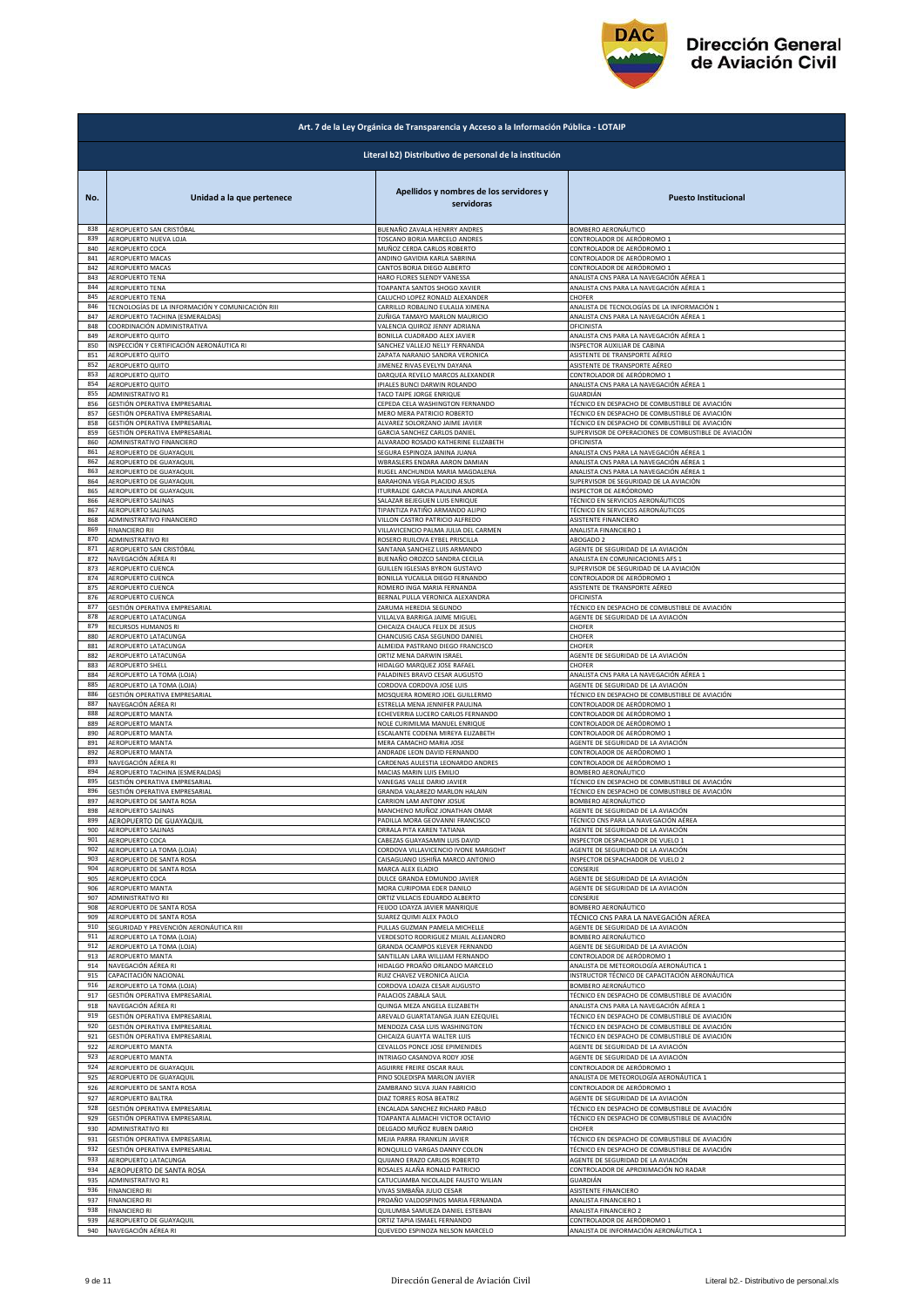

|            | Art. 7 de la Ley Orgánica de Transparencia y Acceso a la Información Pública - LOTAIP |                                                                |                                                       |  |
|------------|---------------------------------------------------------------------------------------|----------------------------------------------------------------|-------------------------------------------------------|--|
|            | Literal b2) Distributivo de personal de la institución                                |                                                                |                                                       |  |
| No.        | Unidad a la que pertenece                                                             | Apellidos y nombres de los servidores y<br>servidoras          | <b>Puesto Institucional</b>                           |  |
| 838        | AEROPUERTO SAN CRISTÓBAL                                                              | BUENAÑO ZAVALA HENRRY ANDRES                                   | BOMBERO AERONÁUTICO                                   |  |
| 839        | AEROPUERTO NUEVA LOJA                                                                 | <b>FOSCANO BORJA MARCELO ANDRES</b>                            | CONTROLADOR DE AERÓDROMO 1                            |  |
| 840        | AEROPUERTO COCA                                                                       | MUÑOZ CERDA CARLOS ROBERTO                                     | CONTROLADOR DE AERÓDROMO 1                            |  |
| 841        | AEROPUERTO MACAS                                                                      | ANDINO GAVIDIA KARLA SABRINA                                   | CONTROLADOR DE AERÓDROMO 1                            |  |
| 842        | AEROPUERTO MACAS                                                                      | CANTOS BORJA DIEGO ALBERTO                                     | CONTROLADOR DE AERÓDROMO 1                            |  |
| 843        | AEROPUERTO TENA                                                                       | HARO FLORES SLENDY VANESSA                                     | ANALISTA CNS PARA LA NAVEGACIÓN AÉREA 1               |  |
| 844        | AEROPUERTO TENA                                                                       | <b>TOAPANTA SANTOS SHOGO XAVIER</b>                            | ANALISTA CNS PARA LA NAVEGACIÓN AÉREA 1               |  |
| 845        | AEROPUERTO TENA                                                                       | CALUCHO LOPEZ RONALD ALEXANDER                                 | CHOFER                                                |  |
| 846        | TECNOLOGÍAS DE LA INFORMACIÓN Y COMUNICACIÓN RIII                                     | CARRILLO ROBALINO EULALIA XIMENA                               | ANALISTA DE TECNOLOGÍAS DE LA INFORMACIÓN 1           |  |
| 847        | AEROPUERTO TACHINA (ESMERALDAS)<br>COORDINACIÓN ADMINISTRATIVA                        | ZUÑIGA TAMAYO MARLON MAURICIO<br>VALENCIA QUIROZ JENNY ADRIANA | ANALISTA CNS PARA LA NAVEGACIÓN AÉREA 1               |  |
| 848<br>849 | AEROPUERTO QUITO                                                                      | BONILLA CUADRADO ALEX JAVIER                                   | OFICINISTA<br>ANALISTA CNS PARA LA NAVEGACIÓN AÉREA 1 |  |
| 850        | INSPECCIÓN Y CERTIFICACIÓN AERONÁUTICA RI                                             | SANCHEZ VALLEJO NELLY FERNANDA                                 | INSPECTOR AUXILIAR DE CABINA                          |  |
| 851        | AEROPUERTO QUITO                                                                      | ZAPATA NARANJO SANDRA VERONICA                                 | ASISTENTE DE TRANSPORTE AÉREO                         |  |
| 852        | AEROPUERTO QUITO                                                                      | <b>IIMENEZ RIVAS EVELYN DAYANA</b>                             | ASISTENTE DE TRANSPORTE AÉREO                         |  |
| 853        | <b>AEROPUERTO QUITO</b>                                                               | DARQUEA REVELO MARCOS ALEXANDER                                | CONTROLADOR DE AERÓDROMO 1                            |  |
| 854        | AEROPUERTO QUITO                                                                      | IPIALES BUNCI DARWIN ROLANDO                                   | ANALISTA CNS PARA LA NAVEGACIÓN AÉREA 1               |  |
| 855        | <b>ADMINISTRATIVO R1</b>                                                              | TACO TAIPE JORGE ENRIQUE                                       | GUARDIÁN                                              |  |
| 856        | GESTIÓN OPERATIVA EMPRESARIAL                                                         | CEPEDA CELA WASHINGTON FERNANDO                                | TÉCNICO EN DESPACHO DE COMBUSTIBLE DE AVIACIÓN        |  |
| 857        | GESTIÓN OPERATIVA EMPRESARIAL                                                         | MERO MERA PATRICIO ROBERTO                                     | TÉCNICO EN DESPACHO DE COMBUSTIBLE DE AVIACIÓN        |  |
| 858        | GESTIÓN OPERATIVA EMPRESARIAL                                                         | ALVAREZ SOLORZANO JAIME JAVIER                                 | TÉCNICO EN DESPACHO DE COMBUSTIBLE DE AVIACIÓN        |  |
| 859        | GESTIÓN OPERATIVA EMPRESARIAL                                                         | GARCIA SANCHEZ CARLOS DANIEL                                   | SUPERVISOR DE OPERACIONES DE COMBUSTIBLE DE AVIACIÓN  |  |
| 860        | ADMINISTRATIVO FINANCIERO                                                             | ALVARADO ROSADO KATHERINE ELIZABETH                            | OFICINISTA                                            |  |
| 861        | AEROPUERTO DE GUAYAQUIL                                                               | SEGURA ESPINOZA JANINA JUANA                                   | ANALISTA CNS PARA LA NAVEGACIÓN AÉREA 1               |  |
| 862        | AEROPUERTO DE GUAYAQUIL                                                               | <b>WBRASLERS ENDARA AARON DAMIAN</b>                           | ANALISTA CNS PARA LA NAVEGACIÓN AÉREA 1               |  |
| 863        | AEROPUERTO DE GUAYAQUIL                                                               | RUGEL ANCHUNDIA MARIA MAGDALENA                                | ANALISTA CNS PARA LA NAVEGACIÓN AÉREA 1               |  |
| 864        | AEROPUERTO DE GUAYAQUIL                                                               | BARAHONA VEGA PLACIDO JESUS                                    | SUPERVISOR DE SEGURIDAD DE LA AVIACIÓN                |  |
| 865        | AEROPUERTO DE GUAYAQUIL                                                               | ITURRALDE GARCIA PAULINA ANDREA                                | INSPECTOR DE AERÓDROMO                                |  |
| 866        | AEROPUERTO SALINAS                                                                    | SALAZAR BEJEGUEN LUIS ENRIQUE                                  | TÉCNICO EN SERVICIOS AERONÁUTICOS                     |  |
| 867        | AEROPUERTO SALINAS                                                                    | TIPANTIZA PATIÑO ARMANDO ALIPIO                                | TÉCNICO EN SERVICIOS AERONÁUTICOS                     |  |
| 868        | ADMINISTRATIVO FINANCIERO                                                             | VILLON CASTRO PATRICIO ALFREDO                                 | ASISTENTE FINANCIERO                                  |  |
| 869        | <b>FINANCIERO RII</b>                                                                 | VILLAVICENCIO PALMA JULIA DEL CARMEN                           | ANALISTA FINANCIERO 1                                 |  |
| 870        | ADMINISTRATIVO RII                                                                    | ROSERO RUILOVA EYBEL PRISCILLA                                 | ABOGADO 2                                             |  |
| 871        | AEROPUERTO SAN CRISTÓBAL                                                              | SANTANA SANCHEZ LUIS ARMANDO                                   | AGENTE DE SEGURIDAD DE LA AVIACIÓN                    |  |
| 872        | NAVEGACIÓN AÉREA RI                                                                   | BUENAÑO OROZCO SANDRA CECILIA                                  | ANALISTA EN COMUNICACIONES AFS 1                      |  |
| 873        | AEROPUERTO CUENCA                                                                     | GUILLEN IGLESIAS BYRON GUSTAVO                                 | SUPERVISOR DE SEGURIDAD DE LA AVIACIÓN                |  |
| 874        | AEROPUERTO CUENCA                                                                     | BONILLA YUCAILLA DIEGO FERNANDO                                | CONTROLADOR DE AERÓDROMO 1                            |  |
| 875        | AEROPUERTO CUENCA                                                                     | ROMERO INGA MARIA FERNANDA                                     | ASISTENTE DE TRANSPORTE AÉREO                         |  |
| 876        | AEROPUERTO CUENCA                                                                     | BERNAL PULLA VERONICA ALEXANDRA                                | OFICINISTA                                            |  |
| 877        | GESTIÓN OPERATIVA EMPRESARIAL                                                         | ZARUMA HEREDIA SEGUNDO                                         | TÉCNICO EN DESPACHO DE COMBUSTIBLE DE AVIACIÓN        |  |
| 878        | AEROPUERTO LATACUNGA                                                                  | VILLALVA BARRIGA JAIME MIGUEL                                  | AGENTE DE SEGURIDAD DE LA AVIACIÓN                    |  |
| 879        | RECURSOS HUMANOS RI                                                                   | CHICAIZA CHAUCA FELIX DE JESUS                                 | CHOFER                                                |  |
| 880        | AEROPUERTO LATACUNGA                                                                  | CHANCUSIG CASA SEGUNDO DANIEL                                  | CHOFER                                                |  |
| 881        | AEROPUERTO LATACUNGA                                                                  | ALMEIDA PASTRANO DIEGO FRANCISCO                               | CHOFER                                                |  |
| 882        | AEROPUERTO LATACUNGA                                                                  | ORTIZ MENA DARWIN ISRAEL                                       | AGENTE DE SEGURIDAD DE LA AVIACIÓN                    |  |
| 883        | AEROPUERTO SHELL                                                                      | HIDALGO MARQUEZ JOSE RAFAEL                                    | CHOFER                                                |  |
| 884        | AEROPUERTO LA TOMA (LOJA)                                                             | PALADINES BRAVO CESAR AUGUSTO                                  | ANALISTA CNS PARA LA NAVEGACIÓN AÉREA 1               |  |
| 885        | AEROPUERTO LA TOMA (LOJA)                                                             | CORDOVA CORDOVA JOSE LUIS                                      | AGENTE DE SEGURIDAD DE LA AVIACIÓN                    |  |
| 886        | GESTIÓN OPERATIVA EMPRESARIAL                                                         | MOSQUERA ROMERO JOEL GUILLERMO                                 | TÉCNICO EN DESPACHO DE COMBUSTIBLE DE AVIACIÓN        |  |
| 887        | NAVEGACIÓN AÉREA RI                                                                   | ESTRELLA MENA JENNIFER PAULINA                                 | CONTROLADOR DE AERÓDROMO 1                            |  |
| 888        | AEROPUERTO MANTA                                                                      | ECHEVERRIA LUCERO CARLOS FERNANDO                              | CONTROLADOR DE AERÓDROMO 1                            |  |
| 889        | AEROPUERTO MANTA                                                                      | NOLE CURIMILMA MANUEL ENRIQUE                                  | CONTROLADOR DE AERÓDROMO 1                            |  |
| 890        | AEROPUERTO MANTA                                                                      | ESCALANTE CODENA MIREYA ELIZABETH                              | CONTROLADOR DE AERÓDROMO 1                            |  |
| 891        | AEROPUERTO MANTA                                                                      | MERA CAMACHO MARIA JOSE                                        | AGENTE DE SEGURIDAD DE LA AVIACIÓN                    |  |
| 892        | AEROPUERTO MANTA                                                                      | ANDRADE LEON DAVID FERNANDO                                    | CONTROLADOR DE AERÓDROMO 1                            |  |
| 893        | NAVEGACIÓN AÉREA RI                                                                   | CARDENAS AULESTIA LEONARDO ANDRES                              | CONTROLADOR DE AERÓDROMO 1                            |  |
| 894        | AEROPUERTO TACHINA (ESMERALDAS)                                                       | MACIAS MARIN LUIS EMILIO                                       | BOMBERO AERONÁUTICO                                   |  |
| 895        | GESTIÓN OPERATIVA EMPRESARIAL                                                         | VANEGAS VALLE DARIO JAVIER                                     | TÉCNICO EN DESPACHO DE COMBUSTIBLE DE AVIACIÓN        |  |
| 896        | GESTIÓN OPERATIVA EMPRESARIAL                                                         | GRANDA VALAREZO MARLON HALAIN                                  | TÉCNICO EN DESPACHO DE COMBUSTIBLE DE AVIACIÓN        |  |
| 897        | AEROPUERTO DE SANTA ROSA                                                              | CARRION LAM ANTONY JOSUE                                       | BOMBERO AERONÁUTICO                                   |  |
| 898        | <b>AEROPUERTO SALINAS</b>                                                             | MANCHENO MUÑOZ JONATHAN OMAR                                   | AGENTE DE SEGURIDAD DE LA AVIACIÓN                    |  |
| 899        | AEROPUERTO DE GUAYAQUIL                                                               | PADILLA MORA GEOVANNI FRANCISCO                                | TÉCNICO CNS PARA LA NAVEGACIÓN AÉREA                  |  |
| 900        | <b>AEROPUERTO SALINAS</b>                                                             | ORRALA PITA KAREN TATIANA                                      | AGENTE DE SEGURIDAD DE LA AVIACIÓN                    |  |
| 901        | AEROPUERTO COCA                                                                       | CABEZAS GUAYASAMIN LUIS DAVID                                  | INSPECTOR DESPACHADOR DE VUELO 1                      |  |
| 902        | AEROPUERTO LA TOMA (LOJA)                                                             | CORDOVA VILLAVICENCIO IVONE MARGOHT                            | AGENTE DE SEGURIDAD DE LA AVIACIÓN                    |  |
| 903        | AEROPUERTO DE SANTA ROSA                                                              | CAISAGUANO USHIÑA MARCO ANTONIO                                | INSPECTOR DESPACHADOR DE VUELO 2                      |  |
| 904        | AEROPUERTO DE SANTA ROSA                                                              | MARCA ALEX ELADIO                                              | CONSERJE                                              |  |
| 905        | AEROPUERTO COCA                                                                       | DULCE GRANDA EDMUNDO JAVIER                                    | AGENTE DE SEGURIDAD DE LA AVIACIÓN                    |  |
| 906        | AEROPUERTO MANTA                                                                      | MORA CURIPOMA EDER DANILO                                      | AGENTE DE SEGURIDAD DE LA AVIACIÓN                    |  |
| 907        | ADMINISTRATIVO RII                                                                    | ORTIZ VILLACIS EDUARDO ALBERTO                                 | CONSERJE                                              |  |
| 908        | AEROPUERTO DE SANTA ROSA                                                              | EIJOO LOAYZA JAVIER MANRIQUE                                   | BOMBERO AERONÁUTICO                                   |  |
| 909        | AEROPUERTO DE SANTA ROSA                                                              | SUAREZ QUIMI ALEX PAOLO                                        | TÉCNICO CNS PARA LA NAVEGACIÓN AÉREA                  |  |
| 910        | SEGURIDAD Y PREVENCIÓN AERONÁUTICA RIII                                               | PULLAS GUZMAN PAMELA MICHELLE                                  | AGENTE DE SEGURIDAD DE LA AVIACIÓN                    |  |
| 911        | AEROPUERTO LA TOMA (LOJA)                                                             | VERDESOTO RODRIGUEZ MIJAIL ALEJANDRO                           | BOMBERO AERONÁUTICO                                   |  |
| 912        | AEROPUERTO LA TOMA (LOJA)                                                             | GRANDA OCAMPOS KLEVER FERNANDO                                 | AGENTE DE SEGURIDAD DE LA AVIACIÓN                    |  |
| 913        | AEROPUERTO MANTA                                                                      | SANTILLAN LARA WILLIAM FERNANDO                                | CONTROLADOR DE AERÓDROMO 1                            |  |
| 914        | NAVEGACIÓN AÉREA RI                                                                   | HIDALGO PROAÑO ORLANDO MARCELO                                 | ANALISTA DE METEOROLOGÍA AERONÁUTICA 1                |  |
| 915        | CAPACITACIÓN NACIONAL                                                                 | RUIZ CHAVEZ VERONICA ALICIA                                    | INSTRUCTOR TÉCNICO DE CAPACITACIÓN AERONÁUTICA        |  |
| 916        | AEROPUERTO LA TOMA (LOJA)                                                             | CORDOVA LOAIZA CESAR AUGUSTO                                   | BOMBERO AERONÁUTICO                                   |  |
| 917        | GESTIÓN OPERATIVA EMPRESARIAL                                                         | PALACIOS ZABALA SAUL                                           | TÉCNICO EN DESPACHO DE COMBUSTIBLE DE AVIACIÓN        |  |
| 918        | NAVEGACIÓN AÉREA RI                                                                   | QUINGA MEZA ANGELA ELIZABETH                                   | ANALISTA CNS PARA LA NAVEGACIÓN AÉREA 1               |  |
| 919        | GESTIÓN OPERATIVA EMPRESARIAL                                                         | AREVALO GUARTATANGA JUAN EZEQUIEL                              | TÉCNICO EN DESPACHO DE COMBUSTIBLE DE AVIACIÓN        |  |
| 920        | GESTIÓN OPERATIVA EMPRESARIAL                                                         | MENDOZA CASA LUIS WASHINGTON                                   | TÉCNICO EN DESPACHO DE COMBUSTIBLE DE AVIACIÓN        |  |
| 921        | GESTIÓN OPERATIVA EMPRESARIAL                                                         | CHICAIZA GUAYTA WALTER LUIS                                    | TÉCNICO EN DESPACHO DE COMBUSTIBLE DE AVIACIÓN        |  |
| 922        | AEROPUERTO MANTA                                                                      | CEVALLOS PONCE JOSE EPIMENIDES                                 | AGENTE DE SEGURIDAD DE LA AVIACIÓN                    |  |
| 923        | AEROPUERTO MANTA                                                                      | INTRIAGO CASANOVA RODY JOSE                                    | AGENTE DE SEGURIDAD DE LA AVIACIÓN                    |  |
| 924        | AEROPUERTO DE GUAYAQUIL                                                               | AGUIRRE FREIRE OSCAR RAUL                                      | CONTROLADOR DE AERÓDROMO 1                            |  |
| 925        | AEROPUERTO DE GUAYAQUIL                                                               | PINO SOLEDISPA MARLON JAVIER                                   | ANALISTA DE METEOROLOGÍA AERONÁUTICA 1                |  |
| 926        | AEROPUERTO DE SANTA ROSA                                                              | ZAMBRANO SILVA JUAN FABRICIO                                   | CONTROLADOR DE AERÓDROMO 1                            |  |
| 927        | AEROPUERTO BALTRA                                                                     | DIAZ TORRES ROSA BEATRIZ                                       | AGENTE DE SEGURIDAD DE LA AVIACIÓN                    |  |
| 928        | GESTIÓN OPERATIVA EMPRESARIAL                                                         | ENCALADA SANCHEZ RICHARD PABLO                                 | TÉCNICO EN DESPACHO DE COMBUSTIBLE DE AVIACIÓN        |  |
| 929        | GESTIÓN OPERATIVA EMPRESARIAL                                                         | TOAPANTA ALMACHI VICTOR OCTAVIO                                | TÉCNICO EN DESPACHO DE COMBUSTIBLE DE AVIACIÓN        |  |
| 930        | ADMINISTRATIVO RII                                                                    | DELGADO MUÑOZ RUBEN DARIO                                      | CHOFER                                                |  |
| 931        | GESTIÓN OPERATIVA EMPRESARIAL                                                         | MEJIA PARRA FRANKLIN JAVIER                                    | TÉCNICO EN DESPACHO DE COMBUSTIBLE DE AVIACIÓN        |  |
| 932        | GESTIÓN OPERATIVA EMPRESARIAL                                                         | RONQUILLO VARGAS DANNY COLON                                   | TÉCNICO EN DESPACHO DE COMBUSTIBLE DE AVIACIÓN        |  |
| 933        | AEROPUERTO LATACUNGA                                                                  | QUIJANO ERAZO CARLOS ROBERTO                                   | AGENTE DE SEGURIDAD DE LA AVIACIÓN                    |  |
| 934        | AEROPUERTO DE SANTA ROSA                                                              | ROSALES ALAÑA RONALD PATRICIO                                  | CONTROLADOR DE APROXIMACIÓN NO RADAR                  |  |
| 935        | ADMINISTRATIVO R1                                                                     | CATUCUAMBA NICOLALDE FAUSTO WILIAN                             | GUARDIÁN                                              |  |
| 936        | <b>FINANCIERO RI</b>                                                                  | VIVAS SIMBAÑA JULIO CESAR                                      | ASISTENTE FINANCIERO                                  |  |
| 937        | FINANCIERO RI                                                                         | PROAÑO VALDOSPINOS MARIA FERNANDA                              | ANALISTA FINANCIERO 1                                 |  |
| 938        | <b>FINANCIERO RI</b>                                                                  | QUILUMBA SAMUEZA DANIEL ESTEBAN                                | ANALISTA FINANCIERO 2                                 |  |
| 939        | AEROPUERTO DE GUAYAQUIL                                                               | ORTIZ TAPIA ISMAEL FERNANDO                                    | CONTROLADOR DE AERÓDROMO 1                            |  |
| 940        | NAVEGACIÓN AÉREA RI                                                                   | QUEVEDO ESPINOZA NELSON MARCELO                                | ANALISTA DE INFORMACIÓN AERONÁUTICA 1                 |  |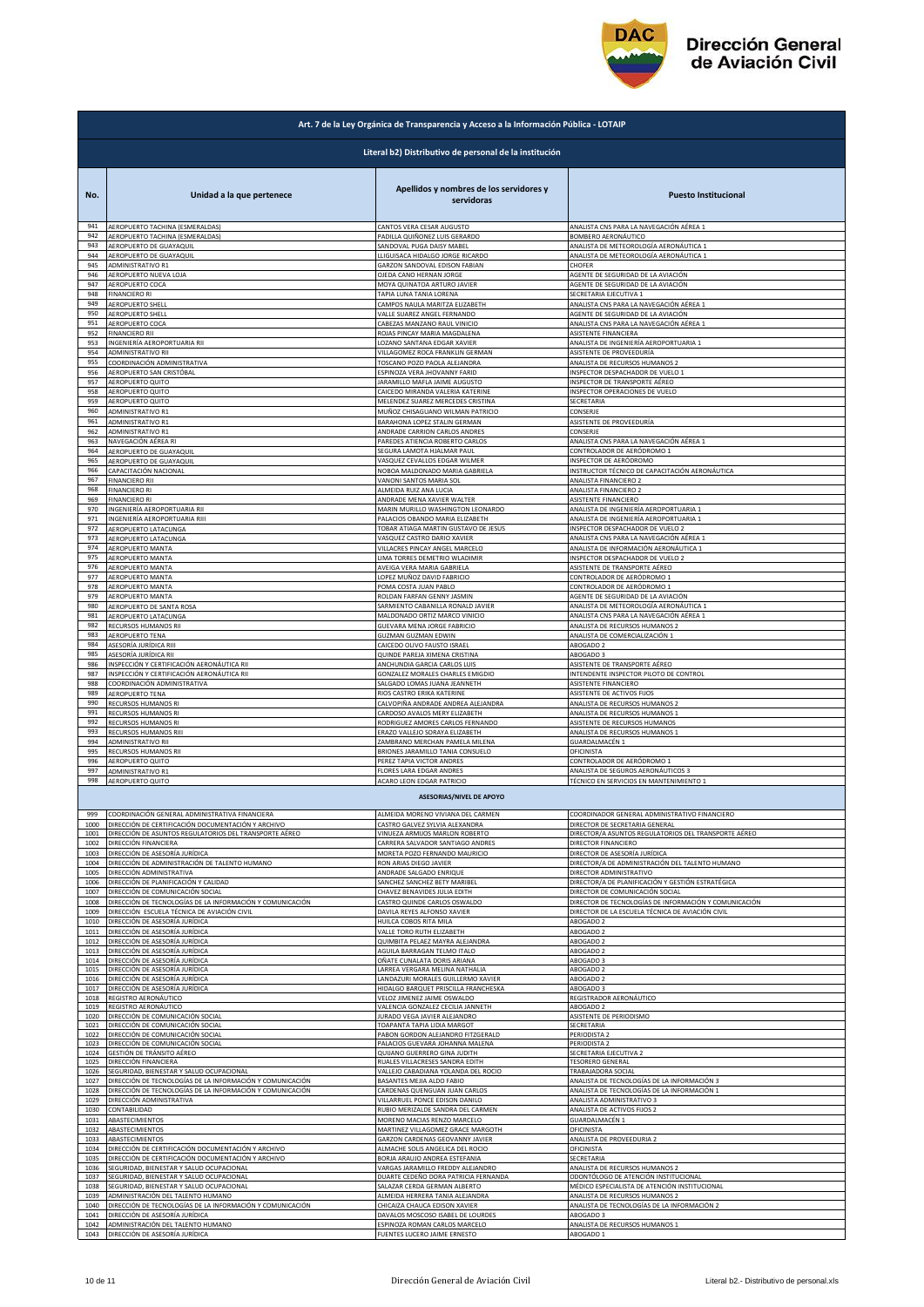

|            | Art. 7 de la Ley Orgánica de Transparencia y Acceso a la Información Pública - LOTAIP |                                                                    |                                                                             |  |
|------------|---------------------------------------------------------------------------------------|--------------------------------------------------------------------|-----------------------------------------------------------------------------|--|
|            | Literal b2) Distributivo de personal de la institución                                |                                                                    |                                                                             |  |
| No.        | Unidad a la que pertenece                                                             | Apellidos y nombres de los servidores y<br>servidoras              | <b>Puesto Institucional</b>                                                 |  |
| 941        | AEROPUERTO TACHINA (ESMERALDAS)                                                       | CANTOS VERA CESAR AUGUSTO                                          | ANALISTA CNS PARA LA NAVEGACIÓN AÉREA 1                                     |  |
| 942        | AEROPUERTO TACHINA (ESMERALDAS)                                                       | PADILLA QUIÑONEZ LUIS GERARDO                                      | BOMBERO AERONÁUTICO                                                         |  |
| 943        | AEROPUERTO DE GUAYAQUIL                                                               | SANDOVAL PUGA DAISY MABEL                                          | ANALISTA DE METEOROLOGÍA AERONÁUTICA 1                                      |  |
| 944        | AEROPUERTO DE GUAYAQUIL                                                               | LLIGUISACA HIDALGO JORGE RICARDO                                   | ANALISTA DE METEOROLOGÍA AERONÁUTICA 1                                      |  |
| 945        | ADMINISTRATIVO R1                                                                     | GARZON SANDOVAL EDISON FABIAN                                      | CHOFER                                                                      |  |
| 946        | AEROPUERTO NUEVA LOJA                                                                 | OJEDA CANO HERNAN JORGE                                            | AGENTE DE SEGURIDAD DE LA AVIACIÓN                                          |  |
| 947        | AEROPUERTO COCA                                                                       | MOYA QUINATOA ARTURO JAVIER                                        | AGENTE DE SEGURIDAD DE LA AVIACIÓN                                          |  |
| 948        | <b>FINANCIERO RI</b>                                                                  | TAPIA LUNA TANIA LORENA                                            | SECRETARIA EJECUTIVA 1                                                      |  |
| 949        | <b>AEROPUERTO SHELL</b>                                                               | CAMPOS NAULA MARITZA ELIZABETH                                     | ANALISTA CNS PARA LA NAVEGACIÓN AÉREA 1                                     |  |
| 950        | AEROPUERTO SHELL                                                                      | VALLE SUAREZ ANGEL FERNANDO                                        | AGENTE DE SEGURIDAD DE LA AVIACIÓN                                          |  |
| 951        | AEROPUERTO COCA                                                                       | CABEZAS MANZANO RAUL VINICIO                                       | ANALISTA CNS PARA LA NAVEGACIÓN AÉREA 1                                     |  |
| 952        | <b>FINANCIERO RII</b>                                                                 | ROJAS PINCAY MARIA MAGDALENA                                       | ASISTENTE FINANCIERA                                                        |  |
| 953        | INGENIERÍA AEROPORTUARIA RII                                                          | LOZANO SANTANA EDGAR XAVIER                                        | ANALISTA DE INGENIERÍA AEROPORTUARIA 1                                      |  |
| 954        | ADMINISTRATIVO RII                                                                    | VILLAGOMEZ ROCA FRANKLIN GERMAN                                    | ASISTENTE DE PROVEEDURÍA                                                    |  |
| 955        | COORDINACIÓN ADMINISTRATIVA                                                           | TOSCANO POZO PAOLA ALEJANDRA                                       | ANALISTA DE RECURSOS HUMANOS 2                                              |  |
| 956        | AEROPUERTO SAN CRISTÓBAL                                                              | ESPINOZA VERA JHOVANNY FARID                                       | INSPECTOR DESPACHADOR DE VUELO 1                                            |  |
| 957        | AEROPUERTO QUITO                                                                      | JARAMILLO MAFLA JAIME AUGUSTO                                      | INSPECTOR DE TRANSPORTE AÉREO                                               |  |
| 958        | AEROPUERTO QUITO                                                                      | CAICEDO MIRANDA VALERIA KATERINE                                   | INSPECTOR OPERACIONES DE VUELO                                              |  |
| 959        | AEROPUERTO QUITO                                                                      | MELENDEZ SUAREZ MERCEDES CRISTINA                                  | SECRETARIA                                                                  |  |
| 960        | ADMINISTRATIVO R1                                                                     | MUÑOZ CHISAGUANO WILMAN PATRICIO                                   | CONSERJE                                                                    |  |
| 961        | ADMINISTRATIVO R1                                                                     | BARAHONA LOPEZ STALIN GERMAN                                       | ASISTENTE DE PROVEEDURÍA                                                    |  |
| 962        | <b>ADMINISTRATIVO R1</b>                                                              | ANDRADE CARRION CARLOS ANDRES                                      | CONSERJE                                                                    |  |
| 963        | NAVEGACIÓN AÉREA RI                                                                   | PAREDES ATIENCIA ROBERTO CARLOS                                    | ANALISTA CNS PARA LA NAVEGACIÓN AÉREA 1                                     |  |
| 964        | AEROPUERTO DE GUAYAQUIL                                                               | SEGURA LAMOTA HJALMAR PAUL                                         | CONTROLADOR DE AERÓDROMO 1                                                  |  |
| 965        | AEROPUERTO DE GUAYAQUIL                                                               | VASQUEZ CEVALLOS EDGAR WILMER                                      | INSPECTOR DE AERÓDROMO                                                      |  |
| 966        | CAPACITACIÓN NACIONAL                                                                 | NOBOA MALDONADO MARIA GABRIELA                                     | INSTRUCTOR TÉCNICO DE CAPACITACIÓN AERONÁUTICA                              |  |
| 967        | <b>FINANCIERO RII</b>                                                                 | VANONI SANTOS MARIA SOL                                            | ANALISTA FINANCIERO 2                                                       |  |
| 968        | <b>FINANCIERO RI</b>                                                                  | ALMEIDA RUIZ ANA LUCIA                                             | ANALISTA FINANCIERO 2                                                       |  |
| 969        | <b>FINANCIERO RI</b>                                                                  | ANDRADE MENA XAVIER WALTER                                         | ASISTENTE FINANCIERO                                                        |  |
| 970        | INGENIERÍA AEROPORTUARIA RII                                                          | MARIN MURILLO WASHINGTON LEONARDO                                  | ANALISTA DE INGENIERÍA AEROPORTUARIA 1                                      |  |
| 971        | INGENIERÍA AEROPORTUARIA RIII                                                         | PALACIOS OBANDO MARIA ELIZABETH                                    | ANALISTA DE INGENIERÍA AEROPORTUARIA 1                                      |  |
| 972<br>973 | AEROPUERTO LATACUNGA                                                                  | TOBAR ATIAGA MARTIN GUSTAVO DE JESUS                               | INSPECTOR DESPACHADOR DE VUELO 2<br>ANALISTA CNS PARA LA NAVEGACIÓN AÉREA 1 |  |
| 974        | AEROPUERTO LATACUNGA<br>AEROPUERTO MANTA                                              | VASQUEZ CASTRO DARIO XAVIER<br>VILLACRES PINCAY ANGEL MARCELO      | ANALISTA DE INFORMACIÓN AERONÁUTICA 1                                       |  |
| 975        | AEROPUERTO MANTA                                                                      | LIMA TORRES DEMETRIO WLADIMIR                                      | INSPECTOR DESPACHADOR DE VUELO 2                                            |  |
| 976        | AEROPUERTO MANTA                                                                      | AVEIGA VERA MARIA GABRIELA                                         | ASISTENTE DE TRANSPORTE AÉREO                                               |  |
| 977        | AEROPUERTO MANTA                                                                      | LOPEZ MUÑOZ DAVID FABRICIO                                         | CONTROLADOR DE AERÓDROMO 1                                                  |  |
| 978        | AEROPUERTO MANTA                                                                      | POMA COSTA JUAN PABLO                                              | CONTROLADOR DE AERÓDROMO 1                                                  |  |
| 979        | AEROPUERTO MANTA                                                                      | ROLDAN FARFAN GENNY JASMIN                                         | AGENTE DE SEGURIDAD DE LA AVIACIÓN                                          |  |
| 980        | AEROPUERTO DE SANTA ROSA                                                              | SARMIENTO CABANILLA RONALD JAVIER                                  | ANALISTA DE METEOROLOGÍA AERONÁUTICA 1                                      |  |
| 981        | AEROPUERTO LATACUNGA                                                                  | MALDONADO ORTIZ MARCO VINICIO                                      | ANALISTA CNS PARA LA NAVEGACIÓN AÉREA 1                                     |  |
| 982        | RECURSOS HUMANOS RII                                                                  | GUEVARA MENA JORGE FABRICIO                                        | ANALISTA DE RECURSOS HUMANOS 2                                              |  |
| 983        | AEROPUERTO TENA                                                                       | <b>GUZMAN GUZMAN EDWIN</b>                                         | ANALISTA DE COMERCIALIZACIÓN 1                                              |  |
| 984        | ASESORÍA JURÍDICA RIII                                                                | CAICEDO OLIVO FAUSTO ISRAEL                                        | ABOGADO 2                                                                   |  |
| 985        | ASESORÍA JURÍDICA RII                                                                 | QUINDE PAREJA XIMENA CRISTINA                                      | ABOGADO 3                                                                   |  |
| 986        | INSPECCIÓN Y CERTIFICACIÓN AERONÁUTICA RII                                            | ANCHUNDIA GARCIA CARLOS LUIS                                       | ASISTENTE DE TRANSPORTE AÉREO                                               |  |
| 987        | INSPECCIÓN Y CERTIFICACIÓN AERONÁUTICA RII                                            | GONZALEZ MORALES CHARLES EMIGDIO                                   | INTENDENTE INSPECTOR PILOTO DE CONTROL                                      |  |
| 988        | COORDINACIÓN ADMINISTRATIVA                                                           | SALGADO LOMAS JUANA JEANNETH                                       | ASISTENTE FINANCIERO                                                        |  |
| 989        | AEROPUERTO TENA                                                                       | RIOS CASTRO ERIKA KATERINE                                         | ASISTENTE DE ACTIVOS FIJOS                                                  |  |
| 990        | RECURSOS HUMANOS RI                                                                   | CALVOPIÑA ANDRADE ANDREA ALEJANDRA                                 | ANALISTA DE RECURSOS HUMANOS 2                                              |  |
| 991<br>992 | RECURSOS HUMANOS RI<br><b>RECURSOS HUMANOS RI</b>                                     | CARDOSO AVALOS MERY ELIZABETH                                      | ANALISTA DE RECURSOS HUMANOS 1                                              |  |
| 993        | RECURSOS HUMANOS RIII                                                                 | RODRIGUEZ AMORES CARLOS FERNANDO<br>ERAZO VALLEJO SORAYA ELIZABETH | ASISTENTE DE RECURSOS HUMANOS<br>ANALISTA DE RECURSOS HUMANOS 1             |  |
| 994        | <b>ADMINISTRATIVO RII</b>                                                             | ZAMBRANO MERCHAN PAMELA MILENA                                     | <b>GUARDALMACÉN 1</b>                                                       |  |
| 995        | RECURSOS HUMANOS RII                                                                  | BRIONES JARAMILLO TANIA CONSUELO                                   | OFICINISTA                                                                  |  |
| 996        | AEROPUERTO QUITO                                                                      | PEREZ TAPIA VICTOR ANDRES                                          | CONTROLADOR DE AERÓDROMO 1                                                  |  |
| 997        | ADMINISTRATIVO R1                                                                     | <b>FLORES LARA EDGAR ANDRES</b>                                    | ANALISTA DE SEGUROS AERONÁUTICOS 3                                          |  |
| 998        | AEROPUERTO QUITO                                                                      | ACARO LEON EDGAR PATRICIO<br><b>ASESORIAS/NIVEL DE APOYO</b>       | TÉCNICO EN SERVICIOS EN MANTENIMIENTO 1                                     |  |
| 999        | COORDINACIÓN GENERAL ADMINISTRATIVA FINANCIERA                                        | ALMEIDA MORENO VIVIANA DEL CARMEN                                  | COORDINADOR GENERAL ADMINISTRATIVO FINANCIERO                               |  |
| 1000       | DIRECCIÓN DE CERTIFICACIÓN DOCUMENTACIÓN Y ARCHIVO                                    | CASTRO GALVEZ SYLVIA ALEXANDRA                                     | DIRECTOR DE SECRETARIA GENERAL                                              |  |
| 1001       | DIRECCIÓN DE ASUNTOS REGULATORIOS DEL TRANSPORTE AÉREO                                | VINUEZA ARMIJOS MARLON ROBERTO                                     | DIRECTOR/A ASUNTOS REGULATORIOS DEL TRANSPORTE AÉREO                        |  |
| 1002       | DIRECCIÓN FINANCIERA                                                                  | CARRERA SALVADOR SANTIAGO ANDRES                                   | DIRECTOR FINANCIERO                                                         |  |
| 1003       | DIRECCIÓN DE ASESORÍA JURÍDICA                                                        | MORETA POZO FERNANDO MAURICIO                                      | DIRECTOR DE ASESORÍA JURÍDICA                                               |  |
| 1004       | DIRECCIÓN DE ADMINISTRACIÓN DE TALENTO HUMANO                                         | RON ARIAS DIEGO JAVIER                                             | DIRECTOR/A DE ADMINISTRACIÓN DEL TALENTO HUMANO                             |  |
| 1005       | DIRECCIÓN ADMINISTRATIVA                                                              | ANDRADE SALGADO ENRIQUE                                            | DIRECTOR ADMINISTRATIVO                                                     |  |
| 1006       | DIRECCIÓN DE PLANIFICACIÓN Y CALIDAD                                                  | SANCHEZ SANCHEZ BETY MARIBEL                                       | DIRECTOR/A DE PLANIFICACIÓN Y GESTIÓN ESTRATÉGICA                           |  |
| 1007       | DIRECCIÓN DE COMUNICACIÓN SOCIAL                                                      | CHAVEZ BENAVIDES JULIA EDITH                                       | DIRECTOR DE COMUNICACIÓN SOCIAL                                             |  |
| 1008       | DIRECCIÓN DE TECNOLOGÍAS DE LA INFORMACIÓN Y COMUNICACIÓN                             | CASTRO QUINDE CARLOS OSWALDO                                       | DIRECTOR DE TECNOLOGÍAS DE INFORMACIÓN Y COMUNICACIÓN                       |  |
| 1009       | DIRECCIÓN ESCUELA TÉCNICA DE AVIACIÓN CIVIL                                           | DAVILA REYES ALFONSO XAVIER                                        | DIRECTOR DE LA ESCUELA TÉCNICA DE AVIACIÓN CIVIL                            |  |
| 1010       | DIRECCIÓN DE ASESORÍA JURÍDICA                                                        | HUILCA COBOS RITA MILA                                             | ABOGADO 2                                                                   |  |
| 1011       | DIRECCIÓN DE ASESORÍA JURÍDICA                                                        | VALLE TORO RUTH ELIZABETH                                          | ABOGADO 2                                                                   |  |
| 1012       | DIRECCIÓN DE ASESORÍA JURÍDICA                                                        | QUIMBITA PELAEZ MAYRA ALEJANDRA                                    | ABOGADO 2                                                                   |  |
| 1013       | DIRECCIÓN DE ASESORÍA JURÍDICA                                                        | AGUILA BARRAGAN TELMO ITALO                                        | ABOGADO 2                                                                   |  |
| 1014       | DIRECCIÓN DE ASESORÍA JURÍDICA                                                        | OÑATE CUNALATA DORIS ARIANA                                        | ABOGADO 3                                                                   |  |
| 1015       | DIRECCIÓN DE ASESORÍA JURÍDICA                                                        | LARREA VERGARA MELINA NATHALIA                                     | ABOGADO 2                                                                   |  |
| 1016       | DIRECCIÓN DE ASESORÍA JURÍDICA                                                        | LANDAZURI MORALES GUILLERMO XAVIER                                 | ABOGADO 2                                                                   |  |
| 1017       | DIRECCIÓN DE ASESORÍA JURÍDICA                                                        | HIDALGO BARQUET PRISCILLA FRANCHESKA                               | ABOGADO 3                                                                   |  |
| 1018       | REGISTRO AERONÁUTICO                                                                  | VELOZ JIMENEZ JAIME OSWALDO                                        | REGISTRADOR AERONÁUTICO                                                     |  |
| 1019       | REGISTRO AERONÁUTICO                                                                  | VALENCIA GONZALEZ CECILIA JANNETH                                  | ABOGADO 2                                                                   |  |
| 1020       | DIRECCIÓN DE COMUNICACIÓN SOCIAL                                                      | JURADO VEGA JAVIER ALEJANDRO                                       | ASISTENTE DE PERIODISMO                                                     |  |
| 1021       | DIRECCIÓN DE COMUNICACIÓN SOCIAL                                                      | TOAPANTA TAPIA LIDIA MARGOT                                        | SECRETARIA                                                                  |  |
| 1022       | DIRECCIÓN DE COMUNICACIÓN SOCIAL                                                      | PABON GORDON ALEJANDRO FITZGERALD                                  | PERIODISTA 2                                                                |  |
| 1023       | DIRECCIÓN DE COMUNICACIÓN SOCIAL                                                      | PALACIOS GUEVARA JOHANNA MALENA                                    | PERIODISTA 2                                                                |  |
| 1024       | GESTIÓN DE TRÁNSITO AÉREO                                                             | QUIJANO GUERRERO GINA JUDITH                                       | SECRETARIA EJECUTIVA 2                                                      |  |
| 1025       | DIRECCIÓN FINANCIERA                                                                  | RUALES VILLACRESES SANDRA EDITH                                    | <b>TESORERO GENERAL</b>                                                     |  |
| 1026       | SEGURIDAD, BIENESTAR Y SALUD OCUPACIONAL                                              | VALLEJO CABADIANA YOLANDA DEL ROCIO                                | TRABAJADORA SOCIAL                                                          |  |
| 1027       | DIRECCIÓN DE TECNOLOGÍAS DE LA INFORMACIÓN Y COMUNICACIÓN                             | BASANTES MEJIA ALDO FABIO                                          | ANALISTA DE TECNOLOGÍAS DE LA INFORMACIÓN 3                                 |  |
| 1028       | DIRECCIÓN DE TECNOLOGÍAS DE LA INFORMACIÓN Y COMUNICACIÓN                             | CARDENAS QUENGUAN JUAN CARLOS                                      | ANALISTA DE TECNOLOGÍAS DE LA INFORMACIÓN 1                                 |  |
| 1029       | DIRECCIÓN ADMINISTRATIVA                                                              | VILLARRUEL PONCE EDISON DANILO                                     | ANALISTA ADMINISTRATIVO 3                                                   |  |
| 1030       | CONTABILIDAD                                                                          | RUBIO MERIZALDE SANDRA DEL CARMEN                                  | ANALISTA DE ACTIVOS FIJOS 2                                                 |  |
| 1031       | ABASTECIMIENTOS                                                                       | MORENO MACIAS RENZO MARCELO                                        | <b>GUARDALMACEN 1</b>                                                       |  |
| 1032       | ABASTECIMIENTOS                                                                       | MARTINEZ VILLAGOMEZ GRACE MARGOTH                                  | OFICINISTA                                                                  |  |
| 1033       | ABASTECIMIENTOS                                                                       | GARZON CARDENAS GEOVANNY JAVIER                                    | ANALISTA DE PROVEEDURIA 2                                                   |  |
| 1034       | DIRECCIÓN DE CERTIFICACIÓN DOCUMENTACIÓN Y ARCHIVO                                    | ALMACHE SOLIS ANGELICA DEL ROCIO                                   | OFICINISTA                                                                  |  |
| 1035       | DIRECCIÓN DE CERTIFICACIÓN DOCUMENTACIÓN Y ARCHIVO                                    | BORJA ARAUJO ANDREA ESTEFANIA                                      | SECRETARIA                                                                  |  |
| 1036       | SEGURIDAD, BIENESTAR Y SALUD OCUPACIONAL                                              | VARGAS JARAMILLO FREDDY ALEJANDRO                                  | ANALISTA DE RECURSOS HUMANOS 2                                              |  |
| 1037       | SEGURIDAD, BIENESTAR Y SALUD OCUPACIONAL                                              | DUARTE CEDEÑO DORA PATRICIA FERNANDA                               | ODONTÓLOGO DE ATENCIÓN INSTITUCIONAL                                        |  |
| 1038       | SEGURIDAD, BIENESTAR Y SALUD OCUPACIONAL                                              | SALAZAR CERDA GERMAN ALBERTO                                       | MÉDICO ESPECIALISTA DE ATENCIÓN INSTITUCIONAL                               |  |
| 1039       | ADMINISTRACIÓN DEL TALENTO HUMANO                                                     | ALMEIDA HERRERA TANIA ALEJANDRA                                    | ANALISTA DE RECURSOS HUMANOS 2                                              |  |
| 1040       | DIRECCIÓN DE TECNOLOGÍAS DE LA INFORMACIÓN Y COMUNICACIÓN                             | CHICAIZA CHAUCA EDISON XAVIER                                      | ANALISTA DE TECNOLOGÍAS DE LA INFORMACIÓN 2                                 |  |
| 1041       | DIRECCIÓN DE ASESORÍA JURÍDICA                                                        | DAVALOS MOSCOSO ISABEL DE LOURDES                                  | ABOGADO 3                                                                   |  |
| 1042       | ADMINISTRACIÓN DEL TALENTO HUMANO                                                     | ESPINOZA ROMAN CARLOS MARCELO                                      | ANALISTA DE RECURSOS HUMANOS 1                                              |  |
| 1043       | DIRECCIÓN DE ASESORÍA JURÍDICA                                                        | FUENTES LUCERO JAIME ERNESTO                                       | ABOGADO 1                                                                   |  |